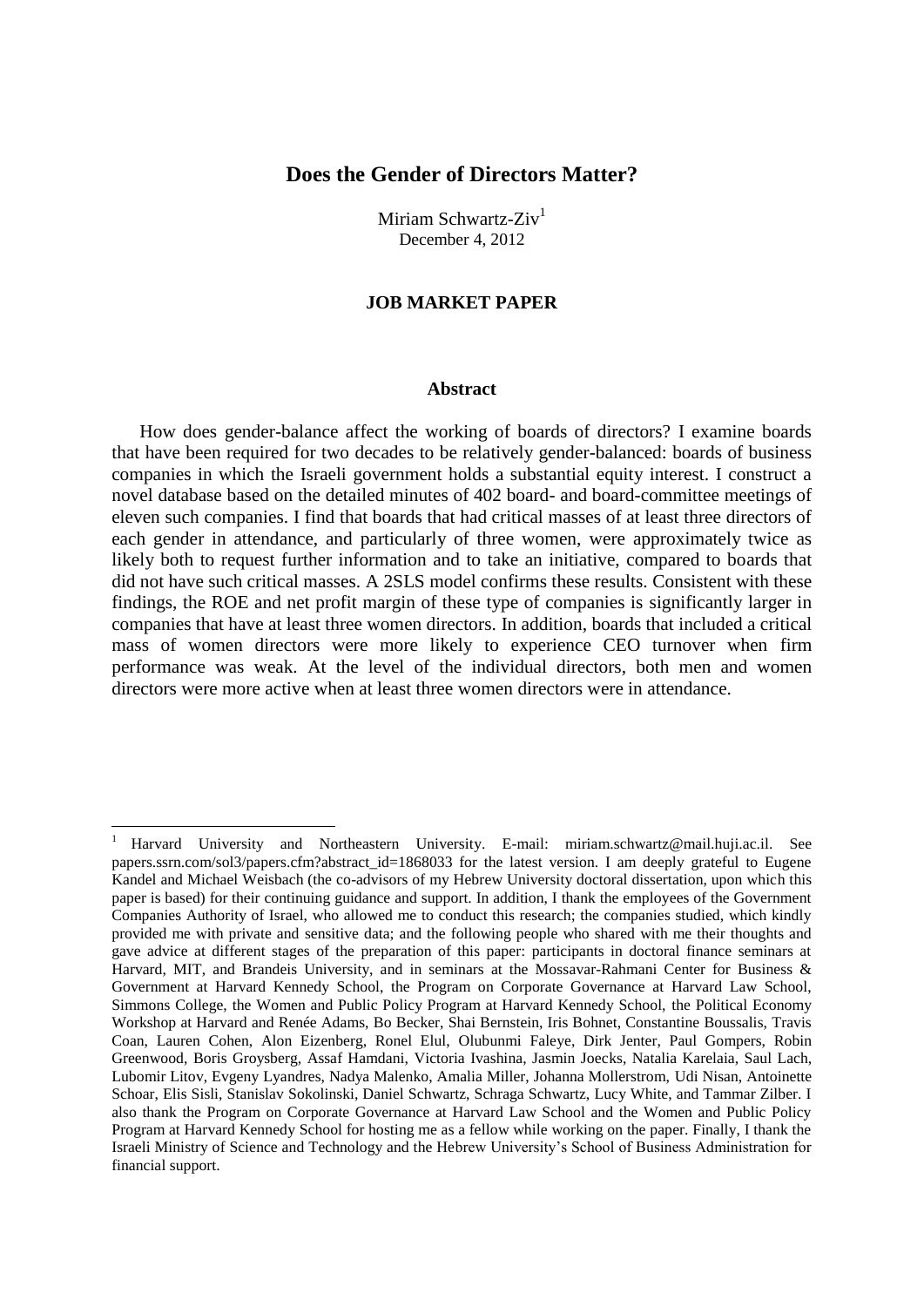# **Does the Gender of Directors Matter?**

Miriam Schwartz- $\mathrm{Ziv}^1$ December 4, 2012

## **JOB MARKET PAPER**

### **Abstract**

How does gender-balance affect the working of boards of directors? I examine boards that have been required for two decades to be relatively gender-balanced: boards of business companies in which the Israeli government holds a substantial equity interest. I construct a novel database based on the detailed minutes of 402 board- and board-committee meetings of eleven such companies. I find that boards that had critical masses of at least three directors of each gender in attendance, and particularly of three women, were approximately twice as likely both to request further information and to take an initiative, compared to boards that did not have such critical masses. A 2SLS model confirms these results. Consistent with these findings, the ROE and net profit margin of these type of companies is significantly larger in companies that have at least three women directors. In addition, boards that included a critical mass of women directors were more likely to experience CEO turnover when firm performance was weak. At the level of the individual directors, both men and women directors were more active when at least three women directors were in attendance.

 $\overline{a}$ 

<sup>1</sup> Harvard University and Northeastern University. E-mail: miriam.schwartz@mail.huji.ac.il. See papers.ssrn.com/sol3/papers.cfm?abstract\_id=1868033 for the latest version. I am deeply grateful to Eugene Kandel and Michael Weisbach (the co-advisors of my Hebrew University doctoral dissertation, upon which this paper is based) for their continuing guidance and support. In addition, I thank the employees of the Government Companies Authority of Israel, who allowed me to conduct this research; the companies studied, which kindly provided me with private and sensitive data; and the following people who shared with me their thoughts and gave advice at different stages of the preparation of this paper: participants in doctoral finance seminars at Harvard, MIT, and Brandeis University, and in seminars at the Mossavar-Rahmani Center for Business & Government at Harvard Kennedy School, the Program on Corporate Governance at Harvard Law School, Simmons College, the Women and Public Policy Program at Harvard Kennedy School, the Political Economy Workshop at Harvard and Renée Adams, Bo Becker, Shai Bernstein, Iris Bohnet, Constantine Boussalis, Travis Coan, Lauren Cohen, Alon Eizenberg, Ronel Elul, Olubunmi Faleye, Dirk Jenter, Paul Gompers, Robin Greenwood, Boris Groysberg, Assaf Hamdani, Victoria Ivashina, Jasmin Joecks, Natalia Karelaia, Saul Lach, Lubomir Litov, Evgeny Lyandres, Nadya Malenko, Amalia Miller, Johanna Mollerstrom, Udi Nisan, Antoinette Schoar, Elis Sisli, Stanislav Sokolinski, Daniel Schwartz, Schraga Schwartz, Lucy White, and Tammar Zilber. I also thank the Program on Corporate Governance at Harvard Law School and the Women and Public Policy Program at Harvard Kennedy School for hosting me as a fellow while working on the paper. Finally, I thank the Israeli Ministry of Science and Technology and the Hebrew University's School of Business Administration for financial support.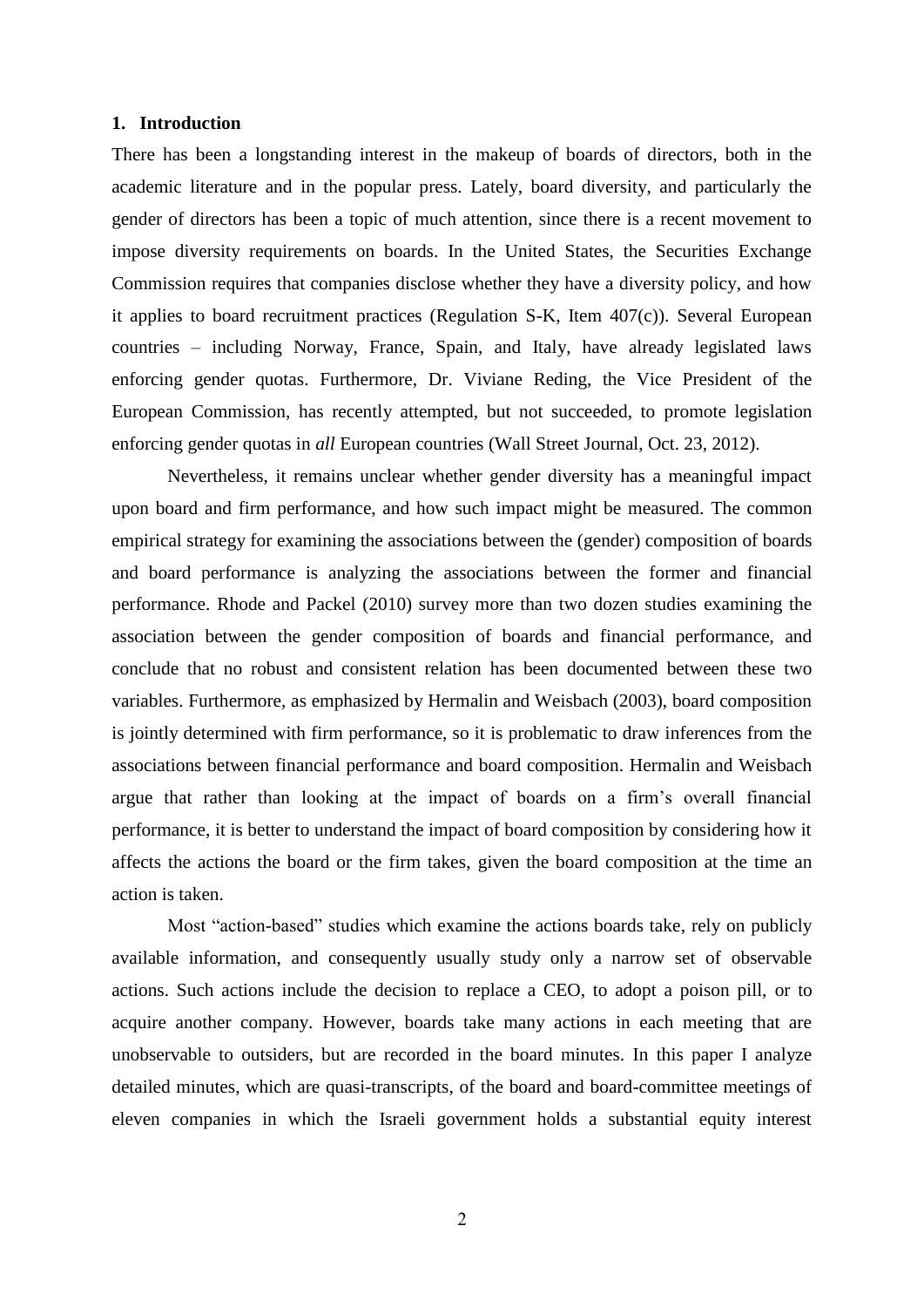## **1. Introduction**

There has been a longstanding interest in the makeup of boards of directors, both in the academic literature and in the popular press. Lately, board diversity, and particularly the gender of directors has been a topic of much attention, since there is a recent movement to impose diversity requirements on boards. In the United States, the Securities Exchange Commission requires that companies disclose whether they have a diversity policy, and how it applies to board recruitment practices (Regulation S-K, Item 407(c)). Several European countries – including Norway, France, Spain, and Italy, have already legislated laws enforcing gender quotas. Furthermore, Dr. Viviane Reding, the Vice President of the European Commission, has recently attempted, but not succeeded, to promote legislation enforcing gender quotas in *all* European countries (Wall Street Journal, Oct. 23, 2012).

Nevertheless, it remains unclear whether gender diversity has a meaningful impact upon board and firm performance, and how such impact might be measured. The common empirical strategy for examining the associations between the (gender) composition of boards and board performance is analyzing the associations between the former and financial performance. Rhode and Packel (2010) survey more than two dozen studies examining the association between the gender composition of boards and financial performance, and conclude that no robust and consistent relation has been documented between these two variables. Furthermore, as emphasized by Hermalin and Weisbach (2003), board composition is jointly determined with firm performance, so it is problematic to draw inferences from the associations between financial performance and board composition. Hermalin and Weisbach argue that rather than looking at the impact of boards on a firm's overall financial performance, it is better to understand the impact of board composition by considering how it affects the actions the board or the firm takes, given the board composition at the time an action is taken.

Most "action-based" studies which examine the actions boards take, rely on publicly available information, and consequently usually study only a narrow set of observable actions. Such actions include the decision to replace a CEO, to adopt a poison pill, or to acquire another company. However, boards take many actions in each meeting that are unobservable to outsiders, but are recorded in the board minutes. In this paper I analyze detailed minutes, which are quasi-transcripts, of the board and board-committee meetings of eleven companies in which the Israeli government holds a substantial equity interest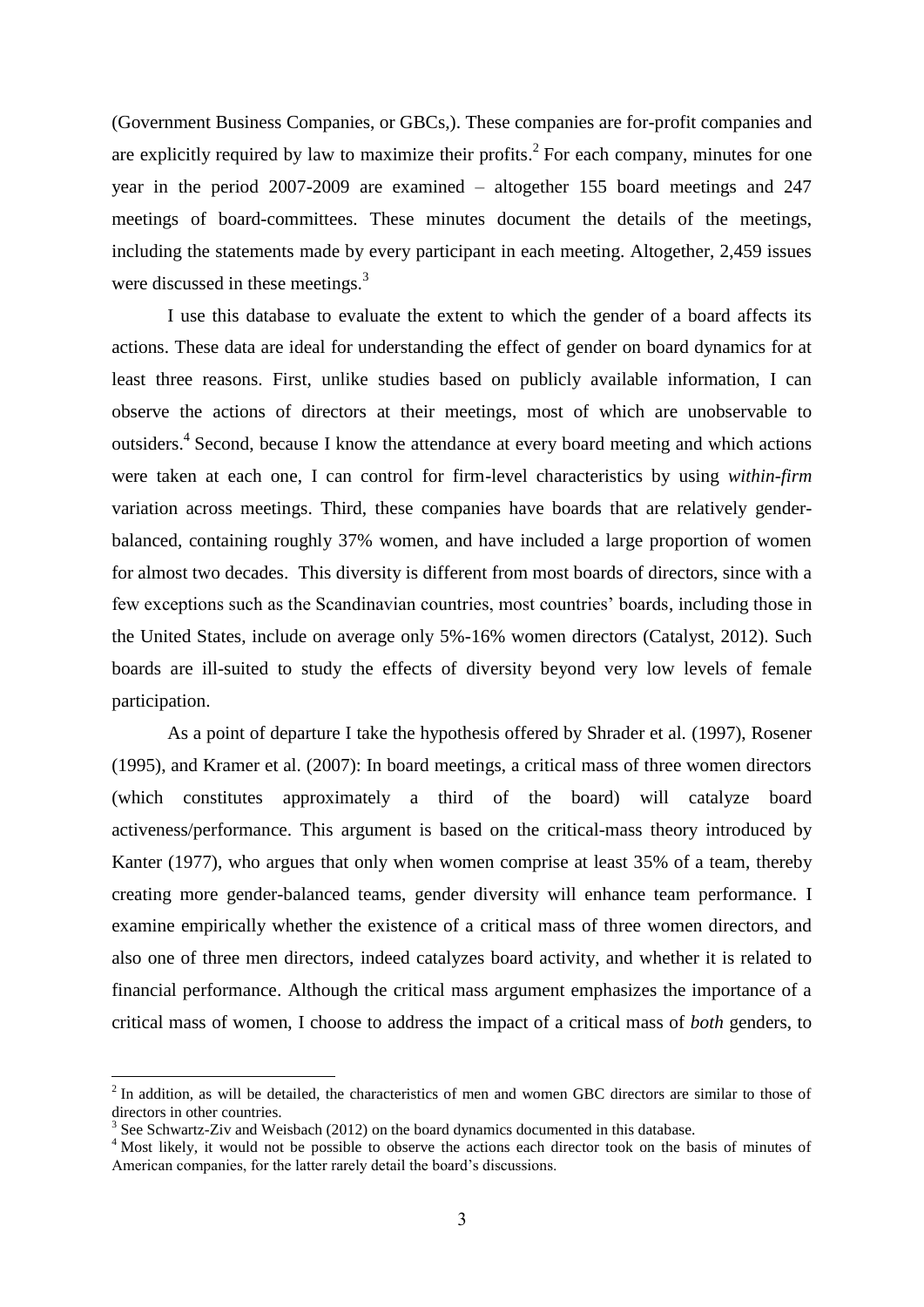(Government Business Companies, or GBCs,). These companies are for-profit companies and are explicitly required by law to maximize their profits.<sup>2</sup> For each company, minutes for one year in the period 2007-2009 are examined – altogether 155 board meetings and 247 meetings of board-committees. These minutes document the details of the meetings, including the statements made by every participant in each meeting. Altogether, 2,459 issues were discussed in these meetings.<sup>3</sup>

I use this database to evaluate the extent to which the gender of a board affects its actions. These data are ideal for understanding the effect of gender on board dynamics for at least three reasons. First, unlike studies based on publicly available information, I can observe the actions of directors at their meetings, most of which are unobservable to outsiders.<sup>4</sup> Second, because I know the attendance at every board meeting and which actions were taken at each one, I can control for firm-level characteristics by using *within-firm* variation across meetings. Third, these companies have boards that are relatively genderbalanced, containing roughly 37% women, and have included a large proportion of women for almost two decades. This diversity is different from most boards of directors, since with a few exceptions such as the Scandinavian countries, most countries' boards, including those in the United States, include on average only 5%-16% women directors (Catalyst, 2012). Such boards are ill-suited to study the effects of diversity beyond very low levels of female participation.

As a point of departure I take the hypothesis offered by Shrader et al. (1997), Rosener (1995), and Kramer et al. (2007): In board meetings, a critical mass of three women directors (which constitutes approximately a third of the board) will catalyze board activeness/performance. This argument is based on the critical-mass theory introduced by Kanter (1977), who argues that only when women comprise at least 35% of a team, thereby creating more gender-balanced teams, gender diversity will enhance team performance. I examine empirically whether the existence of a critical mass of three women directors, and also one of three men directors, indeed catalyzes board activity, and whether it is related to financial performance. Although the critical mass argument emphasizes the importance of a critical mass of women, I choose to address the impact of a critical mass of *both* genders, to

1

 $2$  In addition, as will be detailed, the characteristics of men and women GBC directors are similar to those of directors in other countries.

 $3$  See Schwartz-Ziv and Weisbach (2012) on the board dynamics documented in this database.

<sup>&</sup>lt;sup>4</sup> Most likely, it would not be possible to observe the actions each director took on the basis of minutes of American companies, for the latter rarely detail the board's discussions.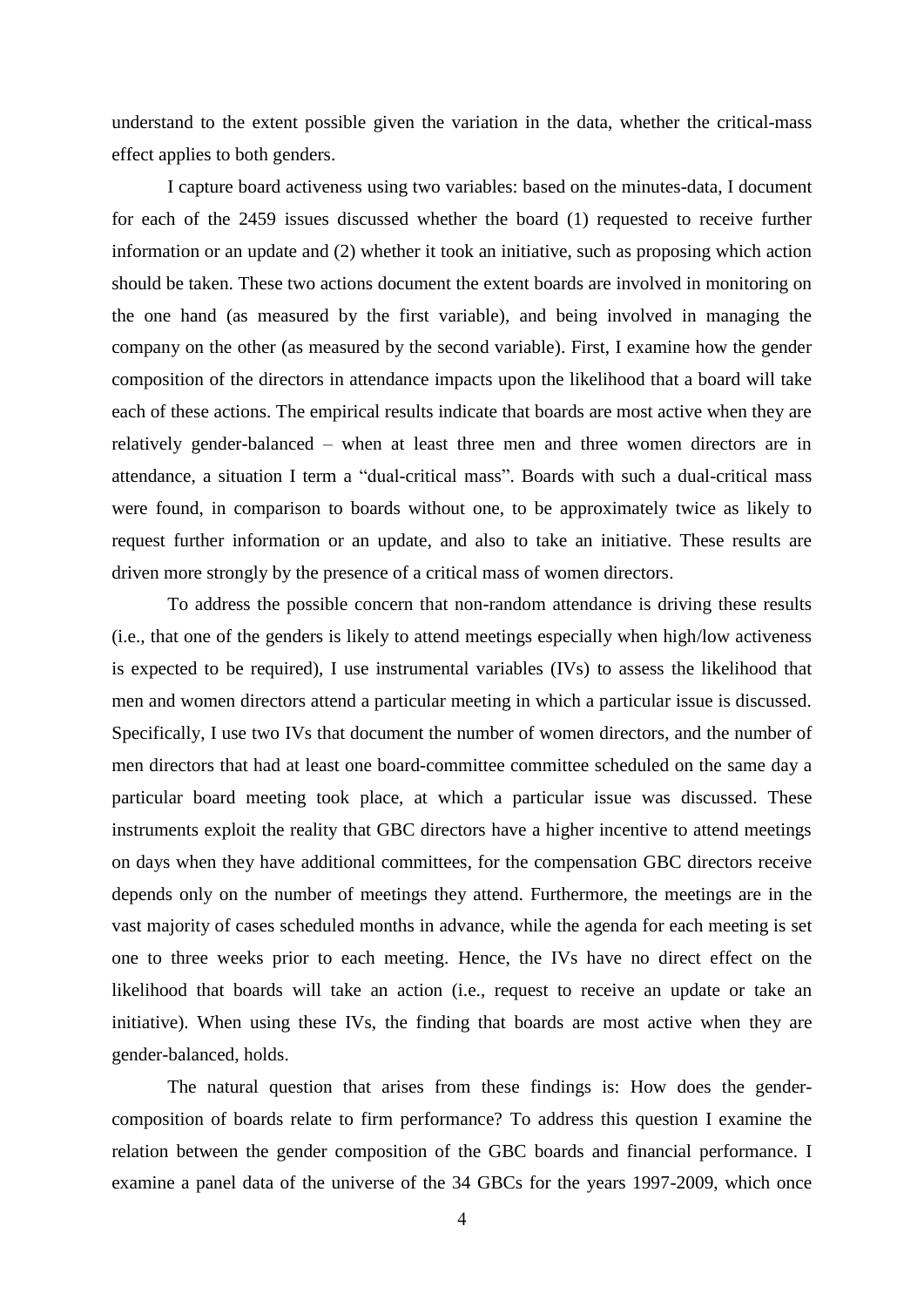understand to the extent possible given the variation in the data, whether the critical-mass effect applies to both genders.

I capture board activeness using two variables: based on the minutes-data, I document for each of the 2459 issues discussed whether the board (1) requested to receive further information or an update and (2) whether it took an initiative, such as proposing which action should be taken. These two actions document the extent boards are involved in monitoring on the one hand (as measured by the first variable), and being involved in managing the company on the other (as measured by the second variable). First, I examine how the gender composition of the directors in attendance impacts upon the likelihood that a board will take each of these actions. The empirical results indicate that boards are most active when they are relatively gender-balanced – when at least three men and three women directors are in attendance, a situation I term a "dual-critical mass". Boards with such a dual-critical mass were found, in comparison to boards without one, to be approximately twice as likely to request further information or an update, and also to take an initiative. These results are driven more strongly by the presence of a critical mass of women directors.

To address the possible concern that non-random attendance is driving these results (i.e., that one of the genders is likely to attend meetings especially when high/low activeness is expected to be required), I use instrumental variables (IVs) to assess the likelihood that men and women directors attend a particular meeting in which a particular issue is discussed. Specifically, I use two IVs that document the number of women directors, and the number of men directors that had at least one board-committee committee scheduled on the same day a particular board meeting took place, at which a particular issue was discussed. These instruments exploit the reality that GBC directors have a higher incentive to attend meetings on days when they have additional committees, for the compensation GBC directors receive depends only on the number of meetings they attend. Furthermore, the meetings are in the vast majority of cases scheduled months in advance, while the agenda for each meeting is set one to three weeks prior to each meeting. Hence, the IVs have no direct effect on the likelihood that boards will take an action (i.e., request to receive an update or take an initiative). When using these IVs, the finding that boards are most active when they are gender-balanced, holds.

The natural question that arises from these findings is: How does the gendercomposition of boards relate to firm performance? To address this question I examine the relation between the gender composition of the GBC boards and financial performance. I examine a panel data of the universe of the 34 GBCs for the years 1997-2009, which once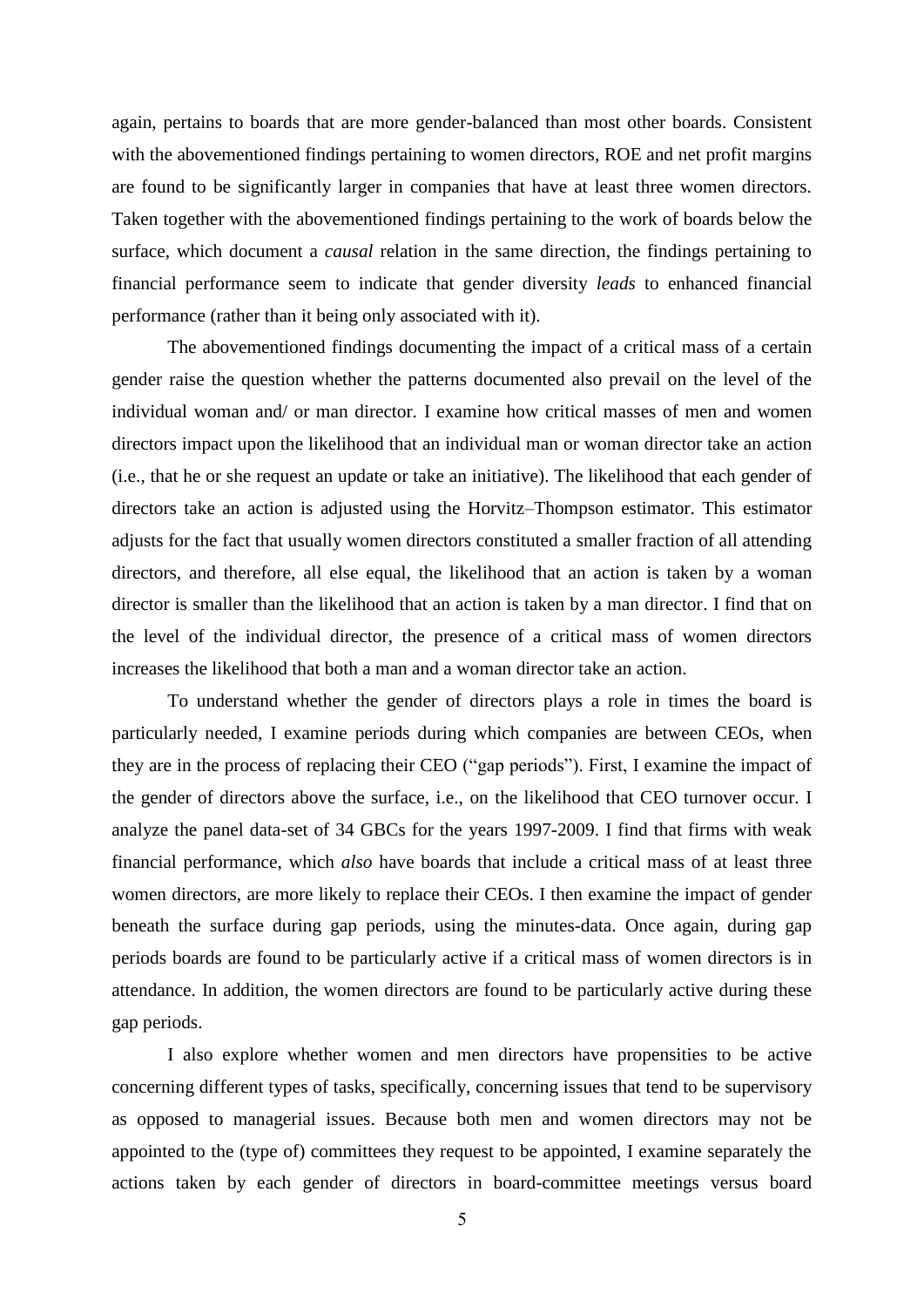again, pertains to boards that are more gender-balanced than most other boards. Consistent with the abovementioned findings pertaining to women directors, ROE and net profit margins are found to be significantly larger in companies that have at least three women directors. Taken together with the abovementioned findings pertaining to the work of boards below the surface, which document a *causal* relation in the same direction, the findings pertaining to financial performance seem to indicate that gender diversity *leads* to enhanced financial performance (rather than it being only associated with it).

The abovementioned findings documenting the impact of a critical mass of a certain gender raise the question whether the patterns documented also prevail on the level of the individual woman and/ or man director. I examine how critical masses of men and women directors impact upon the likelihood that an individual man or woman director take an action (i.e., that he or she request an update or take an initiative). The likelihood that each gender of directors take an action is adjusted using the Horvitz–Thompson estimator. This estimator adjusts for the fact that usually women directors constituted a smaller fraction of all attending directors, and therefore, all else equal, the likelihood that an action is taken by a woman director is smaller than the likelihood that an action is taken by a man director. I find that on the level of the individual director, the presence of a critical mass of women directors increases the likelihood that both a man and a woman director take an action.

To understand whether the gender of directors plays a role in times the board is particularly needed, I examine periods during which companies are between CEOs, when they are in the process of replacing their CEO ("gap periods"). First, I examine the impact of the gender of directors above the surface, i.e., on the likelihood that CEO turnover occur. I analyze the panel data-set of 34 GBCs for the years 1997-2009. I find that firms with weak financial performance, which *also* have boards that include a critical mass of at least three women directors, are more likely to replace their CEOs. I then examine the impact of gender beneath the surface during gap periods, using the minutes-data. Once again, during gap periods boards are found to be particularly active if a critical mass of women directors is in attendance. In addition, the women directors are found to be particularly active during these gap periods.

I also explore whether women and men directors have propensities to be active concerning different types of tasks, specifically, concerning issues that tend to be supervisory as opposed to managerial issues. Because both men and women directors may not be appointed to the (type of) committees they request to be appointed, I examine separately the actions taken by each gender of directors in board-committee meetings versus board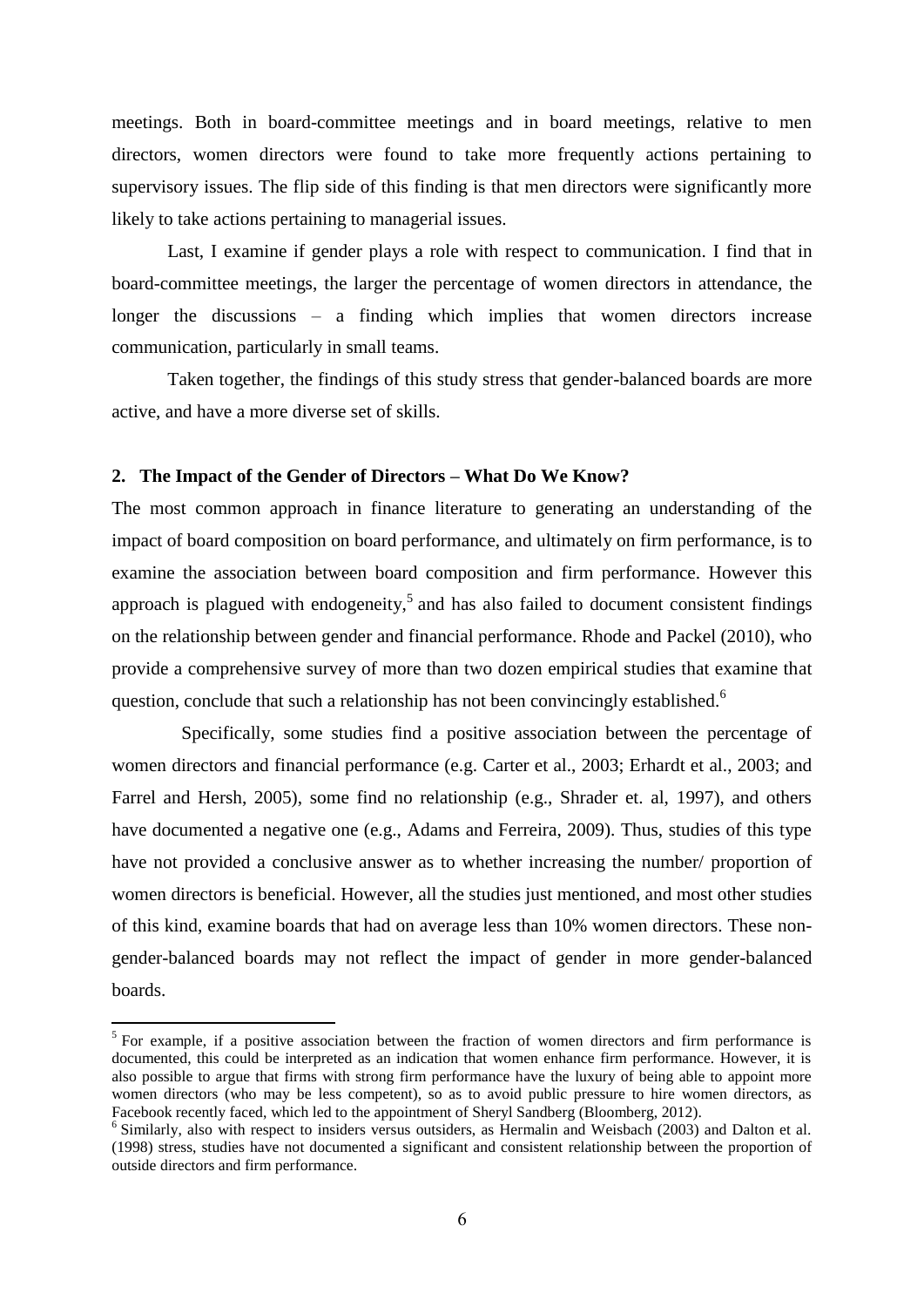meetings. Both in board-committee meetings and in board meetings, relative to men directors, women directors were found to take more frequently actions pertaining to supervisory issues. The flip side of this finding is that men directors were significantly more likely to take actions pertaining to managerial issues.

Last, I examine if gender plays a role with respect to communication. I find that in board-committee meetings, the larger the percentage of women directors in attendance, the longer the discussions – a finding which implies that women directors increase communication, particularly in small teams.

Taken together, the findings of this study stress that gender-balanced boards are more active, and have a more diverse set of skills.

## **2. The Impact of the Gender of Directors – What Do We Know?**

The most common approach in finance literature to generating an understanding of the impact of board composition on board performance, and ultimately on firm performance, is to examine the association between board composition and firm performance. However this approach is plagued with endogeneity,<sup>5</sup> and has also failed to document consistent findings on the relationship between gender and financial performance. Rhode and Packel (2010), who provide a comprehensive survey of more than two dozen empirical studies that examine that question, conclude that such a relationship has not been convincingly established.<sup>6</sup>

Specifically, some studies find a positive association between the percentage of women directors and financial performance (e.g. Carter et al., 2003; Erhardt et al., 2003; and Farrel and Hersh, 2005), some find no relationship (e.g., Shrader et. al, 1997), and others have documented a negative one (e.g., Adams and Ferreira, 2009). Thus, studies of this type have not provided a conclusive answer as to whether increasing the number/ proportion of women directors is beneficial. However, all the studies just mentioned, and most other studies of this kind, examine boards that had on average less than 10% women directors. These nongender-balanced boards may not reflect the impact of gender in more gender-balanced boards.

<sup>&</sup>lt;sup>5</sup> For example, if a positive association between the fraction of women directors and firm performance is documented, this could be interpreted as an indication that women enhance firm performance. However, it is also possible to argue that firms with strong firm performance have the luxury of being able to appoint more women directors (who may be less competent), so as to avoid public pressure to hire women directors, as Facebook recently faced, which led to the appointment of Sheryl Sandberg (Bloomberg, 2012).

<sup>&</sup>lt;sup>6</sup> Similarly, also with respect to insiders versus outsiders, as Hermalin and Weisbach (2003) and Dalton et al. (1998) stress, studies have not documented a significant and consistent relationship between the proportion of outside directors and firm performance.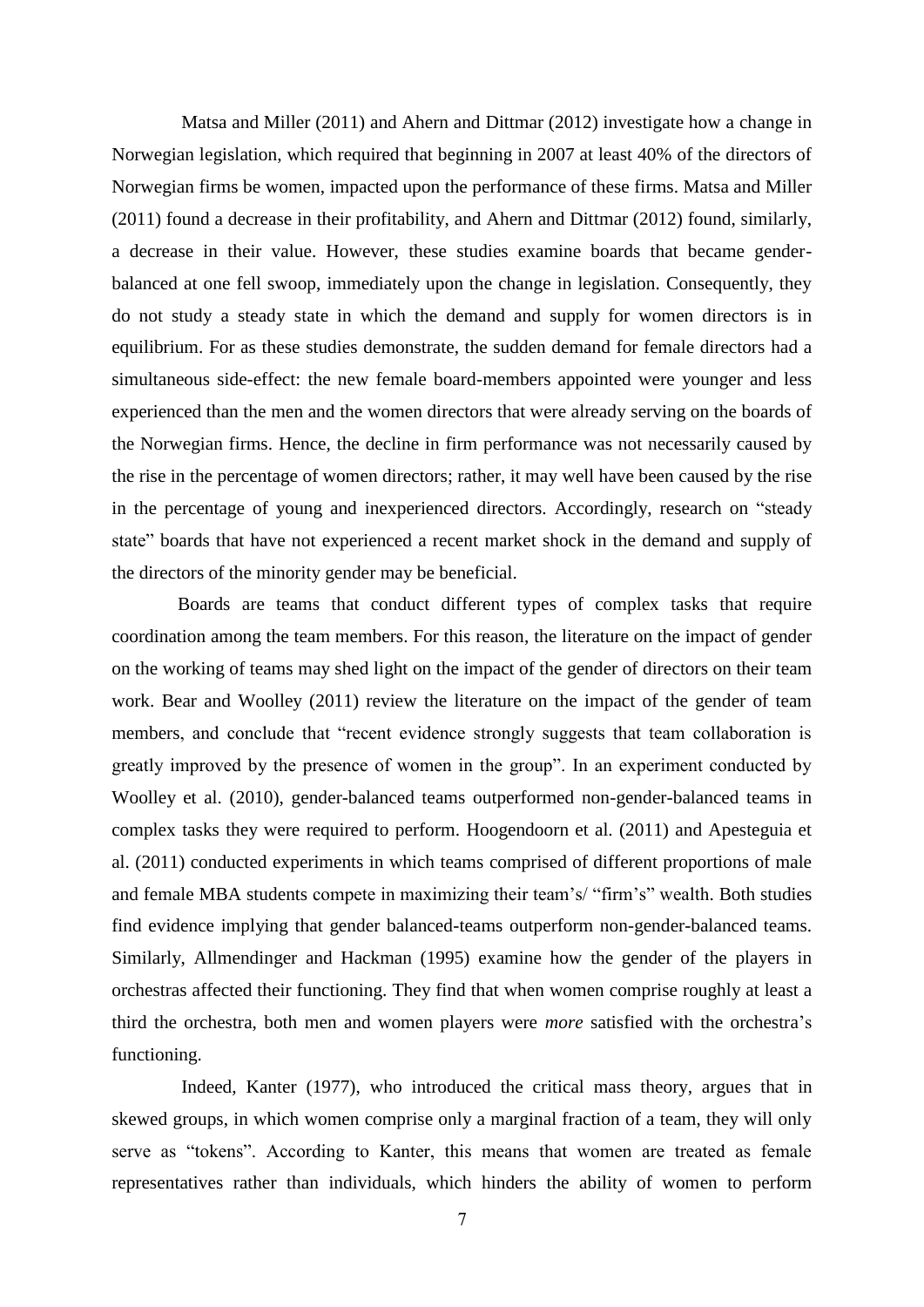Matsa and Miller (2011) and Ahern and Dittmar (2012) investigate how a change in Norwegian legislation, which required that beginning in 2007 at least 40% of the directors of Norwegian firms be women, impacted upon the performance of these firms. Matsa and Miller (2011) found a decrease in their profitability, and Ahern and Dittmar (2012) found, similarly, a decrease in their value. However, these studies examine boards that became genderbalanced at one fell swoop, immediately upon the change in legislation. Consequently, they do not study a steady state in which the demand and supply for women directors is in equilibrium. For as these studies demonstrate, the sudden demand for female directors had a simultaneous side-effect: the new female board-members appointed were younger and less experienced than the men and the women directors that were already serving on the boards of the Norwegian firms. Hence, the decline in firm performance was not necessarily caused by the rise in the percentage of women directors; rather, it may well have been caused by the rise in the percentage of young and inexperienced directors. Accordingly, research on "steady state" boards that have not experienced a recent market shock in the demand and supply of the directors of the minority gender may be beneficial.

Boards are teams that conduct different types of complex tasks that require coordination among the team members. For this reason, the literature on the impact of gender on the working of teams may shed light on the impact of the gender of directors on their team work. Bear and Woolley (2011) review the literature on the impact of the gender of team members, and conclude that "recent evidence strongly suggests that team collaboration is greatly improved by the presence of women in the group". In an experiment conducted by Woolley et al. (2010), gender-balanced teams outperformed non-gender-balanced teams in complex tasks they were required to perform. Hoogendoorn et al. (2011) and Apesteguia et al. (2011) conducted experiments in which teams comprised of different proportions of male and female MBA students compete in maximizing their team's/ "firm's" wealth. Both studies find evidence implying that gender balanced-teams outperform non-gender-balanced teams. Similarly, Allmendinger and Hackman (1995) examine how the gender of the players in orchestras affected their functioning. They find that when women comprise roughly at least a third the orchestra, both men and women players were *more* satisfied with the orchestra's functioning.

Indeed, Kanter (1977), who introduced the critical mass theory, argues that in skewed groups, in which women comprise only a marginal fraction of a team, they will only serve as "tokens". According to Kanter, this means that women are treated as female representatives rather than individuals, which hinders the ability of women to perform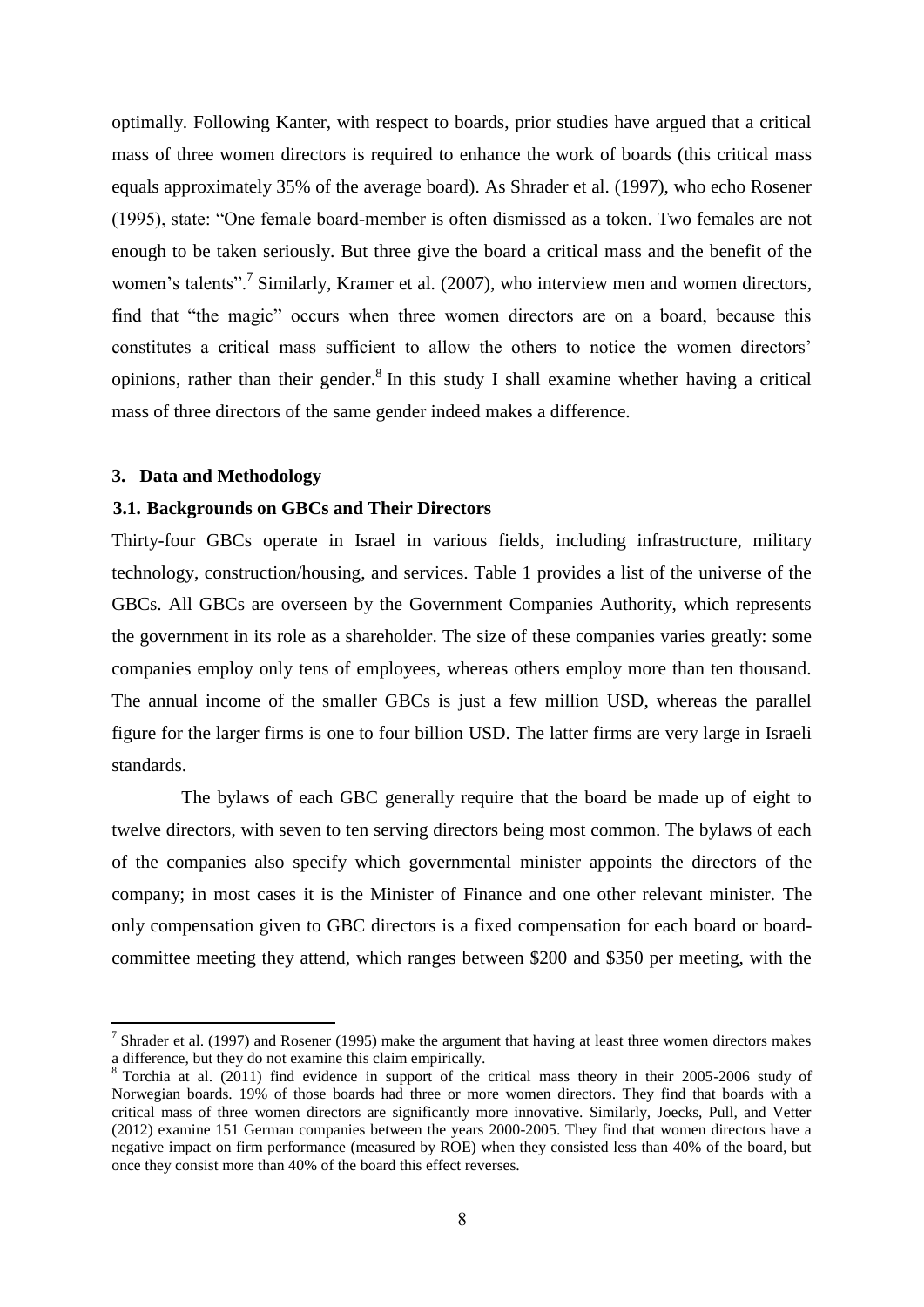optimally. Following Kanter, with respect to boards, prior studies have argued that a critical mass of three women directors is required to enhance the work of boards (this critical mass equals approximately 35% of the average board). As Shrader et al. (1997), who echo Rosener (1995), state: "One female board-member is often dismissed as a token. Two females are not enough to be taken seriously. But three give the board a critical mass and the benefit of the women's talents".<sup>7</sup> Similarly, Kramer et al. (2007), who interview men and women directors, find that "the magic" occurs when three women directors are on a board, because this constitutes a critical mass sufficient to allow the others to notice the women directors' opinions, rather than their gender.<sup>8</sup> In this study I shall examine whether having a critical mass of three directors of the same gender indeed makes a difference.

### **3. Data and Methodology**

## **3.1. Backgrounds on GBCs and Their Directors**

Thirty-four GBCs operate in Israel in various fields, including infrastructure, military technology, construction/housing, and services. Table 1 provides a list of the universe of the GBCs. All GBCs are overseen by the Government Companies Authority, which represents the government in its role as a shareholder. The size of these companies varies greatly: some companies employ only tens of employees, whereas others employ more than ten thousand. The annual income of the smaller GBCs is just a few million USD, whereas the parallel figure for the larger firms is one to four billion USD. The latter firms are very large in Israeli standards.

The bylaws of each GBC generally require that the board be made up of eight to twelve directors, with seven to ten serving directors being most common. The bylaws of each of the companies also specify which governmental minister appoints the directors of the company; in most cases it is the Minister of Finance and one other relevant minister. The only compensation given to GBC directors is a fixed compensation for each board or boardcommittee meeting they attend, which ranges between \$200 and \$350 per meeting, with the

<sup>&</sup>lt;sup>7</sup> Shrader et al. (1997) and Rosener (1995) make the argument that having at least three women directors makes a difference, but they do not examine this claim empirically.

<sup>8</sup> Torchia at al. (2011) find evidence in support of the critical mass theory in their 2005-2006 study of Norwegian boards. 19% of those boards had three or more women directors. They find that boards with a critical mass of three women directors are significantly more innovative. Similarly, Joecks, Pull, and Vetter (2012) examine 151 German companies between the years 2000-2005. They find that women directors have a negative impact on firm performance (measured by ROE) when they consisted less than 40% of the board, but once they consist more than 40% of the board this effect reverses.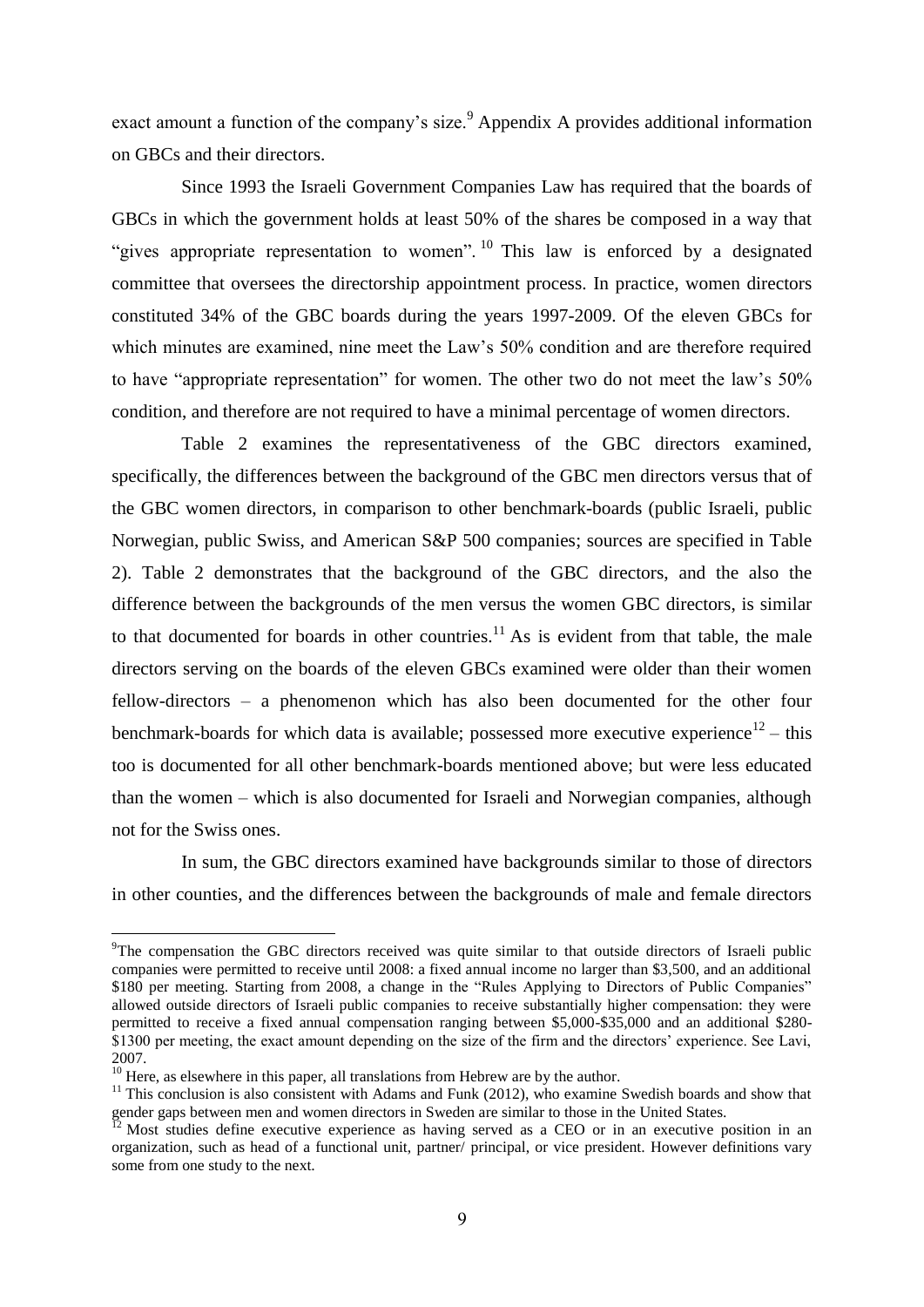exact amount a function of the company's size.<sup>9</sup> Appendix A provides additional information on GBCs and their directors.

Since 1993 the Israeli Government Companies Law has required that the boards of GBCs in which the government holds at least 50% of the shares be composed in a way that "gives appropriate representation to women". <sup>10</sup> This law is enforced by a designated committee that oversees the directorship appointment process. In practice, women directors constituted 34% of the GBC boards during the years 1997-2009. Of the eleven GBCs for which minutes are examined, nine meet the Law's 50% condition and are therefore required to have "appropriate representation" for women. The other two do not meet the law's 50% condition, and therefore are not required to have a minimal percentage of women directors.

Table 2 examines the representativeness of the GBC directors examined, specifically, the differences between the background of the GBC men directors versus that of the GBC women directors, in comparison to other benchmark-boards (public Israeli, public Norwegian, public Swiss, and American S&P 500 companies; sources are specified in Table 2). Table 2 demonstrates that the background of the GBC directors, and the also the difference between the backgrounds of the men versus the women GBC directors, is similar to that documented for boards in other countries.<sup>11</sup> As is evident from that table, the male directors serving on the boards of the eleven GBCs examined were older than their women fellow-directors – a phenomenon which has also been documented for the other four benchmark-boards for which data is available; possessed more executive experience<sup>12</sup> – this too is documented for all other benchmark-boards mentioned above; but were less educated than the women – which is also documented for Israeli and Norwegian companies, although not for the Swiss ones.

In sum, the GBC directors examined have backgrounds similar to those of directors in other counties, and the differences between the backgrounds of male and female directors

<sup>&</sup>lt;sup>9</sup>The compensation the GBC directors received was quite similar to that outside directors of Israeli public companies were permitted to receive until 2008: a fixed annual income no larger than \$3,500, and an additional \$180 per meeting. Starting from 2008, a change in the "Rules Applying to Directors of Public Companies" allowed outside directors of Israeli public companies to receive substantially higher compensation: they were permitted to receive a fixed annual compensation ranging between \$5,000-\$35,000 and an additional \$280- \$1300 per meeting, the exact amount depending on the size of the firm and the directors' experience. See Lavi, 2007.

<sup>&</sup>lt;sup>10</sup> Here, as elsewhere in this paper, all translations from Hebrew are by the author.

 $11$  This conclusion is also consistent with Adams and Funk (2012), who examine Swedish boards and show that gender gaps between men and women directors in Sweden are similar to those in the United States.

Most studies define executive experience as having served as a CEO or in an executive position in an organization, such as head of a functional unit, partner/ principal, or vice president. However definitions vary some from one study to the next.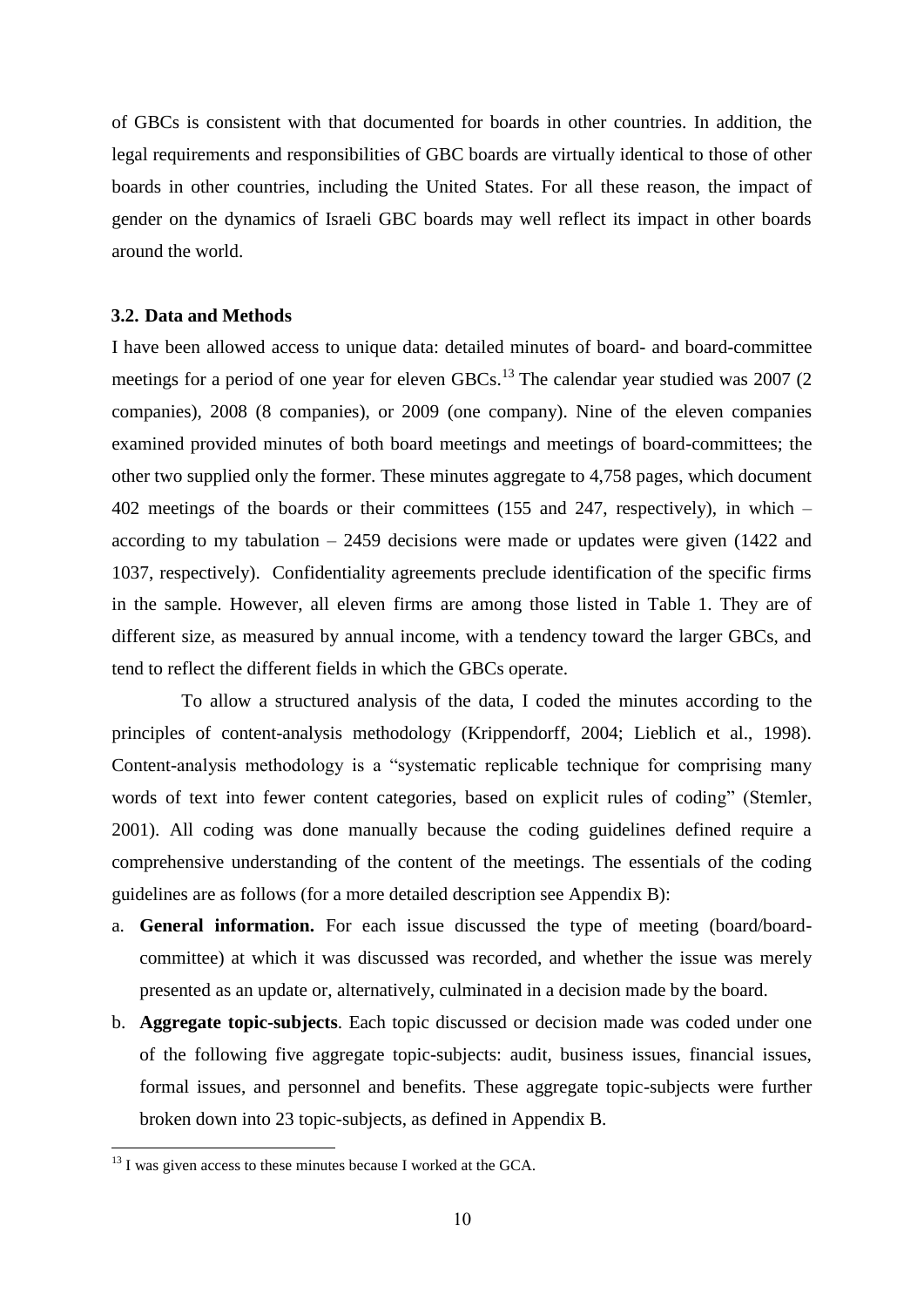of GBCs is consistent with that documented for boards in other countries. In addition, the legal requirements and responsibilities of GBC boards are virtually identical to those of other boards in other countries, including the United States. For all these reason, the impact of gender on the dynamics of Israeli GBC boards may well reflect its impact in other boards around the world.

# **3.2. Data and Methods**

I have been allowed access to unique data: detailed minutes of board- and board-committee meetings for a period of one year for eleven GBCs.<sup>13</sup> The calendar year studied was 2007 (2) companies), 2008 (8 companies), or 2009 (one company). Nine of the eleven companies examined provided minutes of both board meetings and meetings of board-committees; the other two supplied only the former. These minutes aggregate to 4,758 pages, which document 402 meetings of the boards or their committees (155 and 247, respectively), in which – according to my tabulation – 2459 decisions were made or updates were given (1422 and 1037, respectively). Confidentiality agreements preclude identification of the specific firms in the sample. However, all eleven firms are among those listed in Table 1. They are of different size, as measured by annual income, with a tendency toward the larger GBCs, and tend to reflect the different fields in which the GBCs operate.

To allow a structured analysis of the data, I coded the minutes according to the principles of content-analysis methodology (Krippendorff, 2004; Lieblich et al., 1998). Content-analysis methodology is a "systematic replicable technique for comprising many words of text into fewer content categories, based on explicit rules of coding" (Stemler, 2001). All coding was done manually because the coding guidelines defined require a comprehensive understanding of the content of the meetings. The essentials of the coding guidelines are as follows (for a more detailed description see Appendix B):

- a. **General information.** For each issue discussed the type of meeting (board/boardcommittee) at which it was discussed was recorded, and whether the issue was merely presented as an update or, alternatively, culminated in a decision made by the board.
- b. **Aggregate topic-subjects**. Each topic discussed or decision made was coded under one of the following five aggregate topic-subjects: audit, business issues, financial issues, formal issues, and personnel and benefits. These aggregate topic-subjects were further broken down into 23 topic-subjects, as defined in Appendix B.

 $13$  I was given access to these minutes because I worked at the GCA.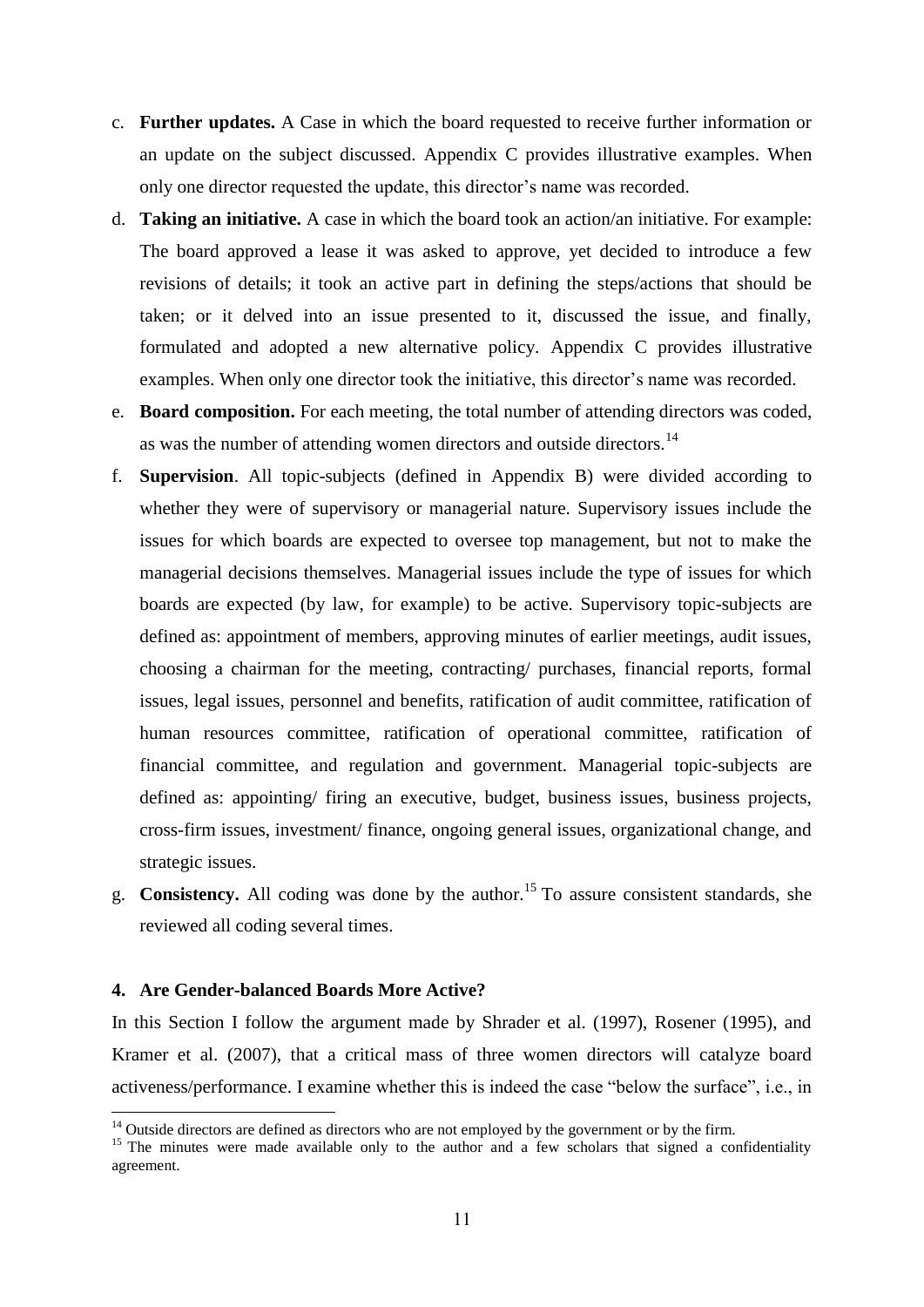- c. **Further updates.** A Case in which the board requested to receive further information or an update on the subject discussed. Appendix C provides illustrative examples. When only one director requested the update, this director's name was recorded.
- d. **Taking an initiative.** A case in which the board took an action/an initiative. For example: The board approved a lease it was asked to approve, yet decided to introduce a few revisions of details; it took an active part in defining the steps/actions that should be taken; or it delved into an issue presented to it, discussed the issue, and finally, formulated and adopted a new alternative policy. Appendix C provides illustrative examples. When only one director took the initiative, this director's name was recorded.
- e. **Board composition.** For each meeting, the total number of attending directors was coded, as was the number of attending women directors and outside directors.<sup>14</sup>
- f. **Supervision**. All topic-subjects (defined in Appendix B) were divided according to whether they were of supervisory or managerial nature. Supervisory issues include the issues for which boards are expected to oversee top management, but not to make the managerial decisions themselves. Managerial issues include the type of issues for which boards are expected (by law, for example) to be active. Supervisory topic-subjects are defined as: appointment of members, approving minutes of earlier meetings, audit issues, choosing a chairman for the meeting, contracting/ purchases, financial reports, formal issues, legal issues, personnel and benefits, ratification of audit committee, ratification of human resources committee, ratification of operational committee, ratification of financial committee, and regulation and government. Managerial topic-subjects are defined as: appointing/ firing an executive, budget, business issues, business projects, cross-firm issues, investment/ finance, ongoing general issues, organizational change, and strategic issues.
- g. **Consistency.** All coding was done by the author.<sup>15</sup> To assure consistent standards, she reviewed all coding several times.

## **4. Are Gender-balanced Boards More Active?**

**.** 

In this Section I follow the argument made by Shrader et al. (1997), Rosener (1995), and Kramer et al. (2007), that a critical mass of three women directors will catalyze board activeness/performance. I examine whether this is indeed the case "below the surface", i.e., in

 $14$  Outside directors are defined as directors who are not employed by the government or by the firm.

<sup>&</sup>lt;sup>15</sup> The minutes were made available only to the author and a few scholars that signed a confidentiality agreement.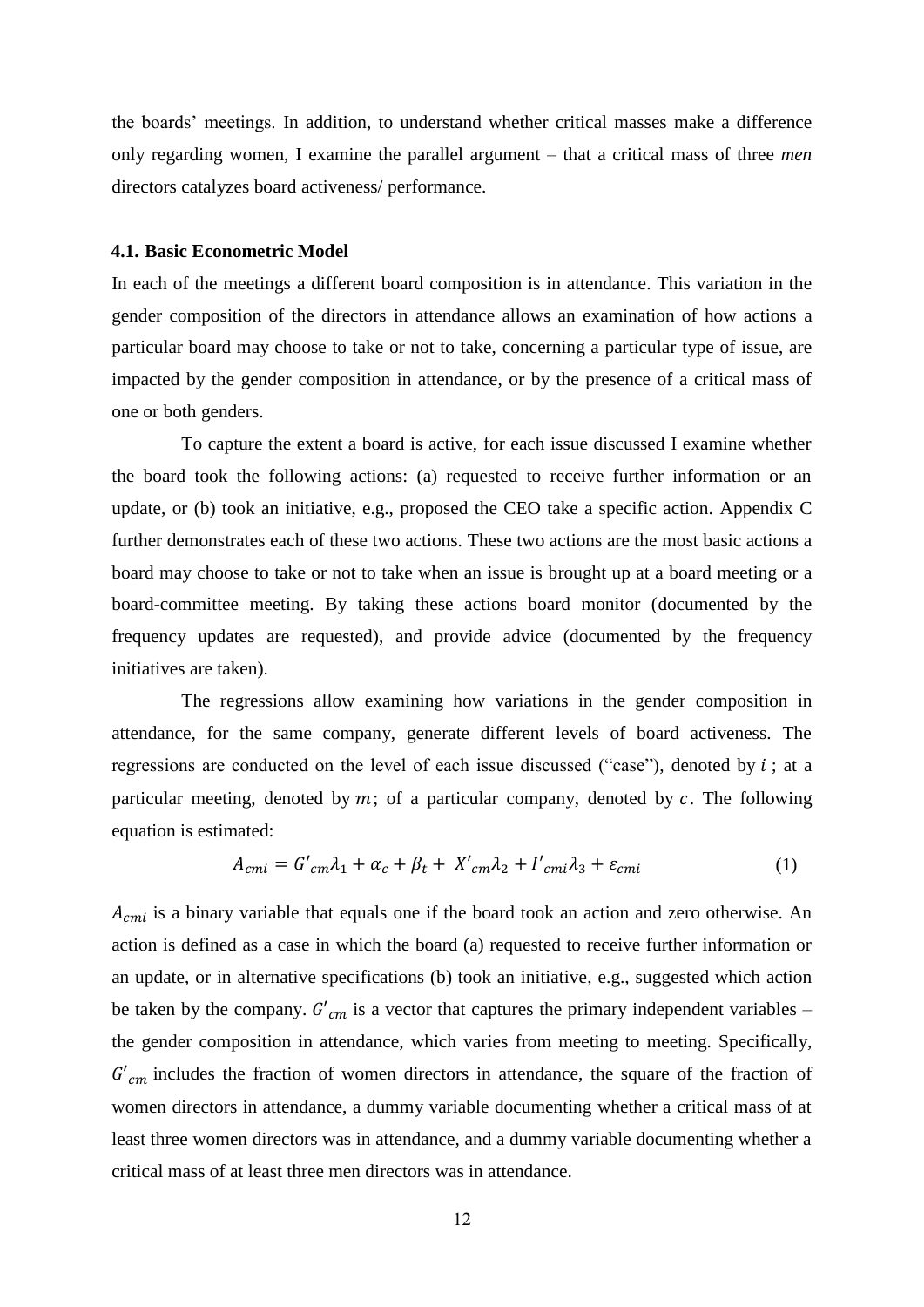the boards' meetings. In addition, to understand whether critical masses make a difference only regarding women, I examine the parallel argument – that a critical mass of three *men* directors catalyzes board activeness/ performance.

### **4.1. Basic Econometric Model**

In each of the meetings a different board composition is in attendance. This variation in the gender composition of the directors in attendance allows an examination of how actions a particular board may choose to take or not to take, concerning a particular type of issue, are impacted by the gender composition in attendance, or by the presence of a critical mass of one or both genders.

To capture the extent a board is active, for each issue discussed I examine whether the board took the following actions: (a) requested to receive further information or an update, or (b) took an initiative, e.g., proposed the CEO take a specific action. Appendix C further demonstrates each of these two actions. These two actions are the most basic actions a board may choose to take or not to take when an issue is brought up at a board meeting or a board-committee meeting. By taking these actions board monitor (documented by the frequency updates are requested), and provide advice (documented by the frequency initiatives are taken).

The regressions allow examining how variations in the gender composition in attendance, for the same company, generate different levels of board activeness. The regressions are conducted on the level of each issue discussed ("case"), denoted by  $i$ ; at a particular meeting, denoted by  $m$ ; of a particular company, denoted by  $c$ . The following equation is estimated:

$$
A_{cmi} = G'_{cm} \lambda_1 + \alpha_c + \beta_t + X'_{cm} \lambda_2 + I'_{cmi} \lambda_3 + \varepsilon_{cmi}
$$
 (1)

 $A_{cmi}$  is a binary variable that equals one if the board took an action and zero otherwise. An action is defined as a case in which the board (a) requested to receive further information or an update, or in alternative specifications (b) took an initiative, e.g., suggested which action be taken by the company.  $G'_{cm}$  is a vector that captures the primary independent variables – the gender composition in attendance, which varies from meeting to meeting. Specifically,  $G'_{cm}$  includes the fraction of women directors in attendance, the square of the fraction of women directors in attendance, a dummy variable documenting whether a critical mass of at least three women directors was in attendance, and a dummy variable documenting whether a critical mass of at least three men directors was in attendance.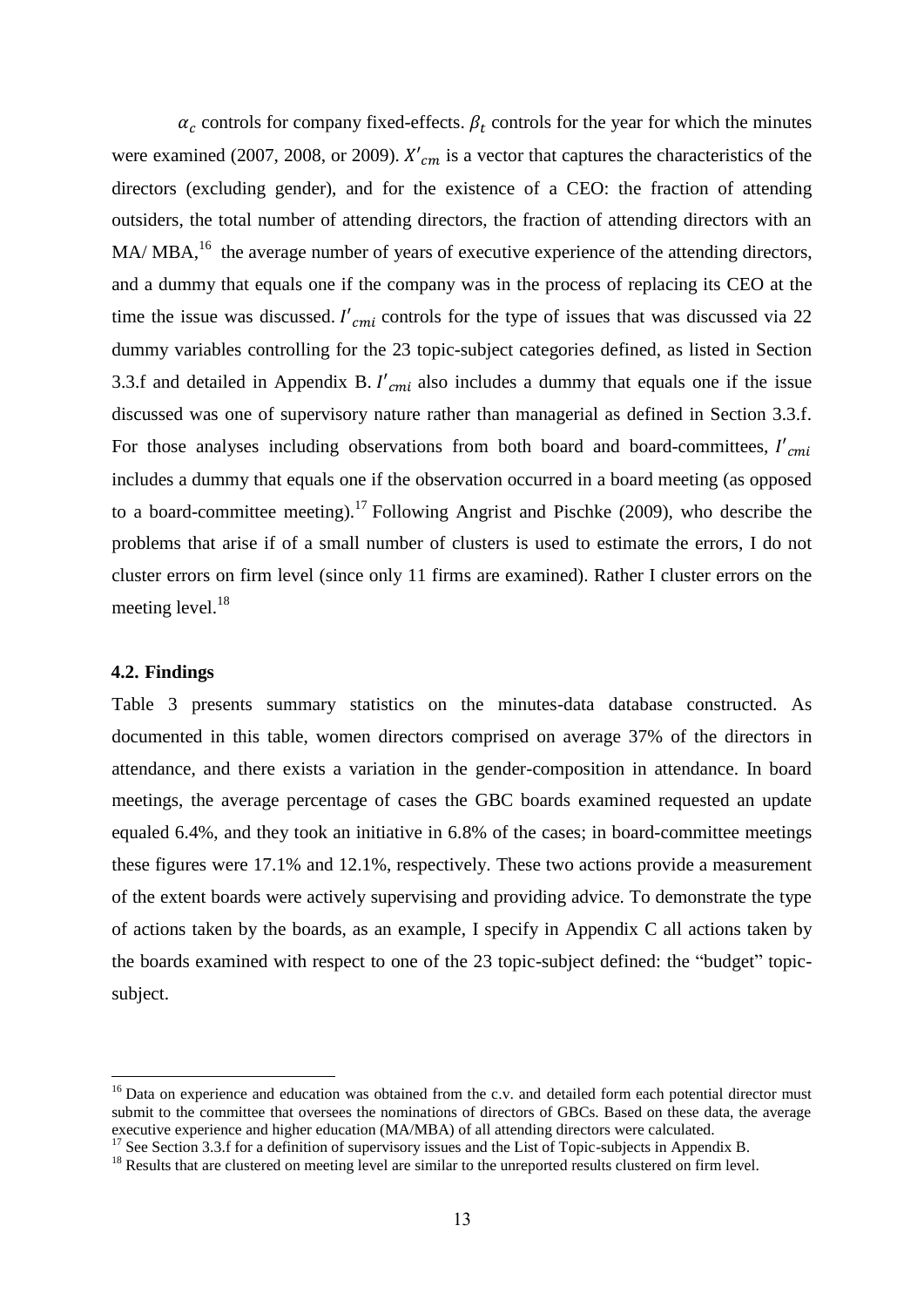$\alpha_c$  controls for company fixed-effects.  $\beta_t$  controls for the year for which the minutes were examined (2007, 2008, or 2009).  $X'_{cm}$  is a vector that captures the characteristics of the directors (excluding gender), and for the existence of a CEO: the fraction of attending outsiders, the total number of attending directors, the fraction of attending directors with an  $MA/MBA<sup>16</sup>$ , the average number of years of executive experience of the attending directors, and a dummy that equals one if the company was in the process of replacing its CEO at the time the issue was discussed.  $I'_{cmi}$  controls for the type of issues that was discussed via 22 dummy variables controlling for the 23 topic-subject categories defined, as listed in Section 3.3.f and detailed in Appendix B.  $I'_{cmi}$  also includes a dummy that equals one if the issue discussed was one of supervisory nature rather than managerial as defined in Section 3.3.f. For those analyses including observations from both board and board-committees,  $I'_{cmi}$ includes a dummy that equals one if the observation occurred in a board meeting (as opposed to a board-committee meeting).<sup>17</sup> Following Angrist and Pischke (2009), who describe the problems that arise if of a small number of clusters is used to estimate the errors, I do not cluster errors on firm level (since only 11 firms are examined). Rather I cluster errors on the meeting level. $^{18}$ 

# **4.2. Findings**

1

Table 3 presents summary statistics on the minutes-data database constructed. As documented in this table, women directors comprised on average 37% of the directors in attendance, and there exists a variation in the gender-composition in attendance. In board meetings, the average percentage of cases the GBC boards examined requested an update equaled 6.4%, and they took an initiative in 6.8% of the cases; in board-committee meetings these figures were 17.1% and 12.1%, respectively. These two actions provide a measurement of the extent boards were actively supervising and providing advice. To demonstrate the type of actions taken by the boards, as an example, I specify in Appendix C all actions taken by the boards examined with respect to one of the 23 topic-subject defined: the "budget" topicsubject.

<sup>&</sup>lt;sup>16</sup> Data on experience and education was obtained from the c.v. and detailed form each potential director must submit to the committee that oversees the nominations of directors of GBCs. Based on these data, the average executive experience and higher education (MA/MBA) of all attending directors were calculated.

<sup>&</sup>lt;sup>17</sup> See Section 3.3.f for a definition of supervisory issues and the List of Topic-subjects in Appendix B.

<sup>&</sup>lt;sup>18</sup> Results that are clustered on meeting level are similar to the unreported results clustered on firm level.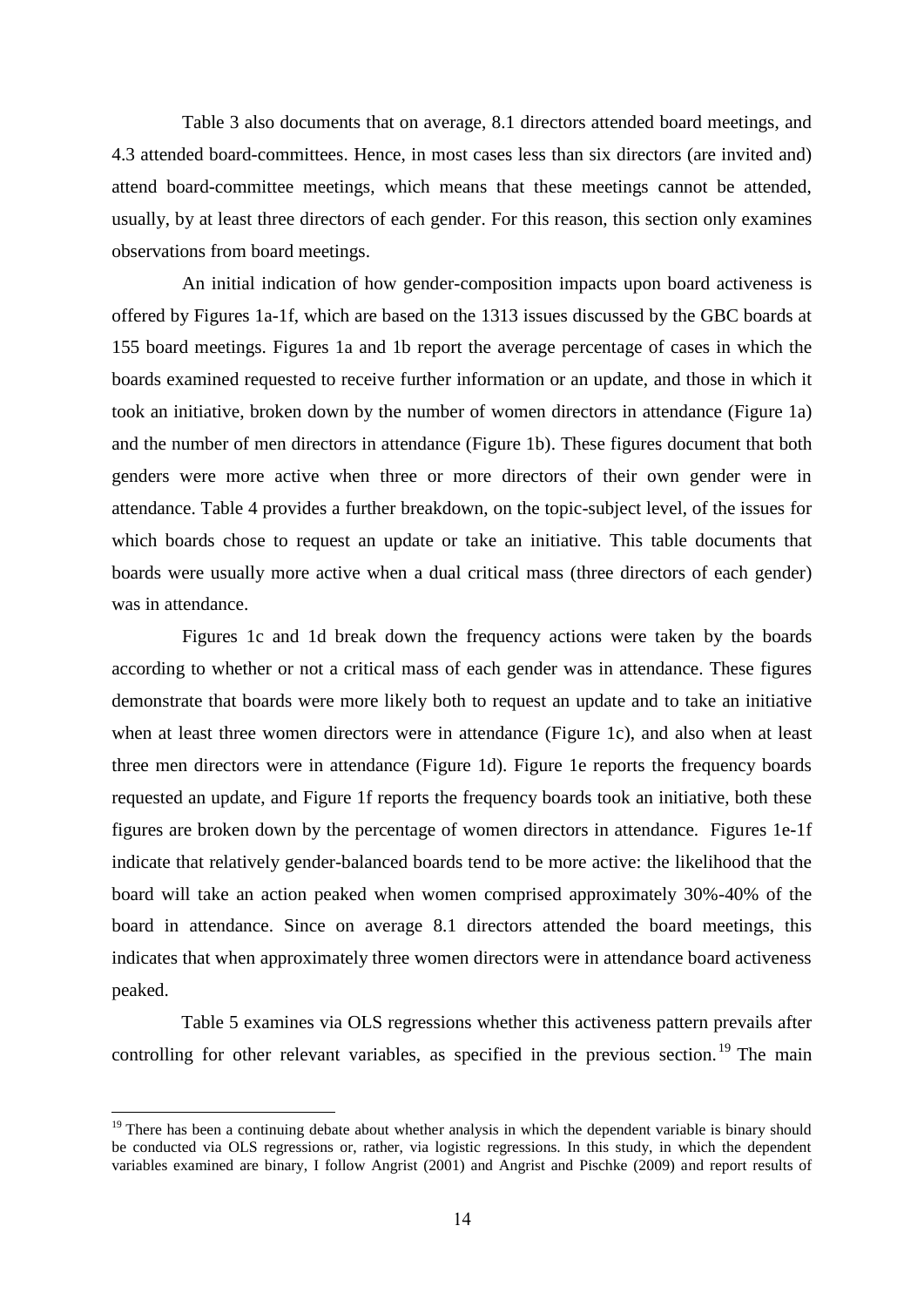Table 3 also documents that on average, 8.1 directors attended board meetings, and 4.3 attended board-committees. Hence, in most cases less than six directors (are invited and) attend board-committee meetings, which means that these meetings cannot be attended, usually, by at least three directors of each gender. For this reason, this section only examines observations from board meetings.

An initial indication of how gender-composition impacts upon board activeness is offered by Figures 1a-1f, which are based on the 1313 issues discussed by the GBC boards at 155 board meetings. Figures 1a and 1b report the average percentage of cases in which the boards examined requested to receive further information or an update, and those in which it took an initiative, broken down by the number of women directors in attendance (Figure 1a) and the number of men directors in attendance (Figure 1b). These figures document that both genders were more active when three or more directors of their own gender were in attendance. Table 4 provides a further breakdown, on the topic-subject level, of the issues for which boards chose to request an update or take an initiative. This table documents that boards were usually more active when a dual critical mass (three directors of each gender) was in attendance.

Figures 1c and 1d break down the frequency actions were taken by the boards according to whether or not a critical mass of each gender was in attendance. These figures demonstrate that boards were more likely both to request an update and to take an initiative when at least three women directors were in attendance (Figure 1c), and also when at least three men directors were in attendance (Figure 1d). Figure 1e reports the frequency boards requested an update, and Figure 1f reports the frequency boards took an initiative, both these figures are broken down by the percentage of women directors in attendance. Figures 1e-1f indicate that relatively gender-balanced boards tend to be more active: the likelihood that the board will take an action peaked when women comprised approximately 30%-40% of the board in attendance. Since on average 8.1 directors attended the board meetings, this indicates that when approximately three women directors were in attendance board activeness peaked.

Table 5 examines via OLS regressions whether this activeness pattern prevails after controlling for other relevant variables, as specified in the previous section.<sup>19</sup> The main

<sup>&</sup>lt;sup>19</sup> There has been a continuing debate about whether analysis in which the dependent variable is binary should be conducted via OLS regressions or, rather, via logistic regressions. In this study, in which the dependent variables examined are binary, I follow Angrist (2001) and Angrist and Pischke (2009) and report results of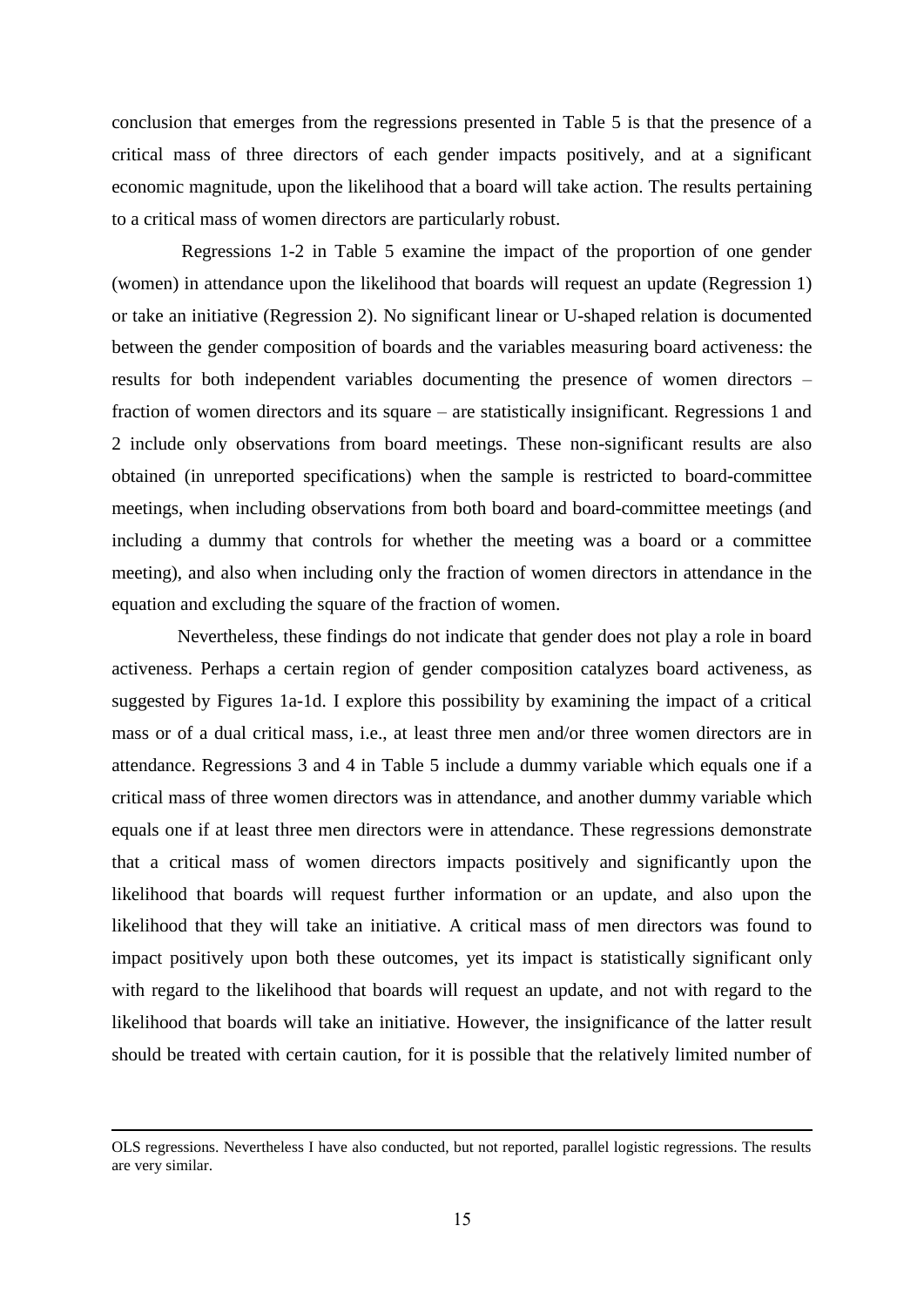conclusion that emerges from the regressions presented in Table 5 is that the presence of a critical mass of three directors of each gender impacts positively, and at a significant economic magnitude, upon the likelihood that a board will take action. The results pertaining to a critical mass of women directors are particularly robust.

Regressions 1-2 in Table 5 examine the impact of the proportion of one gender (women) in attendance upon the likelihood that boards will request an update (Regression 1) or take an initiative (Regression 2). No significant linear or U-shaped relation is documented between the gender composition of boards and the variables measuring board activeness: the results for both independent variables documenting the presence of women directors – fraction of women directors and its square – are statistically insignificant. Regressions 1 and 2 include only observations from board meetings. These non-significant results are also obtained (in unreported specifications) when the sample is restricted to board-committee meetings, when including observations from both board and board-committee meetings (and including a dummy that controls for whether the meeting was a board or a committee meeting), and also when including only the fraction of women directors in attendance in the equation and excluding the square of the fraction of women.

Nevertheless, these findings do not indicate that gender does not play a role in board activeness. Perhaps a certain region of gender composition catalyzes board activeness, as suggested by Figures 1a-1d. I explore this possibility by examining the impact of a critical mass or of a dual critical mass, i.e., at least three men and/or three women directors are in attendance. Regressions 3 and 4 in Table 5 include a dummy variable which equals one if a critical mass of three women directors was in attendance, and another dummy variable which equals one if at least three men directors were in attendance. These regressions demonstrate that a critical mass of women directors impacts positively and significantly upon the likelihood that boards will request further information or an update, and also upon the likelihood that they will take an initiative. A critical mass of men directors was found to impact positively upon both these outcomes, yet its impact is statistically significant only with regard to the likelihood that boards will request an update, and not with regard to the likelihood that boards will take an initiative. However, the insignificance of the latter result should be treated with certain caution, for it is possible that the relatively limited number of

OLS regressions. Nevertheless I have also conducted, but not reported, parallel logistic regressions. The results are very similar.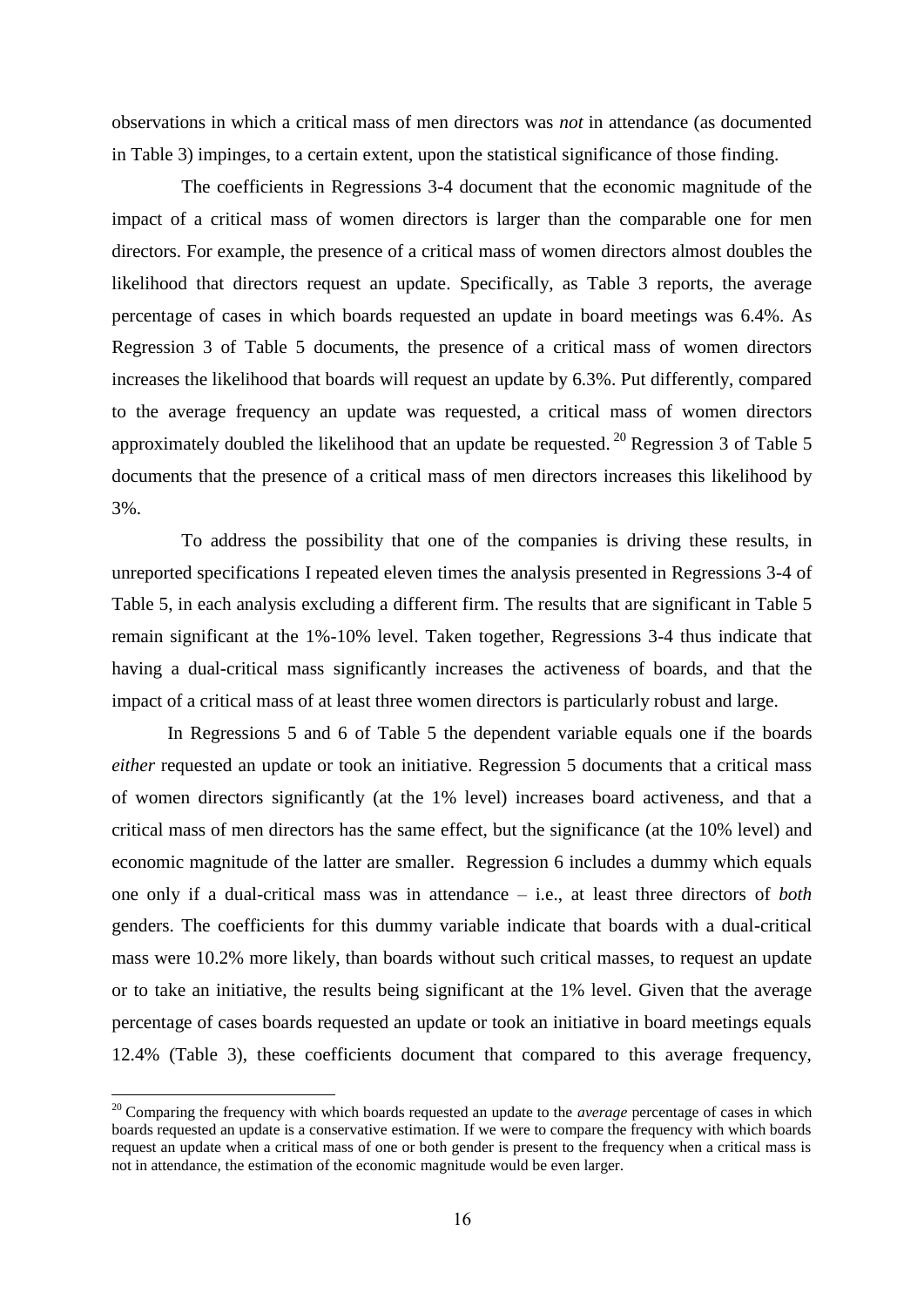observations in which a critical mass of men directors was *not* in attendance (as documented in Table 3) impinges, to a certain extent, upon the statistical significance of those finding.

The coefficients in Regressions 3-4 document that the economic magnitude of the impact of a critical mass of women directors is larger than the comparable one for men directors. For example, the presence of a critical mass of women directors almost doubles the likelihood that directors request an update. Specifically, as Table 3 reports, the average percentage of cases in which boards requested an update in board meetings was 6.4%. As Regression 3 of Table 5 documents, the presence of a critical mass of women directors increases the likelihood that boards will request an update by 6.3%. Put differently, compared to the average frequency an update was requested, a critical mass of women directors approximately doubled the likelihood that an update be requested.<sup>20</sup> Regression 3 of Table 5 documents that the presence of a critical mass of men directors increases this likelihood by 3%.

To address the possibility that one of the companies is driving these results, in unreported specifications I repeated eleven times the analysis presented in Regressions 3-4 of Table 5, in each analysis excluding a different firm. The results that are significant in Table 5 remain significant at the 1%-10% level. Taken together, Regressions 3-4 thus indicate that having a dual-critical mass significantly increases the activeness of boards, and that the impact of a critical mass of at least three women directors is particularly robust and large.

In Regressions 5 and 6 of Table 5 the dependent variable equals one if the boards *either* requested an update or took an initiative. Regression 5 documents that a critical mass of women directors significantly (at the 1% level) increases board activeness, and that a critical mass of men directors has the same effect, but the significance (at the 10% level) and economic magnitude of the latter are smaller. Regression 6 includes a dummy which equals one only if a dual-critical mass was in attendance – i.e., at least three directors of *both* genders. The coefficients for this dummy variable indicate that boards with a dual-critical mass were 10.2% more likely, than boards without such critical masses, to request an update or to take an initiative, the results being significant at the 1% level. Given that the average percentage of cases boards requested an update or took an initiative in board meetings equals 12.4% (Table 3), these coefficients document that compared to this average frequency,

<sup>&</sup>lt;sup>20</sup> Comparing the frequency with which boards requested an update to the *average* percentage of cases in which boards requested an update is a conservative estimation. If we were to compare the frequency with which boards request an update when a critical mass of one or both gender is present to the frequency when a critical mass is not in attendance, the estimation of the economic magnitude would be even larger.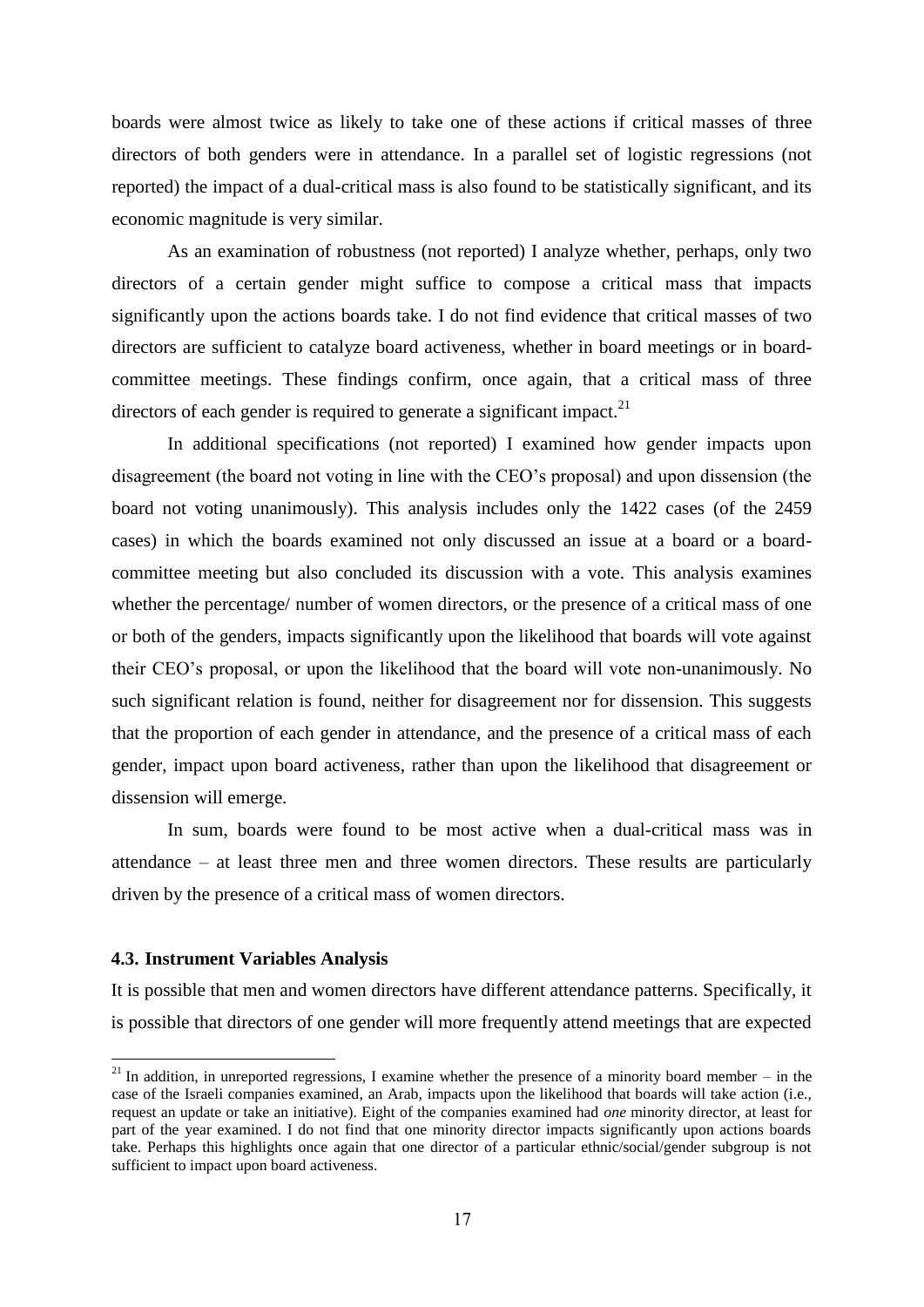boards were almost twice as likely to take one of these actions if critical masses of three directors of both genders were in attendance. In a parallel set of logistic regressions (not reported) the impact of a dual-critical mass is also found to be statistically significant, and its economic magnitude is very similar.

As an examination of robustness (not reported) I analyze whether, perhaps, only two directors of a certain gender might suffice to compose a critical mass that impacts significantly upon the actions boards take. I do not find evidence that critical masses of two directors are sufficient to catalyze board activeness, whether in board meetings or in boardcommittee meetings. These findings confirm, once again, that a critical mass of three directors of each gender is required to generate a significant impact. $2<sup>1</sup>$ 

In additional specifications (not reported) I examined how gender impacts upon disagreement (the board not voting in line with the CEO's proposal) and upon dissension (the board not voting unanimously). This analysis includes only the 1422 cases (of the 2459 cases) in which the boards examined not only discussed an issue at a board or a boardcommittee meeting but also concluded its discussion with a vote. This analysis examines whether the percentage/ number of women directors, or the presence of a critical mass of one or both of the genders, impacts significantly upon the likelihood that boards will vote against their CEO's proposal, or upon the likelihood that the board will vote non-unanimously. No such significant relation is found, neither for disagreement nor for dissension. This suggests that the proportion of each gender in attendance, and the presence of a critical mass of each gender, impact upon board activeness, rather than upon the likelihood that disagreement or dissension will emerge.

In sum, boards were found to be most active when a dual-critical mass was in attendance – at least three men and three women directors. These results are particularly driven by the presence of a critical mass of women directors.

## **4.3. Instrument Variables Analysis**

 $\overline{a}$ 

It is possible that men and women directors have different attendance patterns. Specifically, it is possible that directors of one gender will more frequently attend meetings that are expected

 $21$  In addition, in unreported regressions, I examine whether the presence of a minority board member – in the case of the Israeli companies examined, an Arab, impacts upon the likelihood that boards will take action (i.e., request an update or take an initiative). Eight of the companies examined had *one* minority director, at least for part of the year examined. I do not find that one minority director impacts significantly upon actions boards take. Perhaps this highlights once again that one director of a particular ethnic/social/gender subgroup is not sufficient to impact upon board activeness.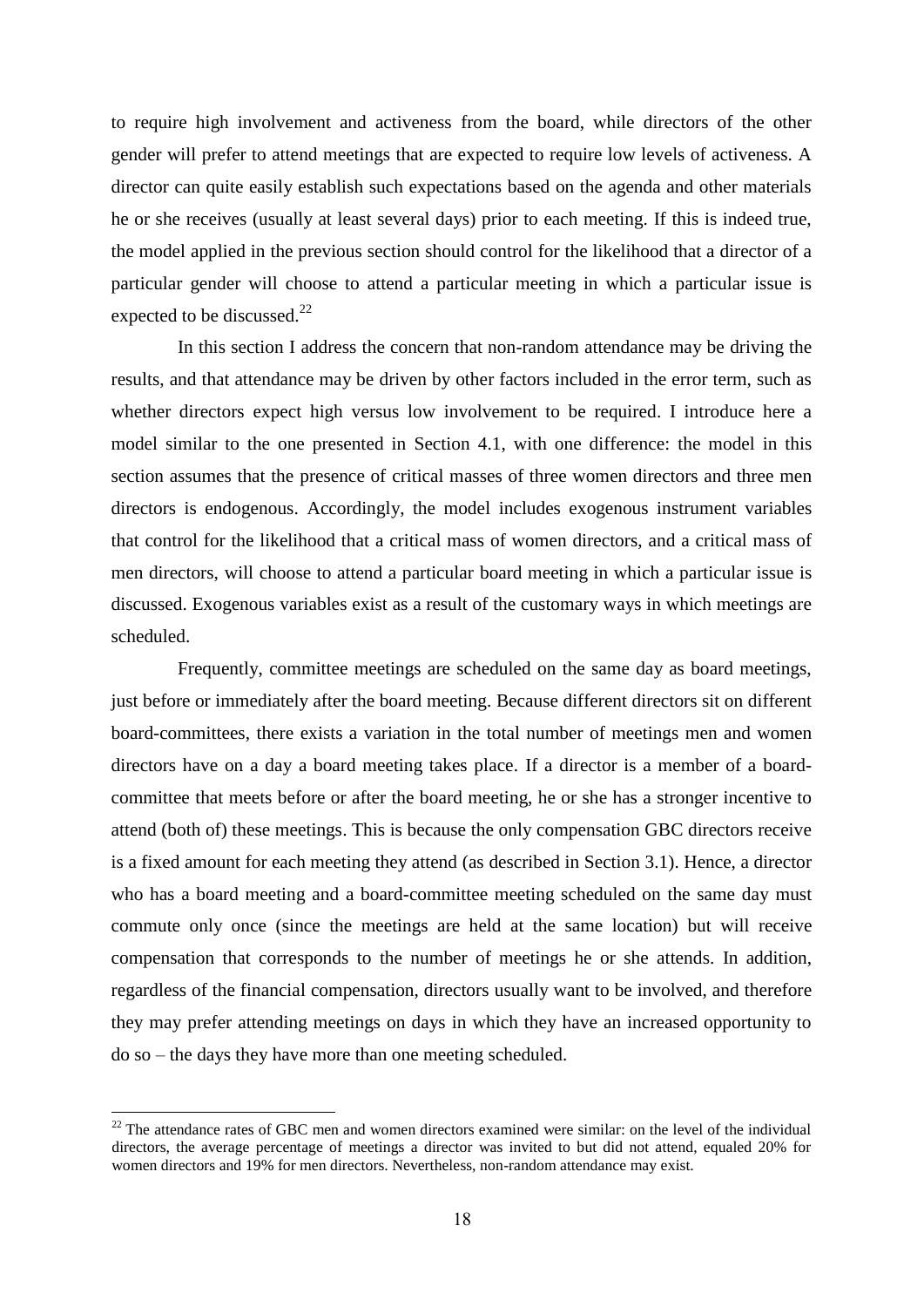to require high involvement and activeness from the board, while directors of the other gender will prefer to attend meetings that are expected to require low levels of activeness. A director can quite easily establish such expectations based on the agenda and other materials he or she receives (usually at least several days) prior to each meeting. If this is indeed true, the model applied in the previous section should control for the likelihood that a director of a particular gender will choose to attend a particular meeting in which a particular issue is expected to be discussed.<sup>22</sup>

In this section I address the concern that non-random attendance may be driving the results, and that attendance may be driven by other factors included in the error term, such as whether directors expect high versus low involvement to be required. I introduce here a model similar to the one presented in Section 4.1, with one difference: the model in this section assumes that the presence of critical masses of three women directors and three men directors is endogenous. Accordingly, the model includes exogenous instrument variables that control for the likelihood that a critical mass of women directors, and a critical mass of men directors, will choose to attend a particular board meeting in which a particular issue is discussed. Exogenous variables exist as a result of the customary ways in which meetings are scheduled.

Frequently, committee meetings are scheduled on the same day as board meetings, just before or immediately after the board meeting. Because different directors sit on different board-committees, there exists a variation in the total number of meetings men and women directors have on a day a board meeting takes place. If a director is a member of a boardcommittee that meets before or after the board meeting, he or she has a stronger incentive to attend (both of) these meetings. This is because the only compensation GBC directors receive is a fixed amount for each meeting they attend (as described in Section 3.1). Hence, a director who has a board meeting and a board-committee meeting scheduled on the same day must commute only once (since the meetings are held at the same location) but will receive compensation that corresponds to the number of meetings he or she attends. In addition, regardless of the financial compensation, directors usually want to be involved, and therefore they may prefer attending meetings on days in which they have an increased opportunity to do so – the days they have more than one meeting scheduled.

 $22$  The attendance rates of GBC men and women directors examined were similar: on the level of the individual directors, the average percentage of meetings a director was invited to but did not attend, equaled 20% for women directors and 19% for men directors. Nevertheless, non-random attendance may exist.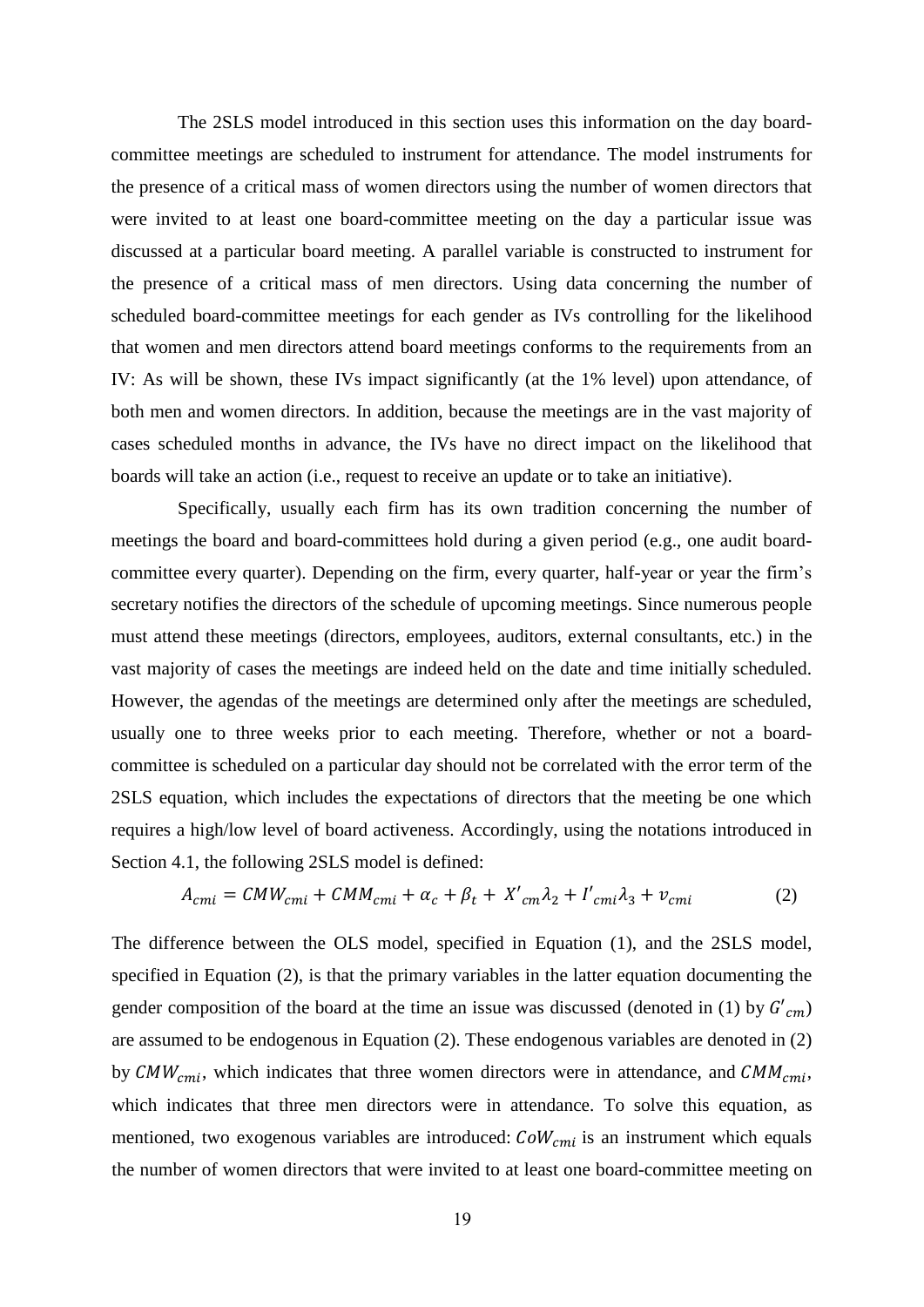The 2SLS model introduced in this section uses this information on the day boardcommittee meetings are scheduled to instrument for attendance. The model instruments for the presence of a critical mass of women directors using the number of women directors that were invited to at least one board-committee meeting on the day a particular issue was discussed at a particular board meeting. A parallel variable is constructed to instrument for the presence of a critical mass of men directors. Using data concerning the number of scheduled board-committee meetings for each gender as IVs controlling for the likelihood that women and men directors attend board meetings conforms to the requirements from an IV: As will be shown, these IVs impact significantly (at the 1% level) upon attendance, of both men and women directors. In addition, because the meetings are in the vast majority of cases scheduled months in advance, the IVs have no direct impact on the likelihood that boards will take an action (i.e., request to receive an update or to take an initiative).

Specifically, usually each firm has its own tradition concerning the number of meetings the board and board-committees hold during a given period (e.g., one audit boardcommittee every quarter). Depending on the firm, every quarter, half-year or year the firm's secretary notifies the directors of the schedule of upcoming meetings. Since numerous people must attend these meetings (directors, employees, auditors, external consultants, etc.) in the vast majority of cases the meetings are indeed held on the date and time initially scheduled. However, the agendas of the meetings are determined only after the meetings are scheduled, usually one to three weeks prior to each meeting. Therefore, whether or not a boardcommittee is scheduled on a particular day should not be correlated with the error term of the 2SLS equation, which includes the expectations of directors that the meeting be one which requires a high/low level of board activeness. Accordingly, using the notations introduced in Section 4.1, the following 2SLS model is defined:

$$
A_{cmi} = CMW_{cmi} + CMM_{cmi} + \alpha_c + \beta_t + X'_{cm} \lambda_2 + I'_{cmi} \lambda_3 + v_{cmi}
$$
 (2)

The difference between the OLS model, specified in Equation (1), and the 2SLS model, specified in Equation (2), is that the primary variables in the latter equation documenting the gender composition of the board at the time an issue was discussed (denoted in (1) by  $G'_{cm}$ ) are assumed to be endogenous in Equation (2). These endogenous variables are denoted in (2) by  $CMW_{cmi}$ , which indicates that three women directors were in attendance, and  $CMM_{cmi}$ , which indicates that three men directors were in attendance. To solve this equation, as mentioned, two exogenous variables are introduced:  $CoW_{cmi}$  is an instrument which equals the number of women directors that were invited to at least one board-committee meeting on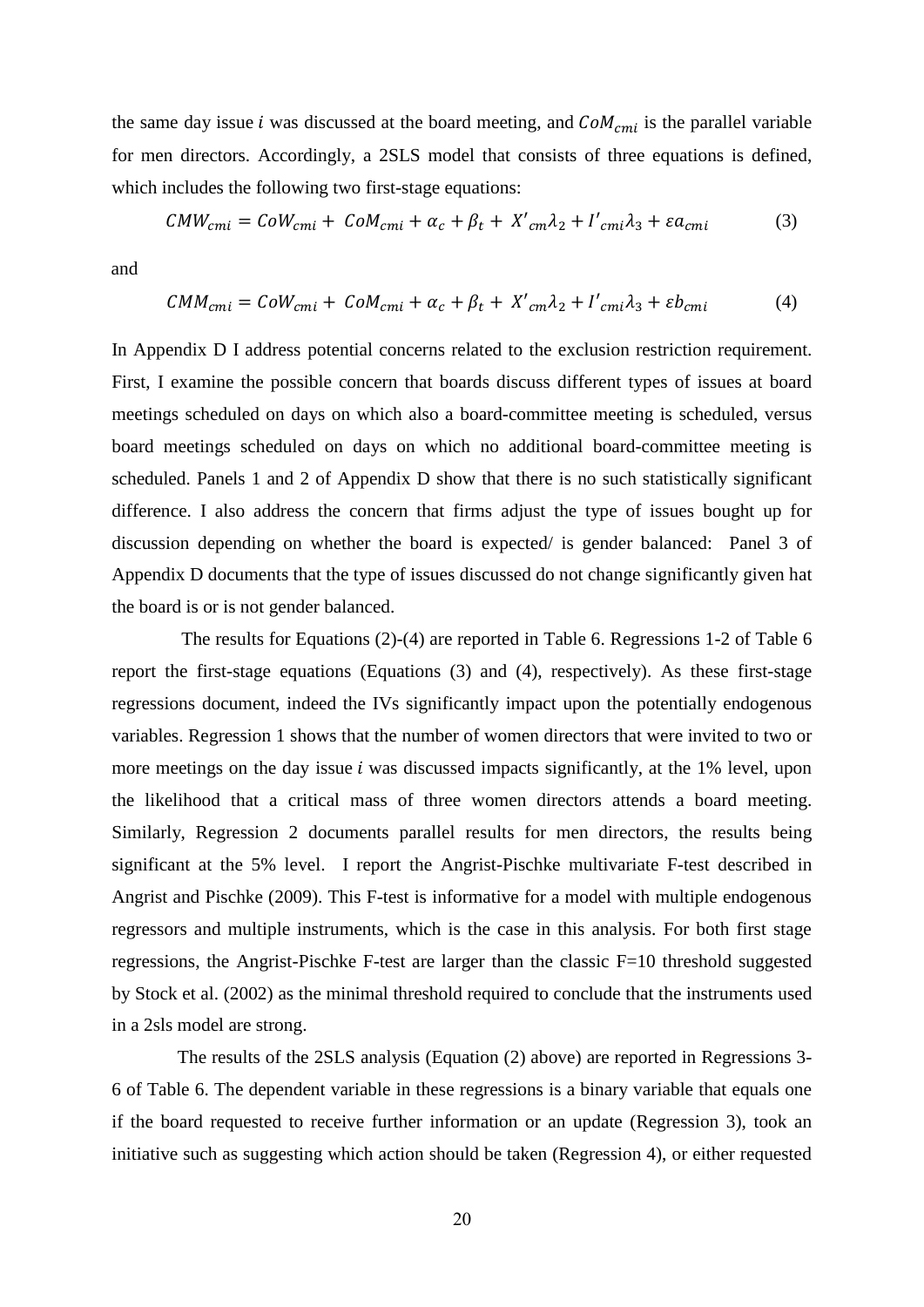the same day issue i was discussed at the board meeting, and  $CoM_{cmi}$  is the parallel variable for men directors. Accordingly, a 2SLS model that consists of three equations is defined, which includes the following two first-stage equations:

$$
CMW_{cmi} = CoW_{cmi} + CoM_{cmi} + \alpha_c + \beta_t + X'_{cm}\lambda_2 + I'_{cmi}\lambda_3 + \varepsilon a_{cmi}
$$
 (3)

and

$$
CMM_{cmi} = CoW_{cmi} + CoM_{cmi} + \alpha_c + \beta_t + X'_{cm}\lambda_2 + I'_{cmi}\lambda_3 + \varepsilon b_{cmi}
$$
 (4)

In Appendix D I address potential concerns related to the exclusion restriction requirement. First, I examine the possible concern that boards discuss different types of issues at board meetings scheduled on days on which also a board-committee meeting is scheduled, versus board meetings scheduled on days on which no additional board-committee meeting is scheduled. Panels 1 and 2 of Appendix D show that there is no such statistically significant difference. I also address the concern that firms adjust the type of issues bought up for discussion depending on whether the board is expected/ is gender balanced: Panel 3 of Appendix D documents that the type of issues discussed do not change significantly given hat the board is or is not gender balanced.

The results for Equations (2)-(4) are reported in Table 6. Regressions 1-2 of Table 6 report the first-stage equations (Equations (3) and (4), respectively). As these first-stage regressions document, indeed the IVs significantly impact upon the potentially endogenous variables. Regression 1 shows that the number of women directors that were invited to two or more meetings on the day issue  $i$  was discussed impacts significantly, at the 1% level, upon the likelihood that a critical mass of three women directors attends a board meeting. Similarly, Regression 2 documents parallel results for men directors, the results being significant at the 5% level. I report the Angrist-Pischke multivariate F-test described in Angrist and Pischke (2009). This F-test is informative for a model with multiple endogenous regressors and multiple instruments, which is the case in this analysis. For both first stage regressions, the Angrist-Pischke F-test are larger than the classic F=10 threshold suggested by Stock et al. (2002) as the minimal threshold required to conclude that the instruments used in a 2sls model are strong.

The results of the 2SLS analysis (Equation (2) above) are reported in Regressions 3- 6 of Table 6. The dependent variable in these regressions is a binary variable that equals one if the board requested to receive further information or an update (Regression 3), took an initiative such as suggesting which action should be taken (Regression 4), or either requested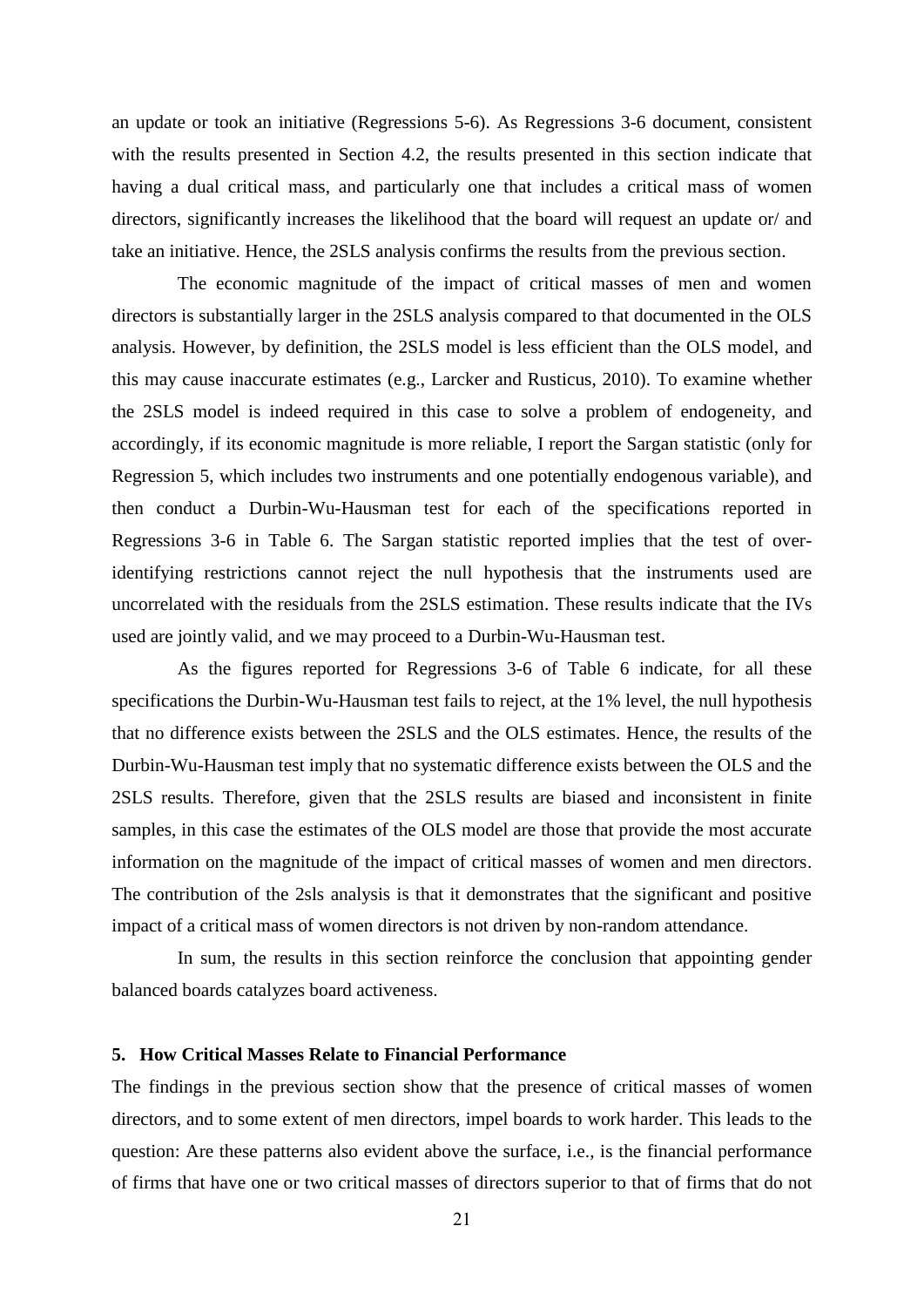an update or took an initiative (Regressions 5-6). As Regressions 3-6 document, consistent with the results presented in Section 4.2, the results presented in this section indicate that having a dual critical mass, and particularly one that includes a critical mass of women directors, significantly increases the likelihood that the board will request an update or/ and take an initiative. Hence, the 2SLS analysis confirms the results from the previous section.

The economic magnitude of the impact of critical masses of men and women directors is substantially larger in the 2SLS analysis compared to that documented in the OLS analysis. However, by definition, the 2SLS model is less efficient than the OLS model, and this may cause inaccurate estimates (e.g., Larcker and Rusticus, 2010). To examine whether the 2SLS model is indeed required in this case to solve a problem of endogeneity, and accordingly, if its economic magnitude is more reliable, I report the Sargan statistic (only for Regression 5, which includes two instruments and one potentially endogenous variable), and then conduct a Durbin-Wu-Hausman test for each of the specifications reported in Regressions 3-6 in Table 6. The Sargan statistic reported implies that the test of overidentifying restrictions cannot reject the null hypothesis that the instruments used are uncorrelated with the residuals from the 2SLS estimation. These results indicate that the IVs used are jointly valid, and we may proceed to a Durbin-Wu-Hausman test.

As the figures reported for Regressions 3-6 of Table 6 indicate, for all these specifications the Durbin-Wu-Hausman test fails to reject, at the 1% level, the null hypothesis that no difference exists between the 2SLS and the OLS estimates. Hence, the results of the Durbin-Wu-Hausman test imply that no systematic difference exists between the OLS and the 2SLS results. Therefore, given that the 2SLS results are biased and inconsistent in finite samples, in this case the estimates of the OLS model are those that provide the most accurate information on the magnitude of the impact of critical masses of women and men directors. The contribution of the 2sls analysis is that it demonstrates that the significant and positive impact of a critical mass of women directors is not driven by non-random attendance.

In sum, the results in this section reinforce the conclusion that appointing gender balanced boards catalyzes board activeness.

# **5. How Critical Masses Relate to Financial Performance**

The findings in the previous section show that the presence of critical masses of women directors, and to some extent of men directors, impel boards to work harder. This leads to the question: Are these patterns also evident above the surface, i.e., is the financial performance of firms that have one or two critical masses of directors superior to that of firms that do not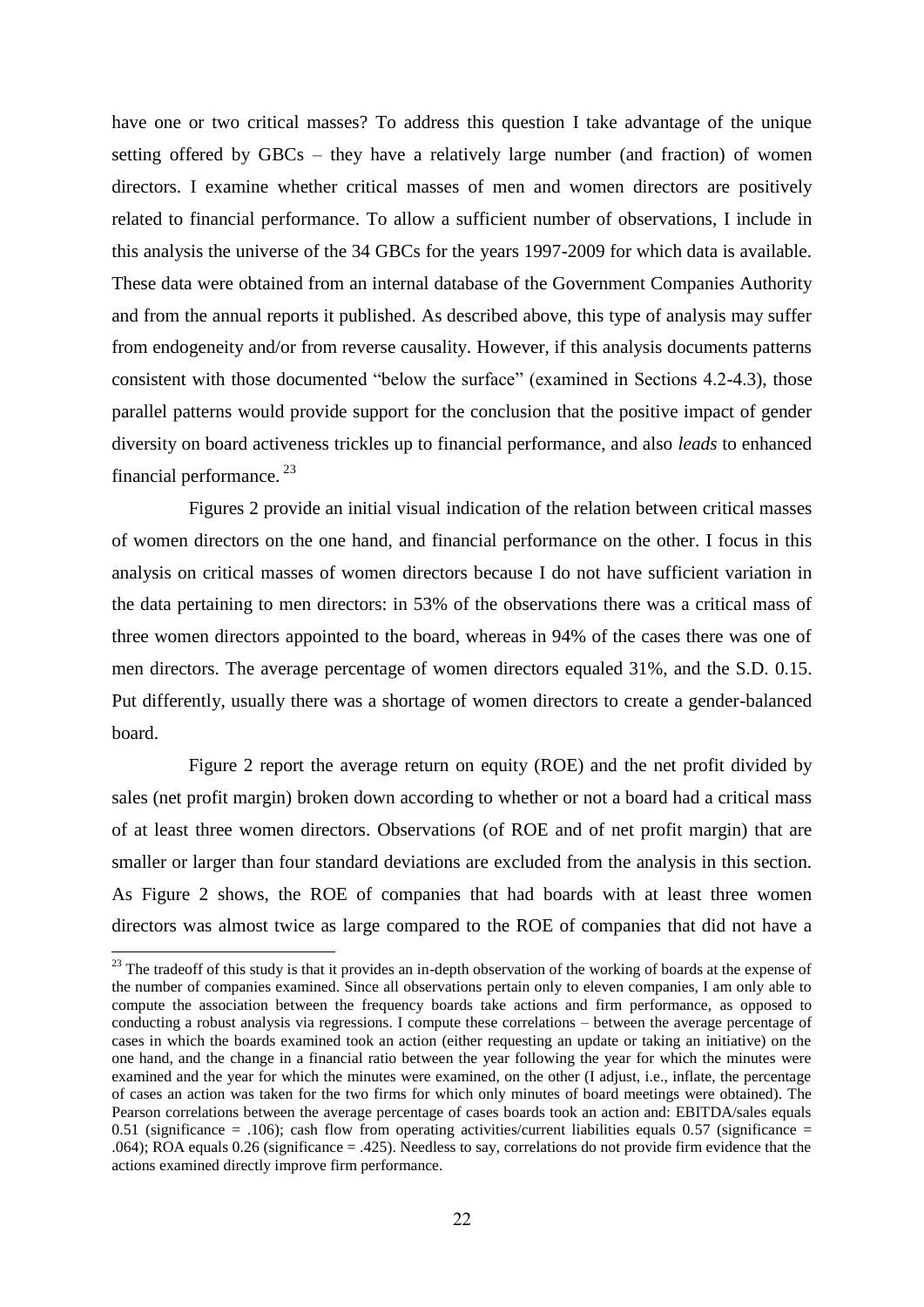have one or two critical masses? To address this question I take advantage of the unique setting offered by GBCs – they have a relatively large number (and fraction) of women directors. I examine whether critical masses of men and women directors are positively related to financial performance. To allow a sufficient number of observations, I include in this analysis the universe of the 34 GBCs for the years 1997-2009 for which data is available. These data were obtained from an internal database of the Government Companies Authority and from the annual reports it published. As described above, this type of analysis may suffer from endogeneity and/or from reverse causality. However, if this analysis documents patterns consistent with those documented "below the surface" (examined in Sections 4.2-4.3), those parallel patterns would provide support for the conclusion that the positive impact of gender diversity on board activeness trickles up to financial performance, and also *leads* to enhanced financial performance.<sup>23</sup>

Figures 2 provide an initial visual indication of the relation between critical masses of women directors on the one hand, and financial performance on the other. I focus in this analysis on critical masses of women directors because I do not have sufficient variation in the data pertaining to men directors: in 53% of the observations there was a critical mass of three women directors appointed to the board, whereas in 94% of the cases there was one of men directors. The average percentage of women directors equaled 31%, and the S.D. 0.15. Put differently, usually there was a shortage of women directors to create a gender-balanced board.

Figure 2 report the average return on equity (ROE) and the net profit divided by sales (net profit margin) broken down according to whether or not a board had a critical mass of at least three women directors. Observations (of ROE and of net profit margin) that are smaller or larger than four standard deviations are excluded from the analysis in this section. As Figure 2 shows, the ROE of companies that had boards with at least three women directors was almost twice as large compared to the ROE of companies that did not have a

1

 $23$  The tradeoff of this study is that it provides an in-depth observation of the working of boards at the expense of the number of companies examined. Since all observations pertain only to eleven companies, I am only able to compute the association between the frequency boards take actions and firm performance, as opposed to conducting a robust analysis via regressions. I compute these correlations – between the average percentage of cases in which the boards examined took an action (either requesting an update or taking an initiative) on the one hand, and the change in a financial ratio between the year following the year for which the minutes were examined and the year for which the minutes were examined, on the other (I adjust, i.e., inflate, the percentage of cases an action was taken for the two firms for which only minutes of board meetings were obtained). The Pearson correlations between the average percentage of cases boards took an action and: EBITDA/sales equals 0.51 (significance = .106); cash flow from operating activities/current liabilities equals 0.57 (significance = .064); ROA equals 0.26 (significance = .425). Needless to say, correlations do not provide firm evidence that the actions examined directly improve firm performance.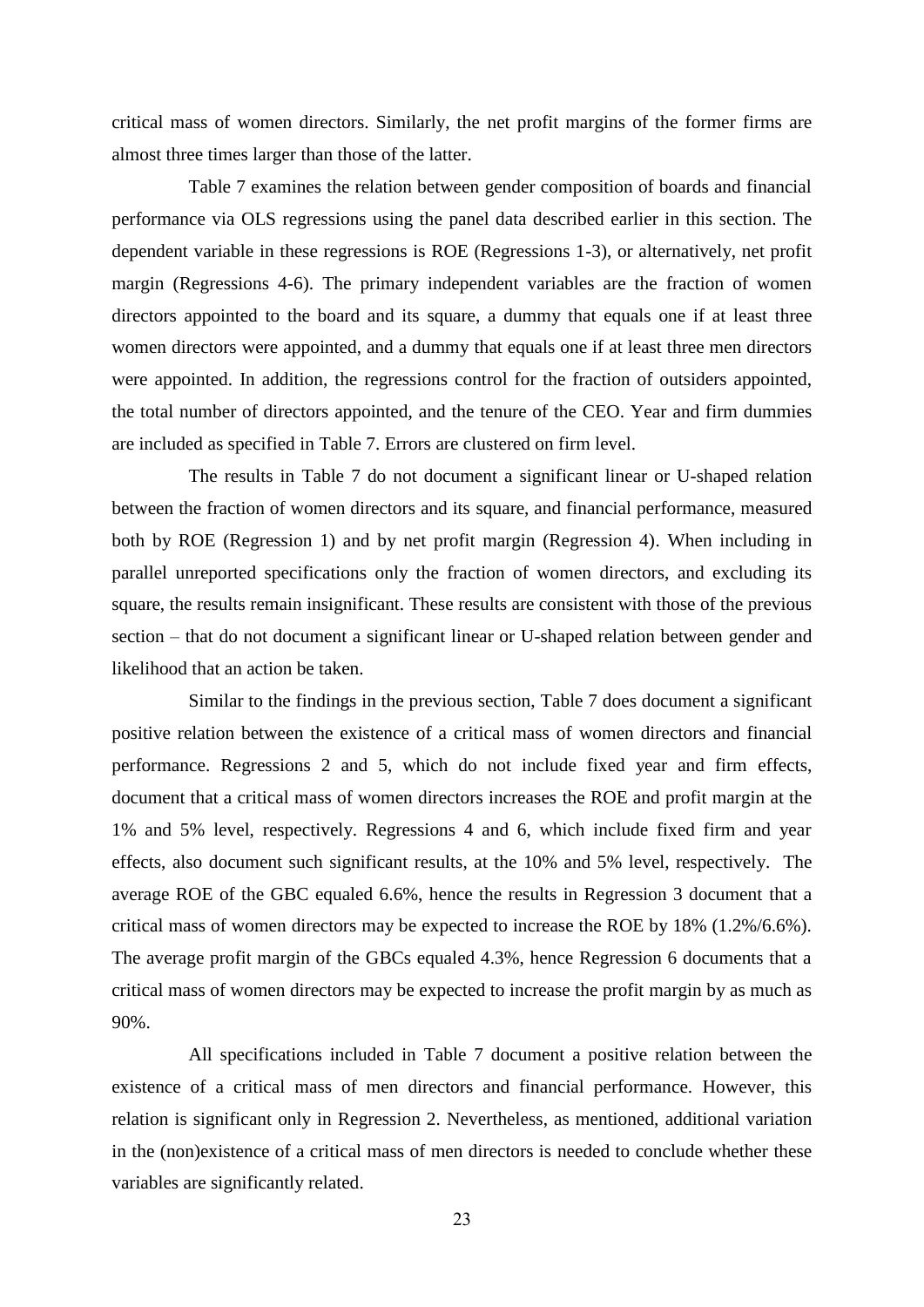critical mass of women directors. Similarly, the net profit margins of the former firms are almost three times larger than those of the latter.

Table 7 examines the relation between gender composition of boards and financial performance via OLS regressions using the panel data described earlier in this section. The dependent variable in these regressions is ROE (Regressions 1-3), or alternatively, net profit margin (Regressions 4-6). The primary independent variables are the fraction of women directors appointed to the board and its square, a dummy that equals one if at least three women directors were appointed, and a dummy that equals one if at least three men directors were appointed. In addition, the regressions control for the fraction of outsiders appointed, the total number of directors appointed, and the tenure of the CEO. Year and firm dummies are included as specified in Table 7. Errors are clustered on firm level.

The results in Table 7 do not document a significant linear or U-shaped relation between the fraction of women directors and its square, and financial performance, measured both by ROE (Regression 1) and by net profit margin (Regression 4). When including in parallel unreported specifications only the fraction of women directors, and excluding its square, the results remain insignificant. These results are consistent with those of the previous section – that do not document a significant linear or U-shaped relation between gender and likelihood that an action be taken.

Similar to the findings in the previous section, Table 7 does document a significant positive relation between the existence of a critical mass of women directors and financial performance. Regressions 2 and 5, which do not include fixed year and firm effects, document that a critical mass of women directors increases the ROE and profit margin at the 1% and 5% level, respectively. Regressions 4 and 6, which include fixed firm and year effects, also document such significant results, at the 10% and 5% level, respectively. The average ROE of the GBC equaled 6.6%, hence the results in Regression 3 document that a critical mass of women directors may be expected to increase the ROE by 18% (1.2%/6.6%). The average profit margin of the GBCs equaled 4.3%, hence Regression 6 documents that a critical mass of women directors may be expected to increase the profit margin by as much as 90%.

All specifications included in Table 7 document a positive relation between the existence of a critical mass of men directors and financial performance. However, this relation is significant only in Regression 2. Nevertheless, as mentioned, additional variation in the (non)existence of a critical mass of men directors is needed to conclude whether these variables are significantly related.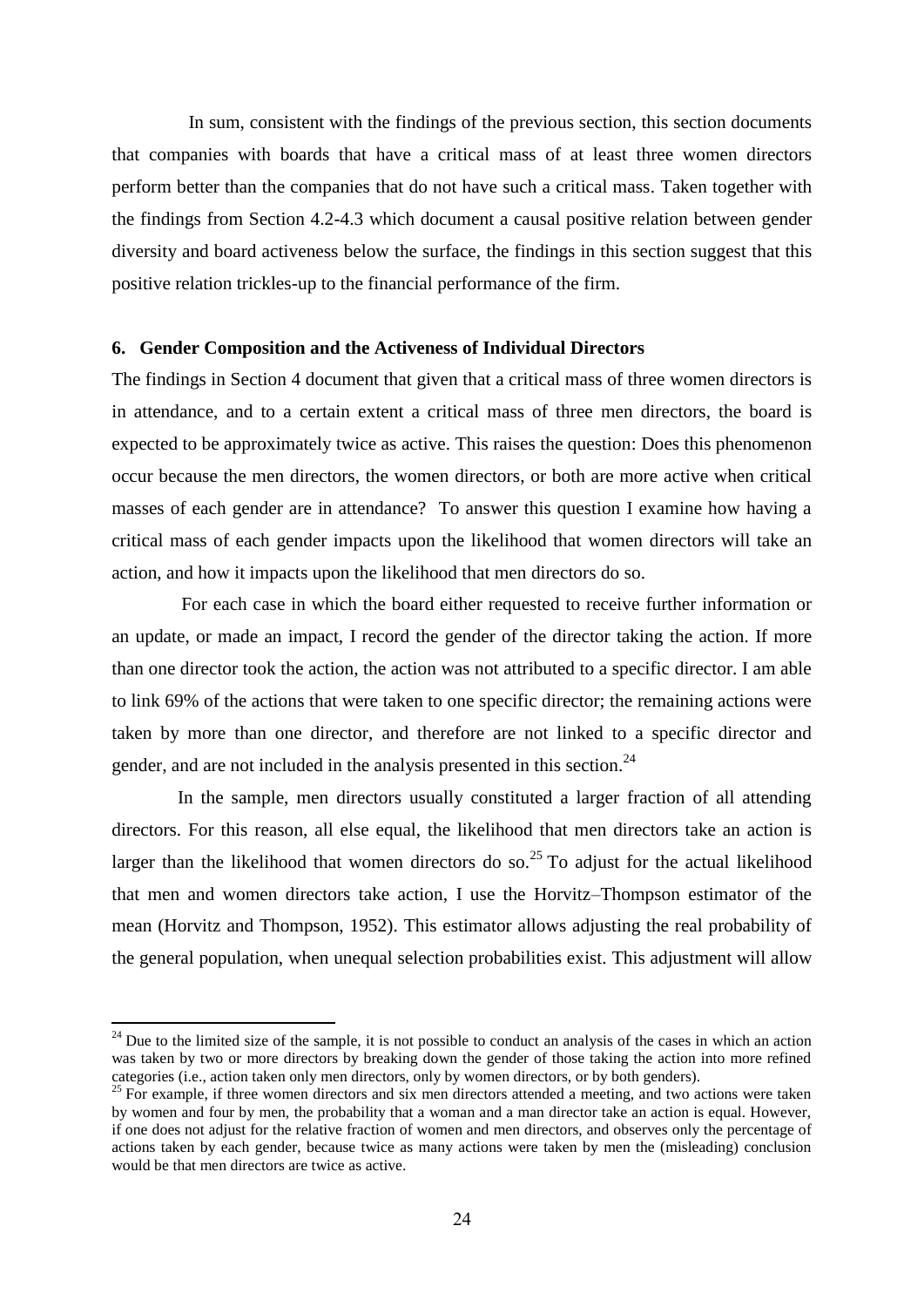In sum, consistent with the findings of the previous section, this section documents that companies with boards that have a critical mass of at least three women directors perform better than the companies that do not have such a critical mass. Taken together with the findings from Section 4.2-4.3 which document a causal positive relation between gender diversity and board activeness below the surface, the findings in this section suggest that this positive relation trickles-up to the financial performance of the firm.

### **6. Gender Composition and the Activeness of Individual Directors**

The findings in Section 4 document that given that a critical mass of three women directors is in attendance, and to a certain extent a critical mass of three men directors, the board is expected to be approximately twice as active. This raises the question: Does this phenomenon occur because the men directors, the women directors, or both are more active when critical masses of each gender are in attendance? To answer this question I examine how having a critical mass of each gender impacts upon the likelihood that women directors will take an action, and how it impacts upon the likelihood that men directors do so.

For each case in which the board either requested to receive further information or an update, or made an impact, I record the gender of the director taking the action. If more than one director took the action, the action was not attributed to a specific director. I am able to link 69% of the actions that were taken to one specific director; the remaining actions were taken by more than one director, and therefore are not linked to a specific director and gender, and are not included in the analysis presented in this section.<sup>24</sup>

In the sample, men directors usually constituted a larger fraction of all attending directors. For this reason, all else equal, the likelihood that men directors take an action is larger than the likelihood that women directors do so.<sup>25</sup> To adjust for the actual likelihood that men and women directors take action, I use the Horvitz–Thompson estimator of the mean (Horvitz and Thompson, 1952). This estimator allows adjusting the real probability of the general population, when unequal selection probabilities exist. This adjustment will allow

 $24$  Due to the limited size of the sample, it is not possible to conduct an analysis of the cases in which an action was taken by two or more directors by breaking down the gender of those taking the action into more refined categories (i.e., action taken only men directors, only by women directors, or by both genders).

<sup>&</sup>lt;sup>25</sup> For example, if three women directors and six men directors attended a meeting, and two actions were taken by women and four by men, the probability that a woman and a man director take an action is equal. However, if one does not adjust for the relative fraction of women and men directors, and observes only the percentage of actions taken by each gender, because twice as many actions were taken by men the (misleading) conclusion would be that men directors are twice as active.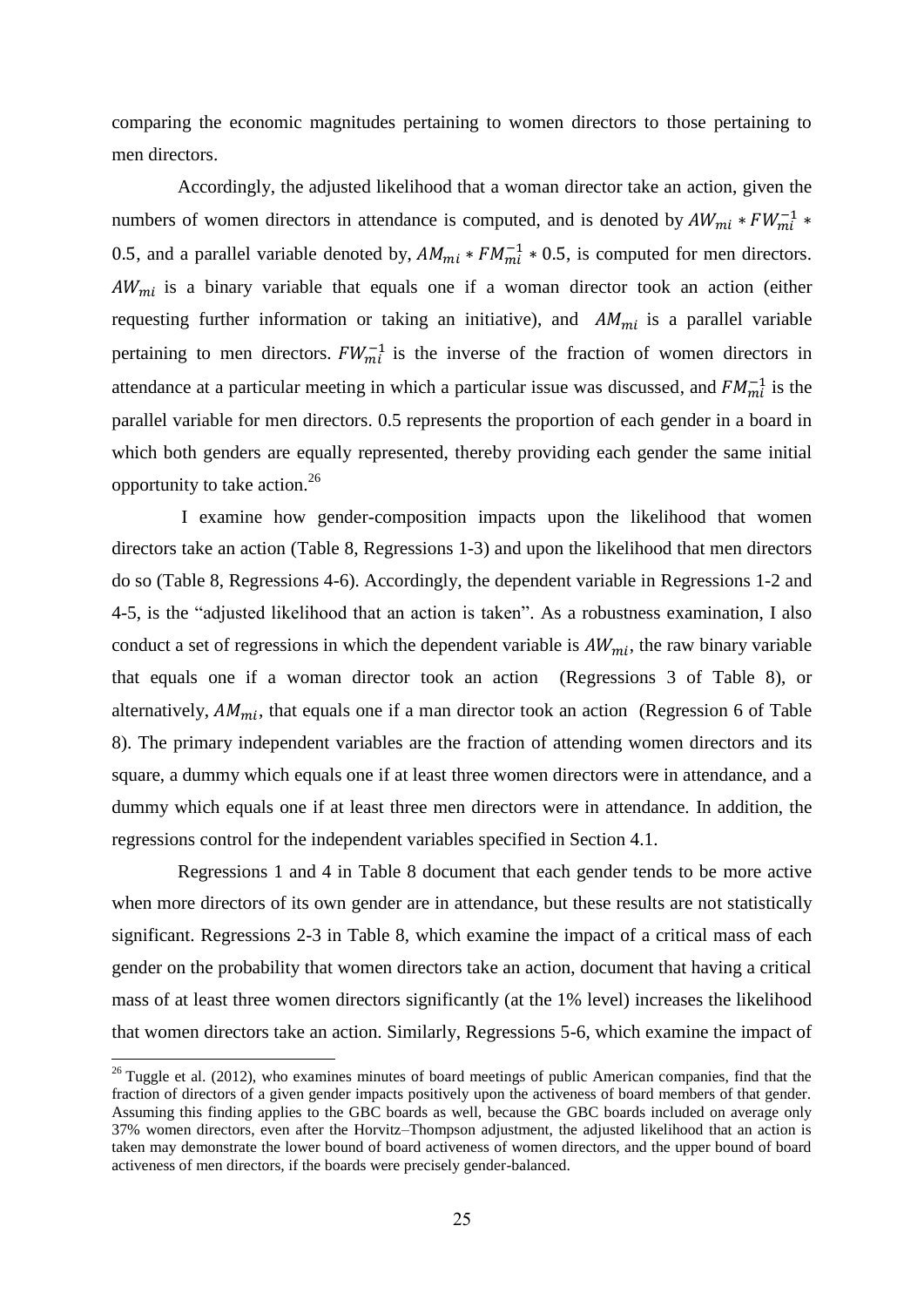comparing the economic magnitudes pertaining to women directors to those pertaining to men directors.

Accordingly, the adjusted likelihood that a woman director take an action, given the numbers of women directors in attendance is computed, and is denoted by  $AW_{mi} * FW_{mi}^{-1} *$ 0.5, and a parallel variable denoted by,  $AM_{mi} * FM_{mi}^{-1} * 0.5$ , is computed for men directors.  $AW_{mi}$  is a binary variable that equals one if a woman director took an action (either requesting further information or taking an initiative), and  $AM_{mi}$  is a parallel variable pertaining to men directors.  $FW_{mi}^{-1}$  is the inverse of the fraction of women directors in attendance at a particular meeting in which a particular issue was discussed, and  $FM_{mi}^{-1}$  is the parallel variable for men directors. 0.5 represents the proportion of each gender in a board in which both genders are equally represented, thereby providing each gender the same initial opportunity to take action.<sup>26</sup>

I examine how gender-composition impacts upon the likelihood that women directors take an action (Table 8, Regressions 1-3) and upon the likelihood that men directors do so (Table 8, Regressions 4-6). Accordingly, the dependent variable in Regressions 1-2 and 4-5, is the "adjusted likelihood that an action is taken". As a robustness examination, I also conduct a set of regressions in which the dependent variable is  $AW_{mi}$ , the raw binary variable that equals one if a woman director took an action (Regressions 3 of Table 8), or alternatively,  $AM_{mi}$ , that equals one if a man director took an action (Regression 6 of Table 8). The primary independent variables are the fraction of attending women directors and its square, a dummy which equals one if at least three women directors were in attendance, and a dummy which equals one if at least three men directors were in attendance. In addition, the regressions control for the independent variables specified in Section 4.1.

Regressions 1 and 4 in Table 8 document that each gender tends to be more active when more directors of its own gender are in attendance, but these results are not statistically significant. Regressions 2-3 in Table 8, which examine the impact of a critical mass of each gender on the probability that women directors take an action, document that having a critical mass of at least three women directors significantly (at the 1% level) increases the likelihood that women directors take an action. Similarly, Regressions 5-6, which examine the impact of

 $\overline{a}$ 

 $26$  Tuggle et al. (2012), who examines minutes of board meetings of public American companies, find that the fraction of directors of a given gender impacts positively upon the activeness of board members of that gender. Assuming this finding applies to the GBC boards as well, because the GBC boards included on average only 37% women directors, even after the Horvitz–Thompson adjustment, the adjusted likelihood that an action is taken may demonstrate the lower bound of board activeness of women directors, and the upper bound of board activeness of men directors, if the boards were precisely gender-balanced.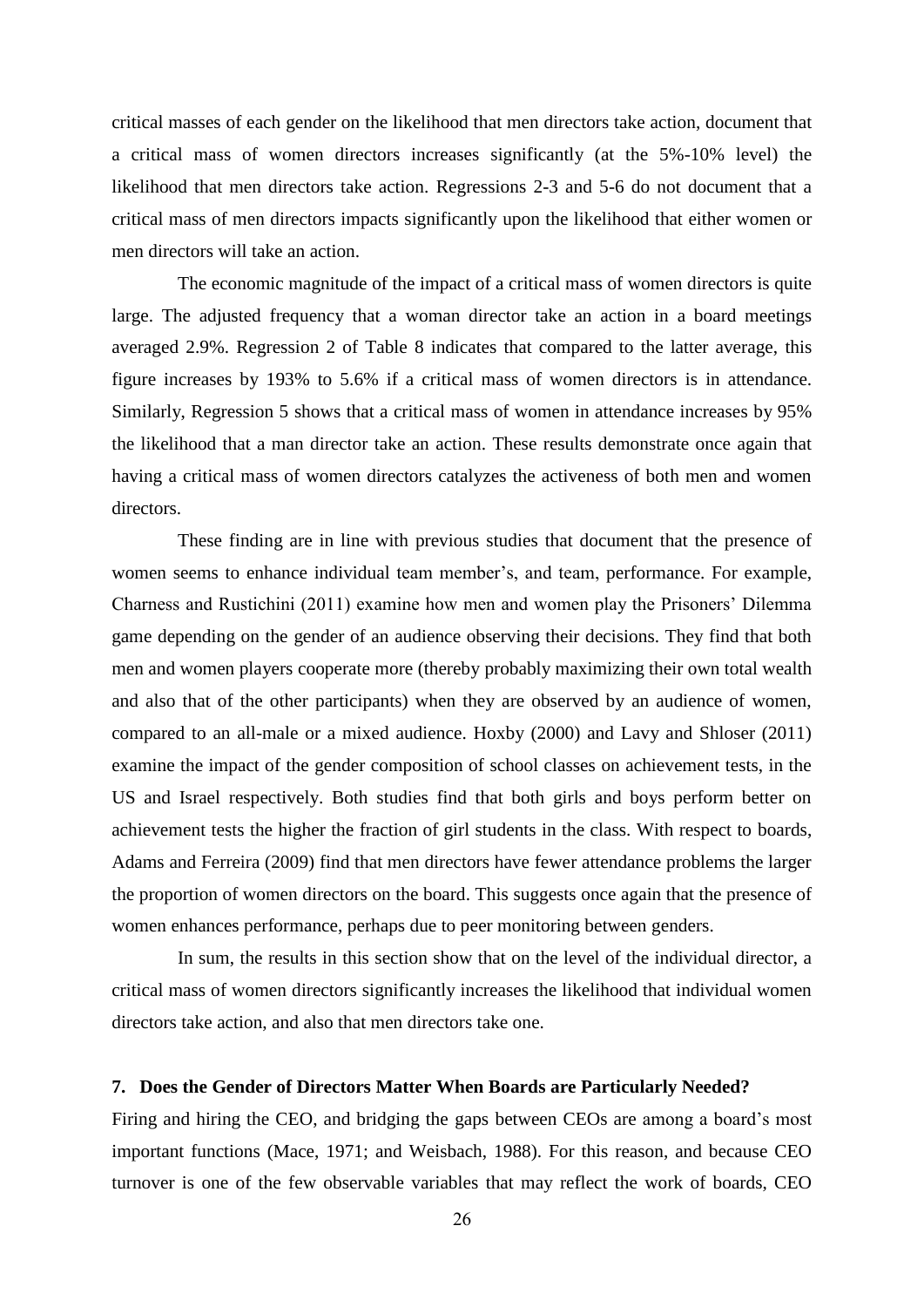critical masses of each gender on the likelihood that men directors take action, document that a critical mass of women directors increases significantly (at the 5%-10% level) the likelihood that men directors take action. Regressions 2-3 and 5-6 do not document that a critical mass of men directors impacts significantly upon the likelihood that either women or men directors will take an action.

The economic magnitude of the impact of a critical mass of women directors is quite large. The adjusted frequency that a woman director take an action in a board meetings averaged 2.9%. Regression 2 of Table 8 indicates that compared to the latter average, this figure increases by 193% to 5.6% if a critical mass of women directors is in attendance. Similarly, Regression 5 shows that a critical mass of women in attendance increases by 95% the likelihood that a man director take an action. These results demonstrate once again that having a critical mass of women directors catalyzes the activeness of both men and women directors.

These finding are in line with previous studies that document that the presence of women seems to enhance individual team member's, and team, performance. For example, Charness and Rustichini (2011) examine how men and women play the Prisoners' Dilemma game depending on the gender of an audience observing their decisions. They find that both men and women players cooperate more (thereby probably maximizing their own total wealth and also that of the other participants) when they are observed by an audience of women, compared to an all-male or a mixed audience. Hoxby (2000) and Lavy and Shloser (2011) examine the impact of the gender composition of school classes on achievement tests, in the US and Israel respectively. Both studies find that both girls and boys perform better on achievement tests the higher the fraction of girl students in the class. With respect to boards, Adams and Ferreira (2009) find that men directors have fewer attendance problems the larger the proportion of women directors on the board. This suggests once again that the presence of women enhances performance, perhaps due to peer monitoring between genders.

In sum, the results in this section show that on the level of the individual director, a critical mass of women directors significantly increases the likelihood that individual women directors take action, and also that men directors take one.

# **7. Does the Gender of Directors Matter When Boards are Particularly Needed?**

Firing and hiring the CEO, and bridging the gaps between CEOs are among a board's most important functions (Mace, 1971; and Weisbach, 1988). For this reason, and because CEO turnover is one of the few observable variables that may reflect the work of boards, CEO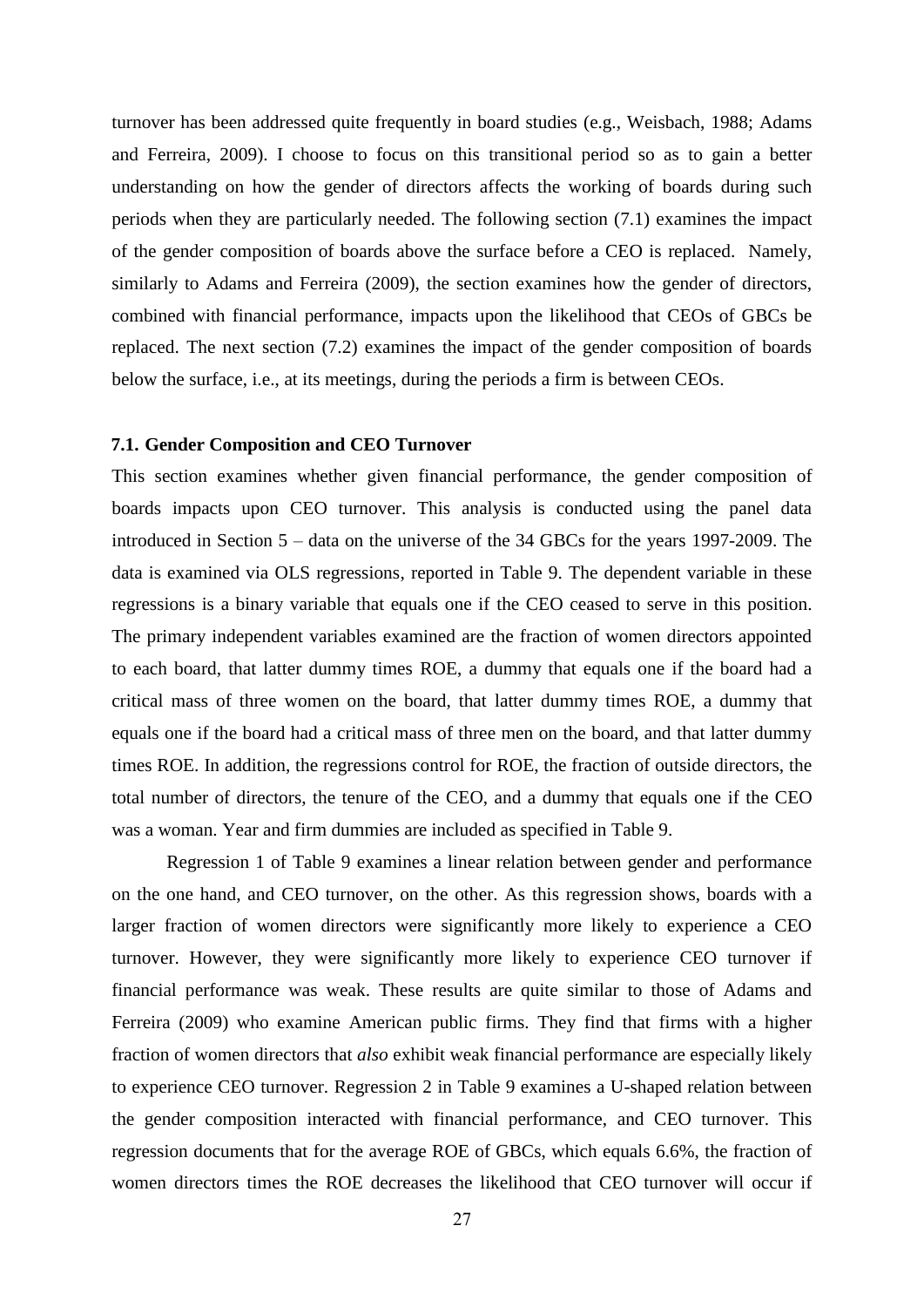turnover has been addressed quite frequently in board studies (e.g., Weisbach, 1988; Adams and Ferreira, 2009). I choose to focus on this transitional period so as to gain a better understanding on how the gender of directors affects the working of boards during such periods when they are particularly needed. The following section (7.1) examines the impact of the gender composition of boards above the surface before a CEO is replaced. Namely, similarly to Adams and Ferreira (2009), the section examines how the gender of directors, combined with financial performance, impacts upon the likelihood that CEOs of GBCs be replaced. The next section (7.2) examines the impact of the gender composition of boards below the surface, i.e., at its meetings, during the periods a firm is between CEOs.

## **7.1. Gender Composition and CEO Turnover**

This section examines whether given financial performance, the gender composition of boards impacts upon CEO turnover. This analysis is conducted using the panel data introduced in Section 5 – data on the universe of the 34 GBCs for the years 1997-2009. The data is examined via OLS regressions, reported in Table 9. The dependent variable in these regressions is a binary variable that equals one if the CEO ceased to serve in this position. The primary independent variables examined are the fraction of women directors appointed to each board, that latter dummy times ROE, a dummy that equals one if the board had a critical mass of three women on the board, that latter dummy times ROE, a dummy that equals one if the board had a critical mass of three men on the board, and that latter dummy times ROE. In addition, the regressions control for ROE, the fraction of outside directors, the total number of directors, the tenure of the CEO, and a dummy that equals one if the CEO was a woman. Year and firm dummies are included as specified in Table 9.

Regression 1 of Table 9 examines a linear relation between gender and performance on the one hand, and CEO turnover, on the other. As this regression shows, boards with a larger fraction of women directors were significantly more likely to experience a CEO turnover. However, they were significantly more likely to experience CEO turnover if financial performance was weak. These results are quite similar to those of Adams and Ferreira (2009) who examine American public firms. They find that firms with a higher fraction of women directors that *also* exhibit weak financial performance are especially likely to experience CEO turnover. Regression 2 in Table 9 examines a U-shaped relation between the gender composition interacted with financial performance, and CEO turnover. This regression documents that for the average ROE of GBCs, which equals 6.6%, the fraction of women directors times the ROE decreases the likelihood that CEO turnover will occur if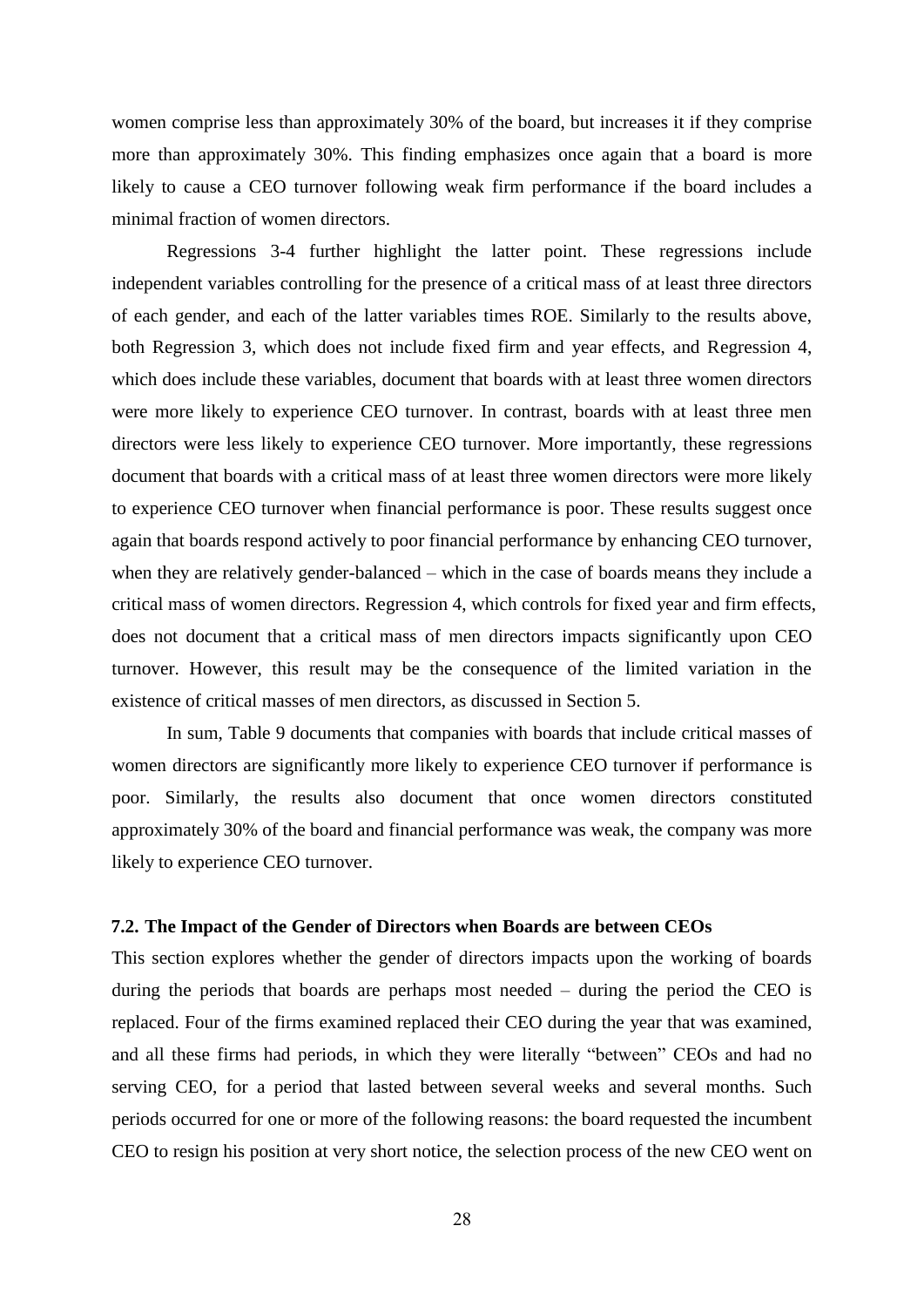women comprise less than approximately 30% of the board, but increases it if they comprise more than approximately 30%. This finding emphasizes once again that a board is more likely to cause a CEO turnover following weak firm performance if the board includes a minimal fraction of women directors.

Regressions 3-4 further highlight the latter point. These regressions include independent variables controlling for the presence of a critical mass of at least three directors of each gender, and each of the latter variables times ROE. Similarly to the results above, both Regression 3, which does not include fixed firm and year effects, and Regression 4, which does include these variables, document that boards with at least three women directors were more likely to experience CEO turnover. In contrast, boards with at least three men directors were less likely to experience CEO turnover. More importantly, these regressions document that boards with a critical mass of at least three women directors were more likely to experience CEO turnover when financial performance is poor. These results suggest once again that boards respond actively to poor financial performance by enhancing CEO turnover, when they are relatively gender-balanced – which in the case of boards means they include a critical mass of women directors. Regression 4, which controls for fixed year and firm effects, does not document that a critical mass of men directors impacts significantly upon CEO turnover. However, this result may be the consequence of the limited variation in the existence of critical masses of men directors, as discussed in Section 5.

In sum, Table 9 documents that companies with boards that include critical masses of women directors are significantly more likely to experience CEO turnover if performance is poor. Similarly, the results also document that once women directors constituted approximately 30% of the board and financial performance was weak, the company was more likely to experience CEO turnover.

## **7.2. The Impact of the Gender of Directors when Boards are between CEOs**

This section explores whether the gender of directors impacts upon the working of boards during the periods that boards are perhaps most needed – during the period the CEO is replaced. Four of the firms examined replaced their CEO during the year that was examined, and all these firms had periods, in which they were literally "between" CEOs and had no serving CEO, for a period that lasted between several weeks and several months. Such periods occurred for one or more of the following reasons: the board requested the incumbent CEO to resign his position at very short notice, the selection process of the new CEO went on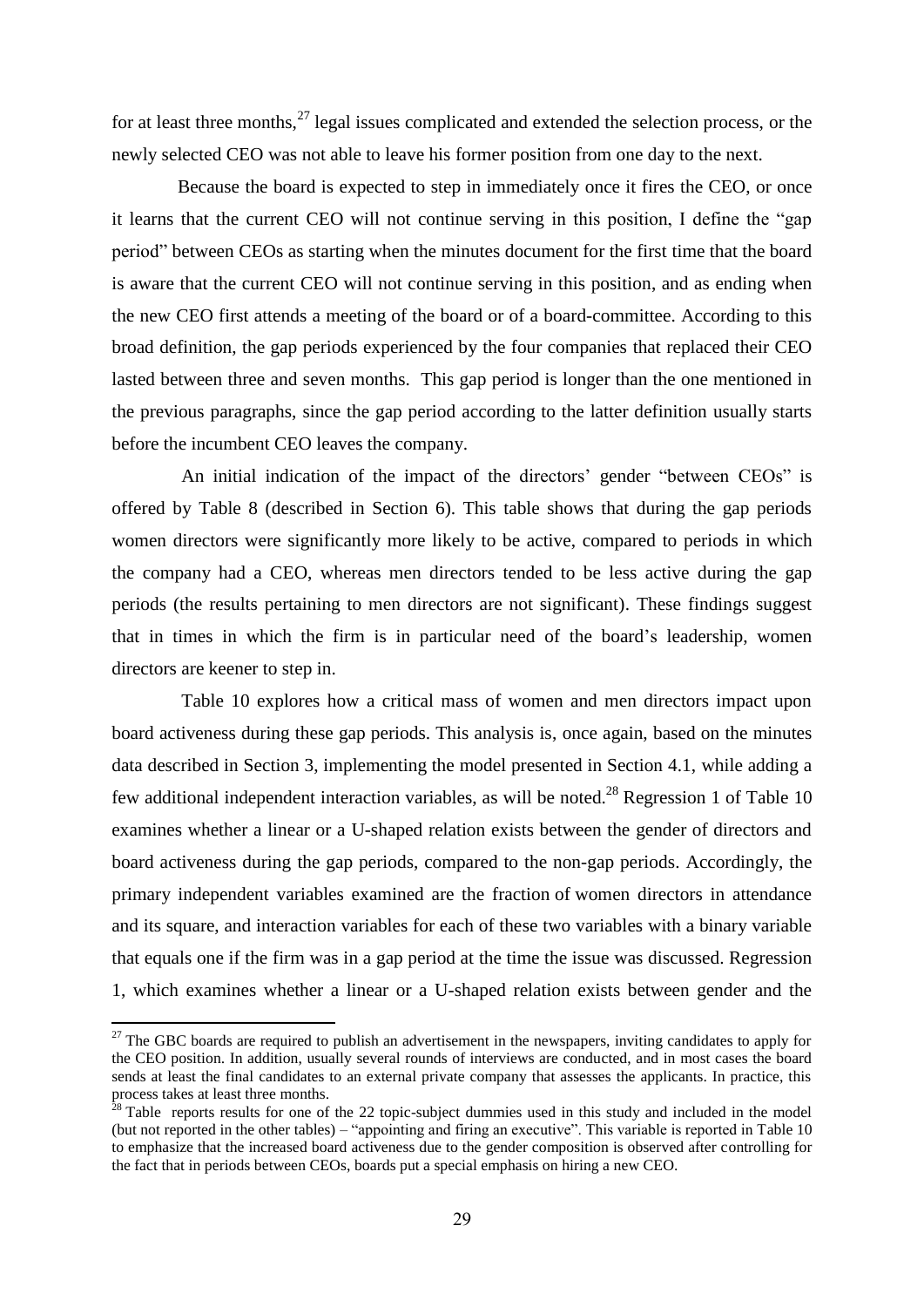for at least three months,  $27$  legal issues complicated and extended the selection process, or the newly selected CEO was not able to leave his former position from one day to the next.

Because the board is expected to step in immediately once it fires the CEO, or once it learns that the current CEO will not continue serving in this position, I define the "gap period" between CEOs as starting when the minutes document for the first time that the board is aware that the current CEO will not continue serving in this position, and as ending when the new CEO first attends a meeting of the board or of a board-committee. According to this broad definition, the gap periods experienced by the four companies that replaced their CEO lasted between three and seven months. This gap period is longer than the one mentioned in the previous paragraphs, since the gap period according to the latter definition usually starts before the incumbent CEO leaves the company.

An initial indication of the impact of the directors' gender "between CEOs" is offered by Table 8 (described in Section 6). This table shows that during the gap periods women directors were significantly more likely to be active, compared to periods in which the company had a CEO, whereas men directors tended to be less active during the gap periods (the results pertaining to men directors are not significant). These findings suggest that in times in which the firm is in particular need of the board's leadership, women directors are keener to step in.

Table 10 explores how a critical mass of women and men directors impact upon board activeness during these gap periods. This analysis is, once again, based on the minutes data described in Section 3, implementing the model presented in Section 4.1, while adding a few additional independent interaction variables, as will be noted.<sup>28</sup> Regression 1 of Table 10 examines whether a linear or a U-shaped relation exists between the gender of directors and board activeness during the gap periods, compared to the non-gap periods. Accordingly, the primary independent variables examined are the fraction of women directors in attendance and its square, and interaction variables for each of these two variables with a binary variable that equals one if the firm was in a gap period at the time the issue was discussed. Regression 1, which examines whether a linear or a U-shaped relation exists between gender and the

 $27$  The GBC boards are required to publish an advertisement in the newspapers, inviting candidates to apply for the CEO position. In addition, usually several rounds of interviews are conducted, and in most cases the board sends at least the final candidates to an external private company that assesses the applicants. In practice, this process takes at least three months.

 $28$  Table reports results for one of the 22 topic-subject dummies used in this study and included in the model (but not reported in the other tables) – "appointing and firing an executive". This variable is reported in Table 10 to emphasize that the increased board activeness due to the gender composition is observed after controlling for the fact that in periods between CEOs, boards put a special emphasis on hiring a new CEO.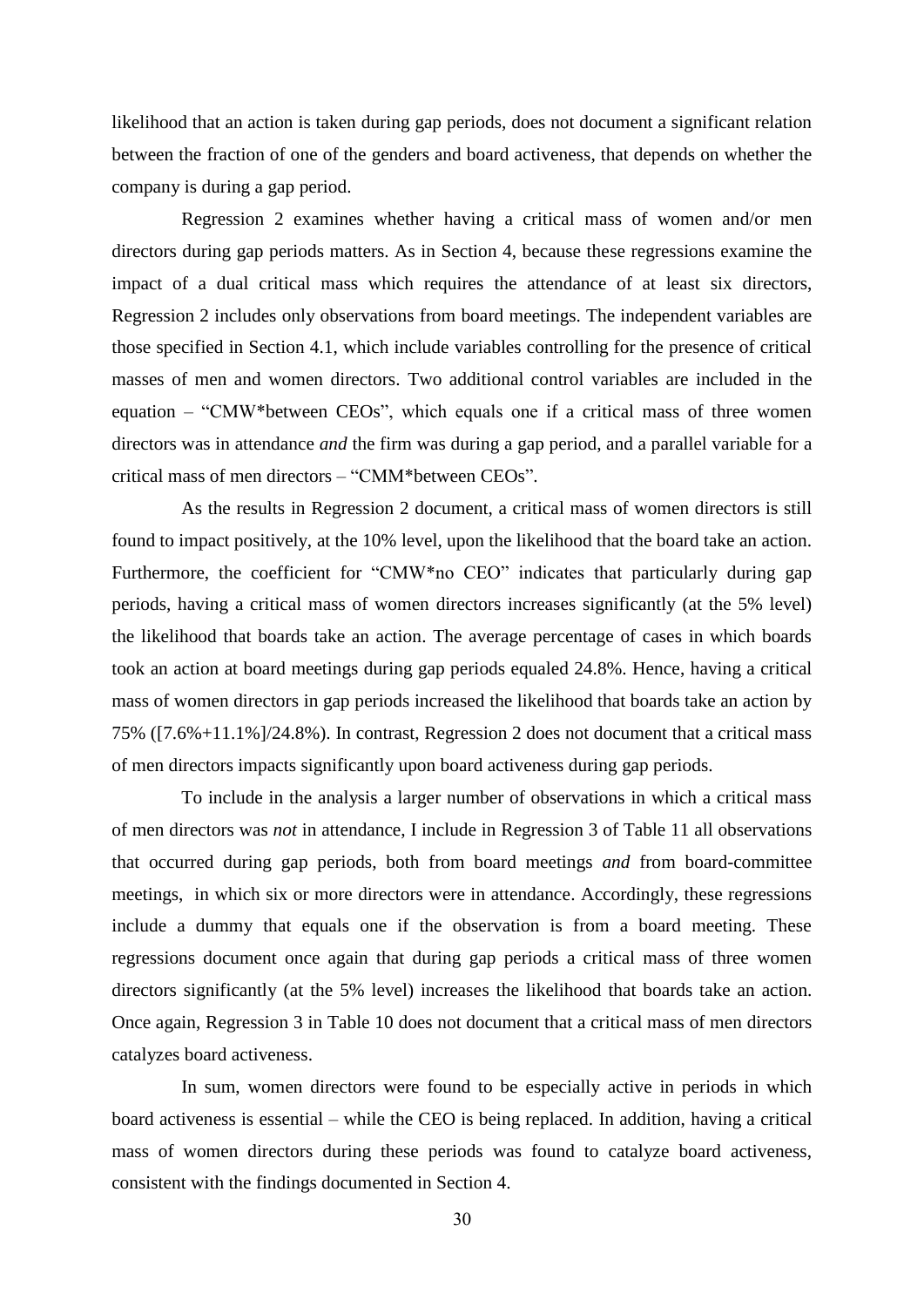likelihood that an action is taken during gap periods, does not document a significant relation between the fraction of one of the genders and board activeness, that depends on whether the company is during a gap period.

Regression 2 examines whether having a critical mass of women and/or men directors during gap periods matters. As in Section 4, because these regressions examine the impact of a dual critical mass which requires the attendance of at least six directors, Regression 2 includes only observations from board meetings. The independent variables are those specified in Section 4.1, which include variables controlling for the presence of critical masses of men and women directors. Two additional control variables are included in the equation – "CMW\*between CEOs", which equals one if a critical mass of three women directors was in attendance *and* the firm was during a gap period, and a parallel variable for a critical mass of men directors – "CMM\*between CEOs".

As the results in Regression 2 document, a critical mass of women directors is still found to impact positively, at the 10% level, upon the likelihood that the board take an action. Furthermore, the coefficient for "CMW\*no CEO" indicates that particularly during gap periods, having a critical mass of women directors increases significantly (at the 5% level) the likelihood that boards take an action. The average percentage of cases in which boards took an action at board meetings during gap periods equaled 24.8%. Hence, having a critical mass of women directors in gap periods increased the likelihood that boards take an action by 75% ([7.6%+11.1%]/24.8%). In contrast, Regression 2 does not document that a critical mass of men directors impacts significantly upon board activeness during gap periods.

To include in the analysis a larger number of observations in which a critical mass of men directors was *not* in attendance, I include in Regression 3 of Table 11 all observations that occurred during gap periods, both from board meetings *and* from board-committee meetings, in which six or more directors were in attendance. Accordingly, these regressions include a dummy that equals one if the observation is from a board meeting. These regressions document once again that during gap periods a critical mass of three women directors significantly (at the 5% level) increases the likelihood that boards take an action. Once again, Regression 3 in Table 10 does not document that a critical mass of men directors catalyzes board activeness.

In sum, women directors were found to be especially active in periods in which board activeness is essential – while the CEO is being replaced. In addition, having a critical mass of women directors during these periods was found to catalyze board activeness, consistent with the findings documented in Section 4.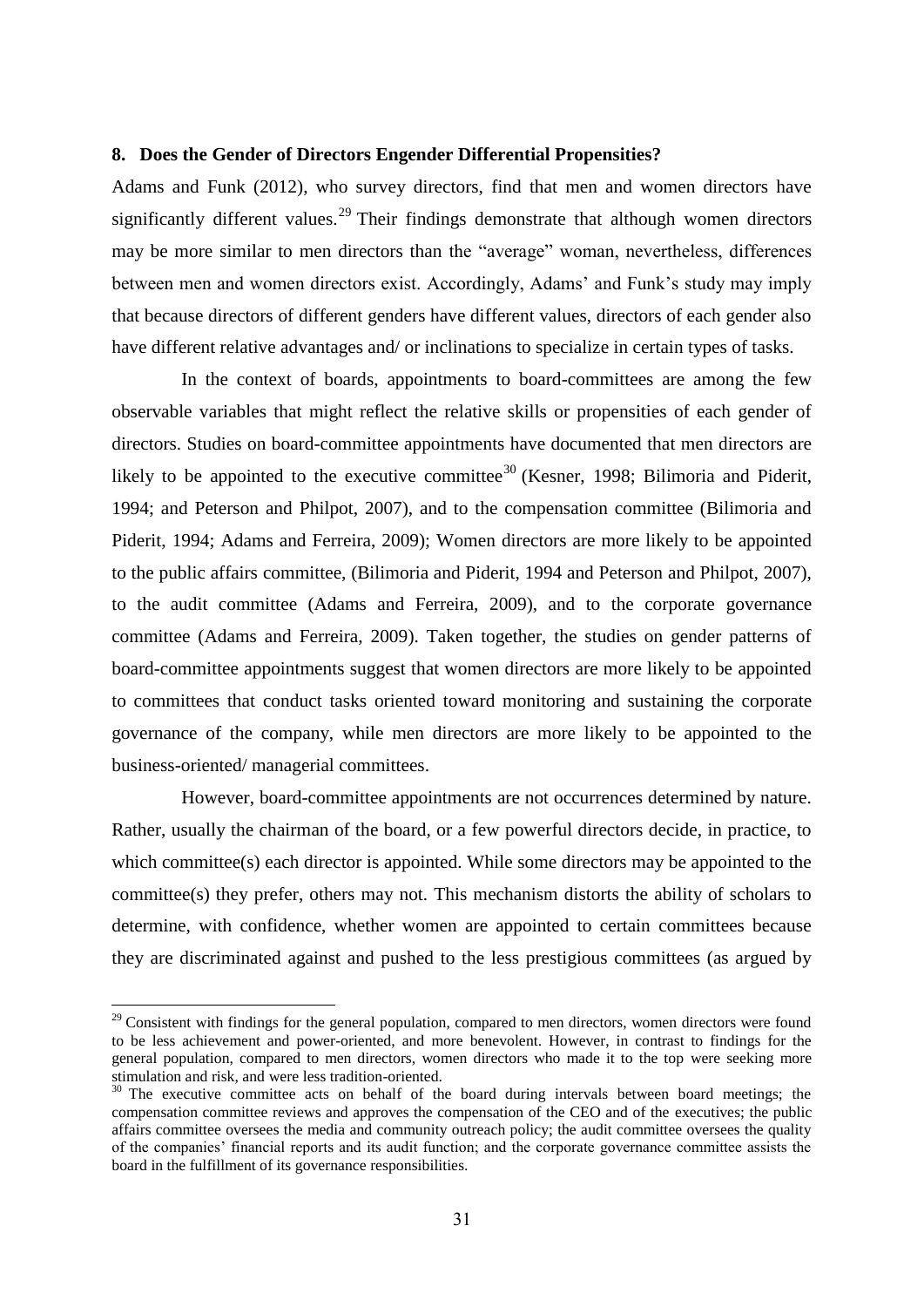# **8. Does the Gender of Directors Engender Differential Propensities?**

Adams and Funk (2012), who survey directors, find that men and women directors have significantly different values.<sup>29</sup> Their findings demonstrate that although women directors may be more similar to men directors than the "average" woman, nevertheless, differences between men and women directors exist. Accordingly, Adams' and Funk's study may imply that because directors of different genders have different values, directors of each gender also have different relative advantages and/ or inclinations to specialize in certain types of tasks.

In the context of boards, appointments to board-committees are among the few observable variables that might reflect the relative skills or propensities of each gender of directors. Studies on board-committee appointments have documented that men directors are likely to be appointed to the executive committee<sup>30</sup> (Kesner, 1998; Bilimoria and Piderit, 1994; and Peterson and Philpot, 2007), and to the compensation committee (Bilimoria and Piderit, 1994; Adams and Ferreira, 2009); Women directors are more likely to be appointed to the public affairs committee, (Bilimoria and Piderit, 1994 and Peterson and Philpot, 2007), to the audit committee (Adams and Ferreira, 2009), and to the corporate governance committee (Adams and Ferreira, 2009). Taken together, the studies on gender patterns of board-committee appointments suggest that women directors are more likely to be appointed to committees that conduct tasks oriented toward monitoring and sustaining the corporate governance of the company, while men directors are more likely to be appointed to the business-oriented/ managerial committees.

However, board-committee appointments are not occurrences determined by nature. Rather, usually the chairman of the board, or a few powerful directors decide, in practice, to which committee(s) each director is appointed. While some directors may be appointed to the committee(s) they prefer, others may not. This mechanism distorts the ability of scholars to determine, with confidence, whether women are appointed to certain committees because they are discriminated against and pushed to the less prestigious committees (as argued by

<sup>&</sup>lt;sup>29</sup> Consistent with findings for the general population, compared to men directors, women directors were found to be less achievement and power-oriented, and more benevolent. However, in contrast to findings for the general population, compared to men directors, women directors who made it to the top were seeking more stimulation and risk, and were less tradition-oriented.

 $30$  The executive committee acts on behalf of the board during intervals between board meetings; the compensation committee reviews and approves the compensation of the CEO and of the executives; the public affairs committee oversees the media and community outreach policy; the audit committee oversees the quality of the companies' financial reports and its audit function; and the corporate governance committee assists the board in the fulfillment of its governance responsibilities.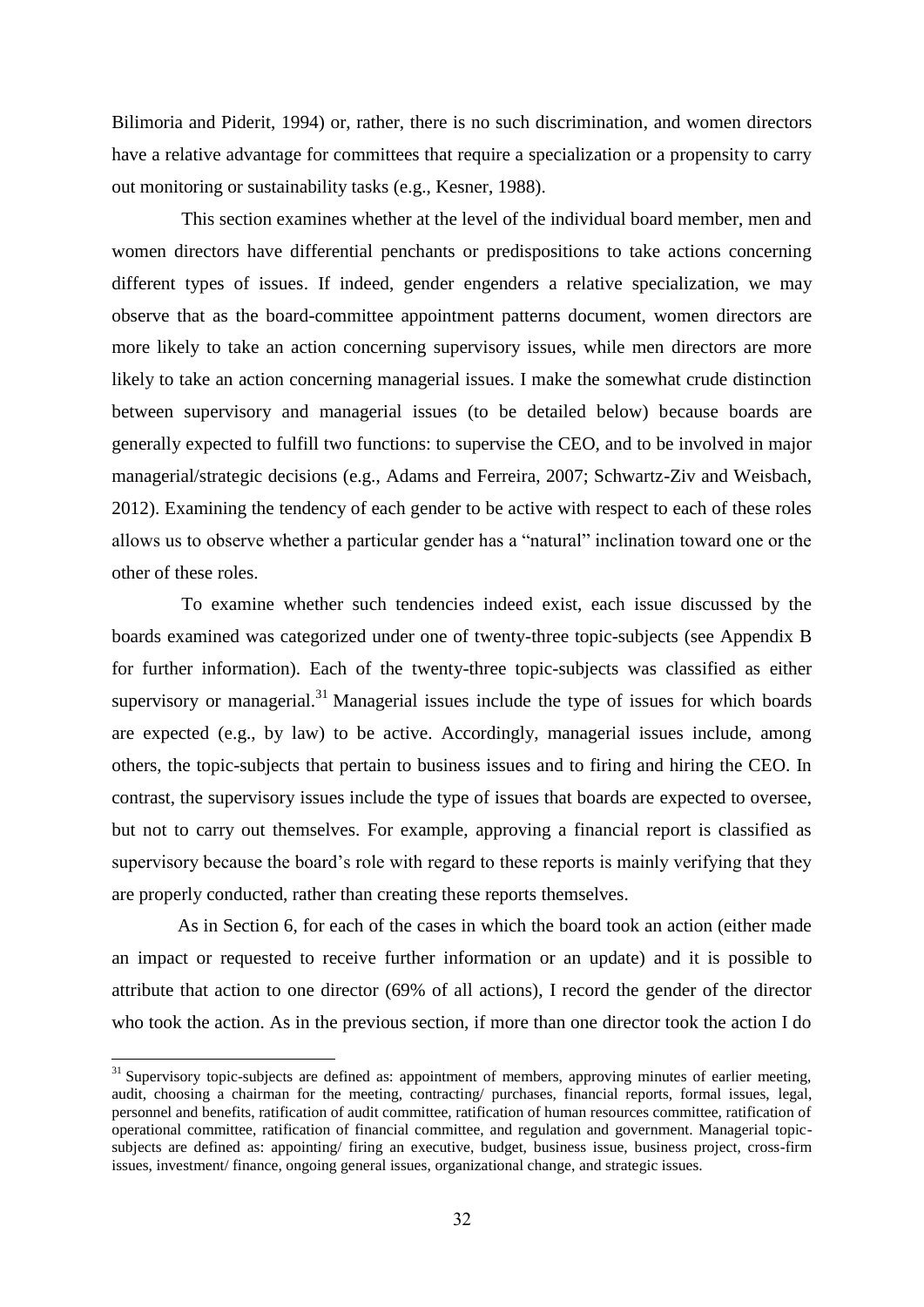Bilimoria and Piderit, 1994) or, rather, there is no such discrimination, and women directors have a relative advantage for committees that require a specialization or a propensity to carry out monitoring or sustainability tasks (e.g., Kesner, 1988).

This section examines whether at the level of the individual board member, men and women directors have differential penchants or predispositions to take actions concerning different types of issues. If indeed, gender engenders a relative specialization, we may observe that as the board-committee appointment patterns document, women directors are more likely to take an action concerning supervisory issues, while men directors are more likely to take an action concerning managerial issues. I make the somewhat crude distinction between supervisory and managerial issues (to be detailed below) because boards are generally expected to fulfill two functions: to supervise the CEO, and to be involved in major managerial/strategic decisions (e.g., Adams and Ferreira, 2007; Schwartz-Ziv and Weisbach, 2012). Examining the tendency of each gender to be active with respect to each of these roles allows us to observe whether a particular gender has a "natural" inclination toward one or the other of these roles.

To examine whether such tendencies indeed exist, each issue discussed by the boards examined was categorized under one of twenty-three topic-subjects (see Appendix B for further information). Each of the twenty-three topic-subjects was classified as either supervisory or managerial.<sup>31</sup> Managerial issues include the type of issues for which boards are expected (e.g., by law) to be active. Accordingly, managerial issues include, among others, the topic-subjects that pertain to business issues and to firing and hiring the CEO. In contrast, the supervisory issues include the type of issues that boards are expected to oversee, but not to carry out themselves. For example, approving a financial report is classified as supervisory because the board's role with regard to these reports is mainly verifying that they are properly conducted, rather than creating these reports themselves.

As in Section 6, for each of the cases in which the board took an action (either made an impact or requested to receive further information or an update) and it is possible to attribute that action to one director (69% of all actions), I record the gender of the director who took the action. As in the previous section, if more than one director took the action I do

 $\overline{a}$ 

 $31$  Supervisory topic-subjects are defined as: appointment of members, approving minutes of earlier meeting, audit, choosing a chairman for the meeting, contracting/ purchases, financial reports, formal issues, legal, personnel and benefits, ratification of audit committee, ratification of human resources committee, ratification of operational committee, ratification of financial committee, and regulation and government. Managerial topicsubjects are defined as: appointing/ firing an executive, budget, business issue, business project, cross-firm issues, investment/ finance, ongoing general issues, organizational change, and strategic issues.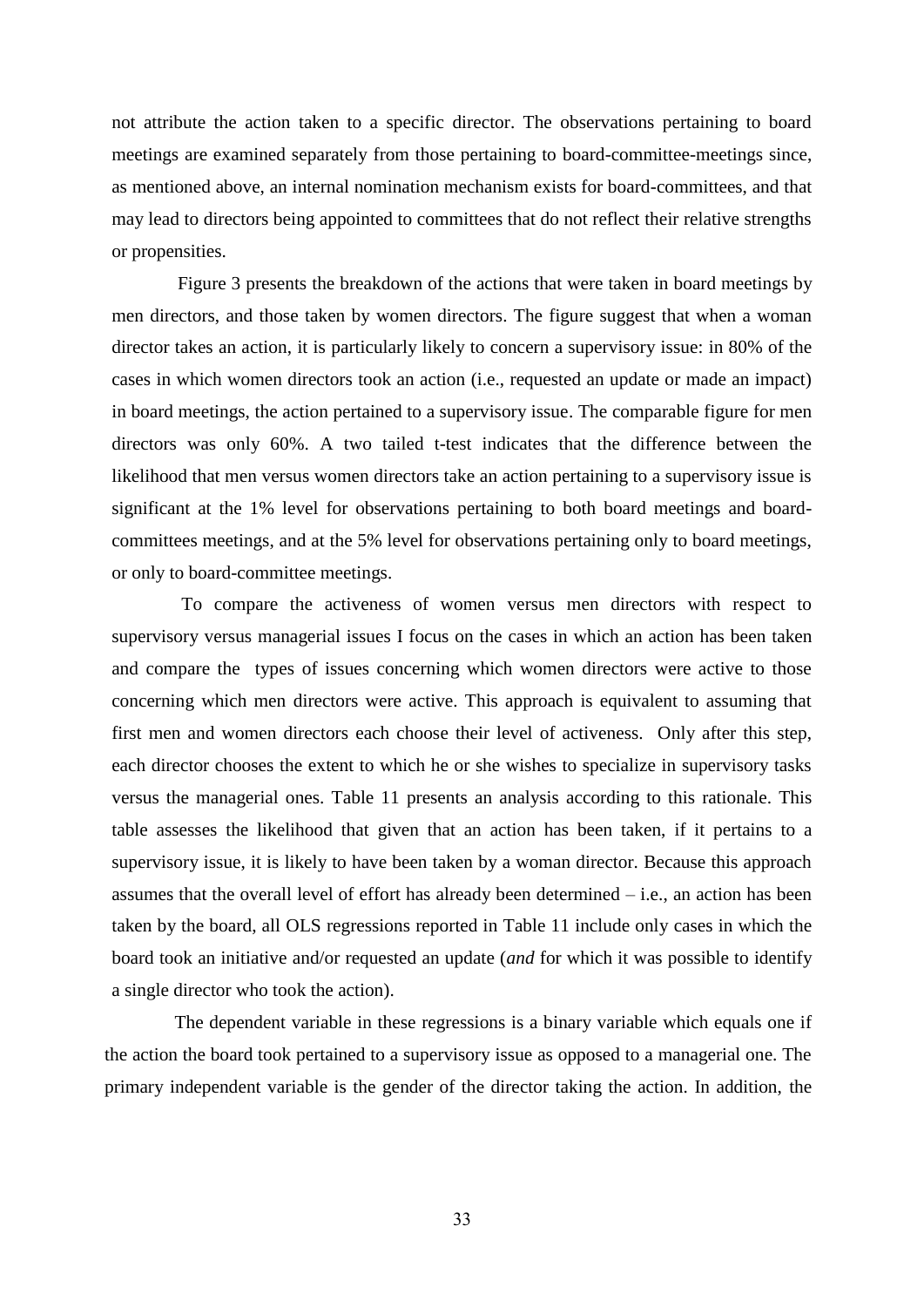not attribute the action taken to a specific director. The observations pertaining to board meetings are examined separately from those pertaining to board-committee-meetings since, as mentioned above, an internal nomination mechanism exists for board-committees, and that may lead to directors being appointed to committees that do not reflect their relative strengths or propensities.

Figure 3 presents the breakdown of the actions that were taken in board meetings by men directors, and those taken by women directors. The figure suggest that when a woman director takes an action, it is particularly likely to concern a supervisory issue: in 80% of the cases in which women directors took an action (i.e., requested an update or made an impact) in board meetings, the action pertained to a supervisory issue. The comparable figure for men directors was only 60%. A two tailed t-test indicates that the difference between the likelihood that men versus women directors take an action pertaining to a supervisory issue is significant at the 1% level for observations pertaining to both board meetings and boardcommittees meetings, and at the 5% level for observations pertaining only to board meetings, or only to board-committee meetings.

To compare the activeness of women versus men directors with respect to supervisory versus managerial issues I focus on the cases in which an action has been taken and compare the types of issues concerning which women directors were active to those concerning which men directors were active. This approach is equivalent to assuming that first men and women directors each choose their level of activeness. Only after this step, each director chooses the extent to which he or she wishes to specialize in supervisory tasks versus the managerial ones. Table 11 presents an analysis according to this rationale. This table assesses the likelihood that given that an action has been taken, if it pertains to a supervisory issue, it is likely to have been taken by a woman director. Because this approach assumes that the overall level of effort has already been determined  $-$  i.e., an action has been taken by the board, all OLS regressions reported in Table 11 include only cases in which the board took an initiative and/or requested an update (*and* for which it was possible to identify a single director who took the action).

The dependent variable in these regressions is a binary variable which equals one if the action the board took pertained to a supervisory issue as opposed to a managerial one. The primary independent variable is the gender of the director taking the action. In addition, the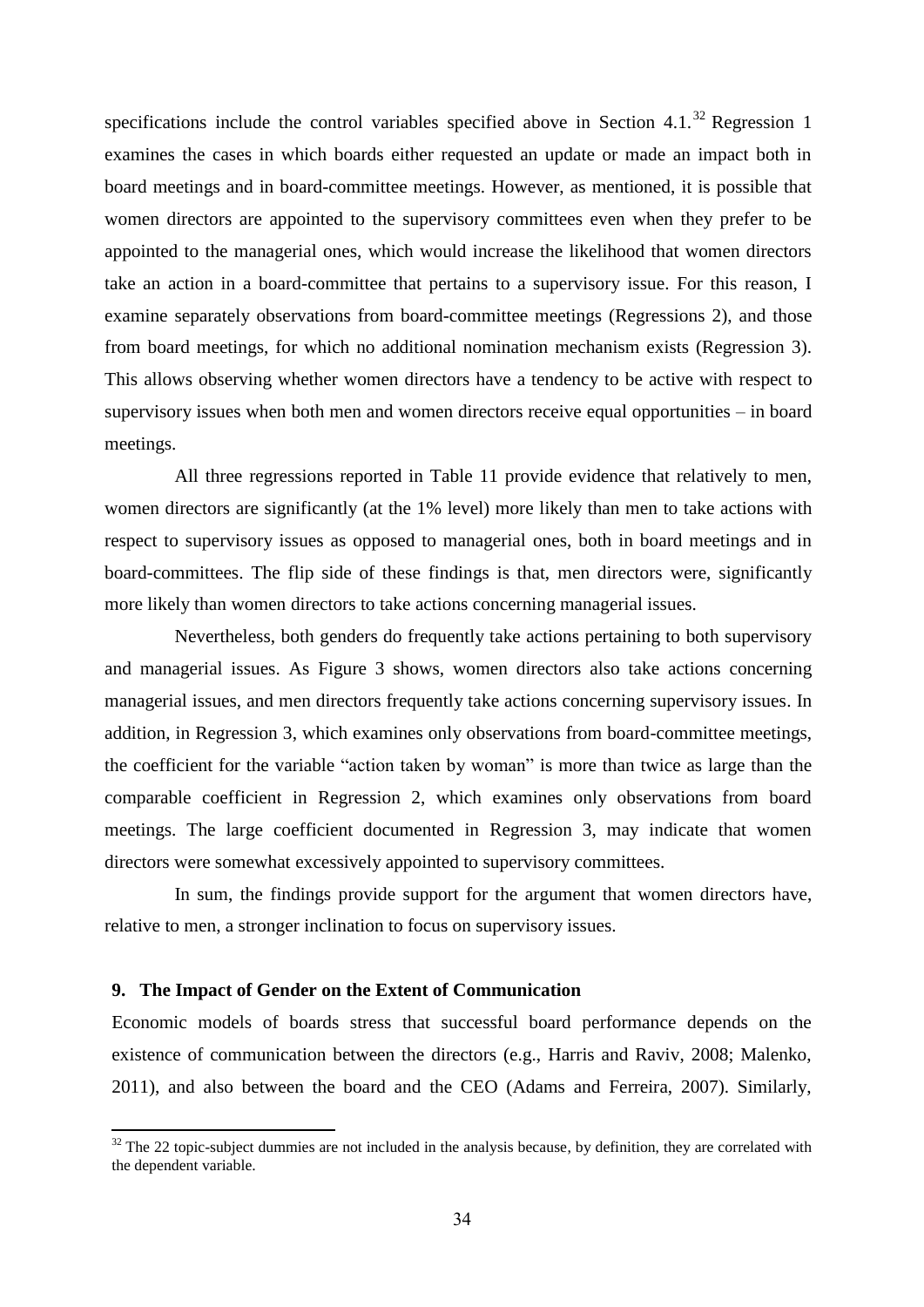specifications include the control variables specified above in Section 4.1.<sup>32</sup> Regression 1 examines the cases in which boards either requested an update or made an impact both in board meetings and in board-committee meetings. However, as mentioned, it is possible that women directors are appointed to the supervisory committees even when they prefer to be appointed to the managerial ones, which would increase the likelihood that women directors take an action in a board-committee that pertains to a supervisory issue. For this reason, I examine separately observations from board-committee meetings (Regressions 2), and those from board meetings, for which no additional nomination mechanism exists (Regression 3). This allows observing whether women directors have a tendency to be active with respect to supervisory issues when both men and women directors receive equal opportunities – in board meetings.

All three regressions reported in Table 11 provide evidence that relatively to men, women directors are significantly (at the 1% level) more likely than men to take actions with respect to supervisory issues as opposed to managerial ones, both in board meetings and in board-committees. The flip side of these findings is that, men directors were, significantly more likely than women directors to take actions concerning managerial issues.

Nevertheless, both genders do frequently take actions pertaining to both supervisory and managerial issues. As Figure 3 shows, women directors also take actions concerning managerial issues, and men directors frequently take actions concerning supervisory issues. In addition, in Regression 3, which examines only observations from board-committee meetings, the coefficient for the variable "action taken by woman" is more than twice as large than the comparable coefficient in Regression 2, which examines only observations from board meetings. The large coefficient documented in Regression 3, may indicate that women directors were somewhat excessively appointed to supervisory committees.

In sum, the findings provide support for the argument that women directors have, relative to men, a stronger inclination to focus on supervisory issues.

## **9. The Impact of Gender on the Extent of Communication**

**.** 

Economic models of boards stress that successful board performance depends on the existence of communication between the directors (e.g., Harris and Raviv, 2008; Malenko, 2011), and also between the board and the CEO (Adams and Ferreira, 2007). Similarly,

 $32$  The 22 topic-subject dummies are not included in the analysis because, by definition, they are correlated with the dependent variable.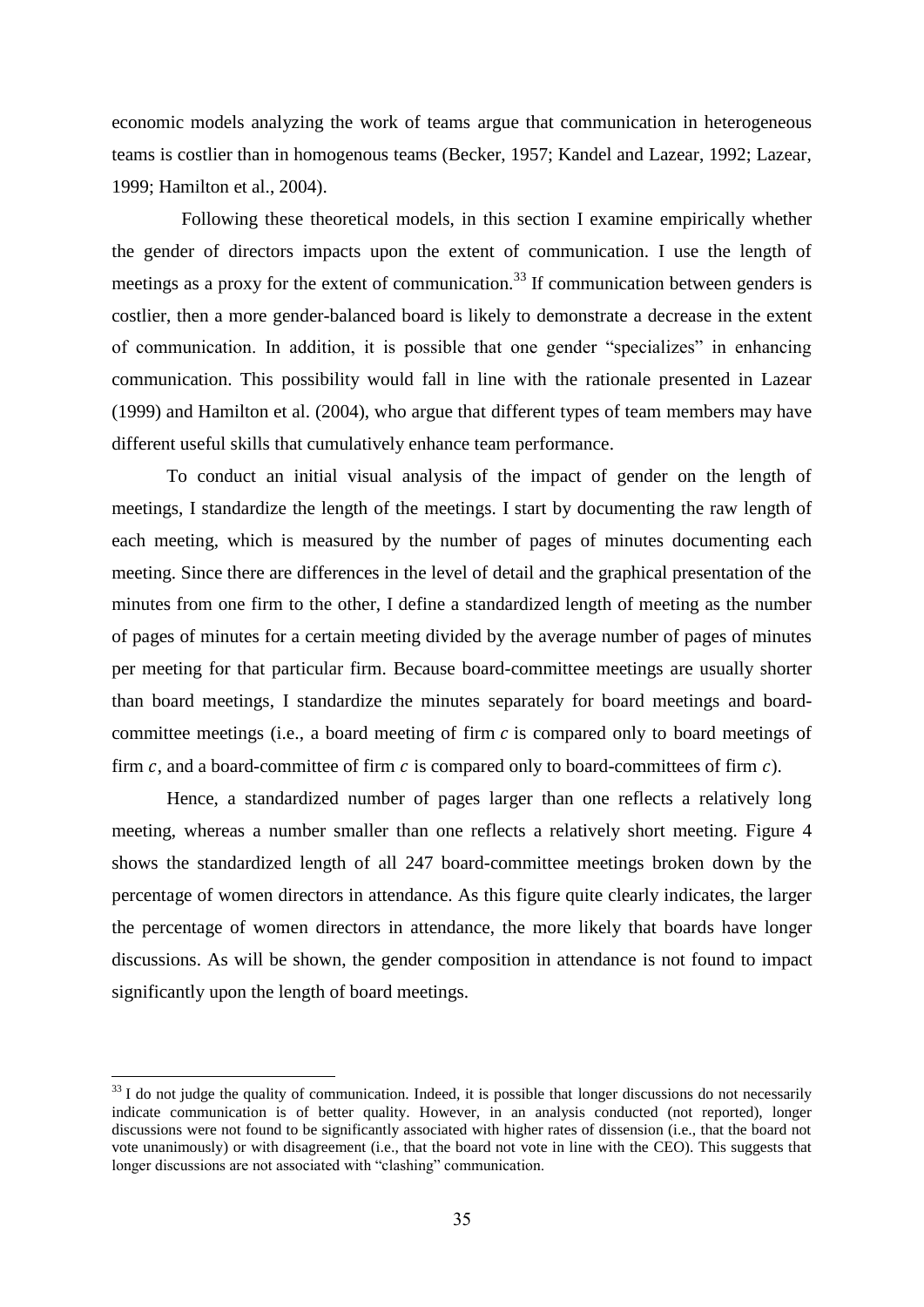economic models analyzing the work of teams argue that communication in heterogeneous teams is costlier than in homogenous teams (Becker, 1957; Kandel and Lazear, 1992; Lazear, 1999; Hamilton et al., 2004).

Following these theoretical models, in this section I examine empirically whether the gender of directors impacts upon the extent of communication. I use the length of meetings as a proxy for the extent of communication.<sup>33</sup> If communication between genders is costlier, then a more gender-balanced board is likely to demonstrate a decrease in the extent of communication. In addition, it is possible that one gender "specializes" in enhancing communication. This possibility would fall in line with the rationale presented in Lazear (1999) and Hamilton et al. (2004), who argue that different types of team members may have different useful skills that cumulatively enhance team performance.

To conduct an initial visual analysis of the impact of gender on the length of meetings, I standardize the length of the meetings. I start by documenting the raw length of each meeting, which is measured by the number of pages of minutes documenting each meeting. Since there are differences in the level of detail and the graphical presentation of the minutes from one firm to the other, I define a standardized length of meeting as the number of pages of minutes for a certain meeting divided by the average number of pages of minutes per meeting for that particular firm. Because board-committee meetings are usually shorter than board meetings, I standardize the minutes separately for board meetings and boardcommittee meetings (i.e., a board meeting of firm  $c$  is compared only to board meetings of firm c, and a board-committee of firm c is compared only to board-committees of firm  $c$ ).

Hence, a standardized number of pages larger than one reflects a relatively long meeting, whereas a number smaller than one reflects a relatively short meeting. Figure 4 shows the standardized length of all 247 board-committee meetings broken down by the percentage of women directors in attendance. As this figure quite clearly indicates, the larger the percentage of women directors in attendance, the more likely that boards have longer discussions. As will be shown, the gender composition in attendance is not found to impact significantly upon the length of board meetings.

1

 $33$  I do not judge the quality of communication. Indeed, it is possible that longer discussions do not necessarily indicate communication is of better quality. However, in an analysis conducted (not reported), longer discussions were not found to be significantly associated with higher rates of dissension (i.e., that the board not vote unanimously) or with disagreement (i.e., that the board not vote in line with the CEO). This suggests that longer discussions are not associated with "clashing" communication.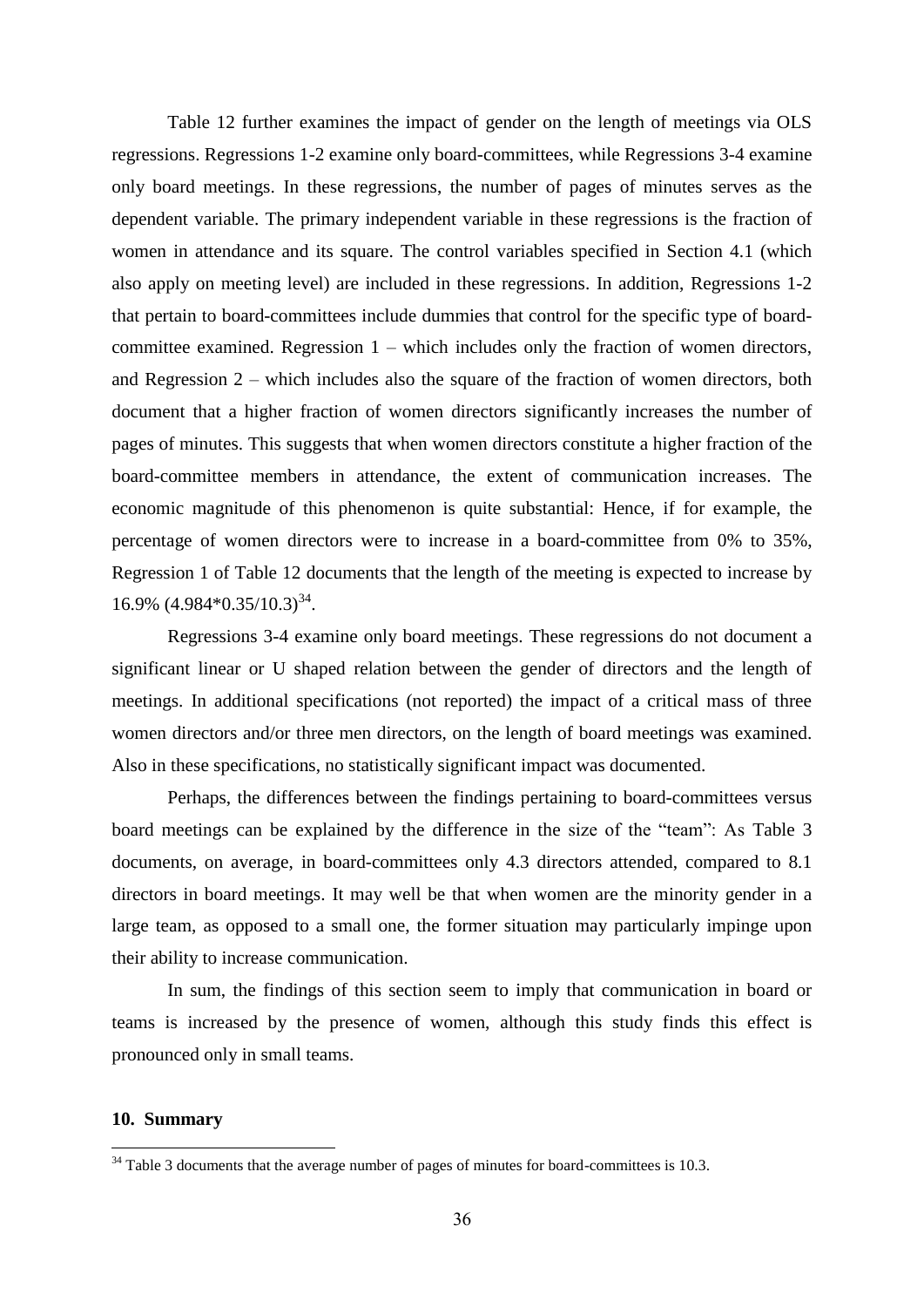Table 12 further examines the impact of gender on the length of meetings via OLS regressions. Regressions 1-2 examine only board-committees, while Regressions 3-4 examine only board meetings. In these regressions, the number of pages of minutes serves as the dependent variable. The primary independent variable in these regressions is the fraction of women in attendance and its square. The control variables specified in Section 4.1 (which also apply on meeting level) are included in these regressions. In addition, Regressions 1-2 that pertain to board-committees include dummies that control for the specific type of boardcommittee examined. Regression 1 – which includes only the fraction of women directors, and Regression 2 – which includes also the square of the fraction of women directors, both document that a higher fraction of women directors significantly increases the number of pages of minutes. This suggests that when women directors constitute a higher fraction of the board-committee members in attendance, the extent of communication increases. The economic magnitude of this phenomenon is quite substantial: Hence, if for example, the percentage of women directors were to increase in a board-committee from 0% to 35%, Regression 1 of Table 12 documents that the length of the meeting is expected to increase by  $16.9\%$   $(4.984*0.35/10.3)^{34}$ .

Regressions 3-4 examine only board meetings. These regressions do not document a significant linear or U shaped relation between the gender of directors and the length of meetings. In additional specifications (not reported) the impact of a critical mass of three women directors and/or three men directors, on the length of board meetings was examined. Also in these specifications, no statistically significant impact was documented.

Perhaps, the differences between the findings pertaining to board-committees versus board meetings can be explained by the difference in the size of the "team": As Table 3 documents, on average, in board-committees only 4.3 directors attended, compared to 8.1 directors in board meetings. It may well be that when women are the minority gender in a large team, as opposed to a small one, the former situation may particularly impinge upon their ability to increase communication.

In sum, the findings of this section seem to imply that communication in board or teams is increased by the presence of women, although this study finds this effect is pronounced only in small teams.

# **10. Summary**

<sup>&</sup>lt;sup>34</sup> Table 3 documents that the average number of pages of minutes for board-committees is 10.3.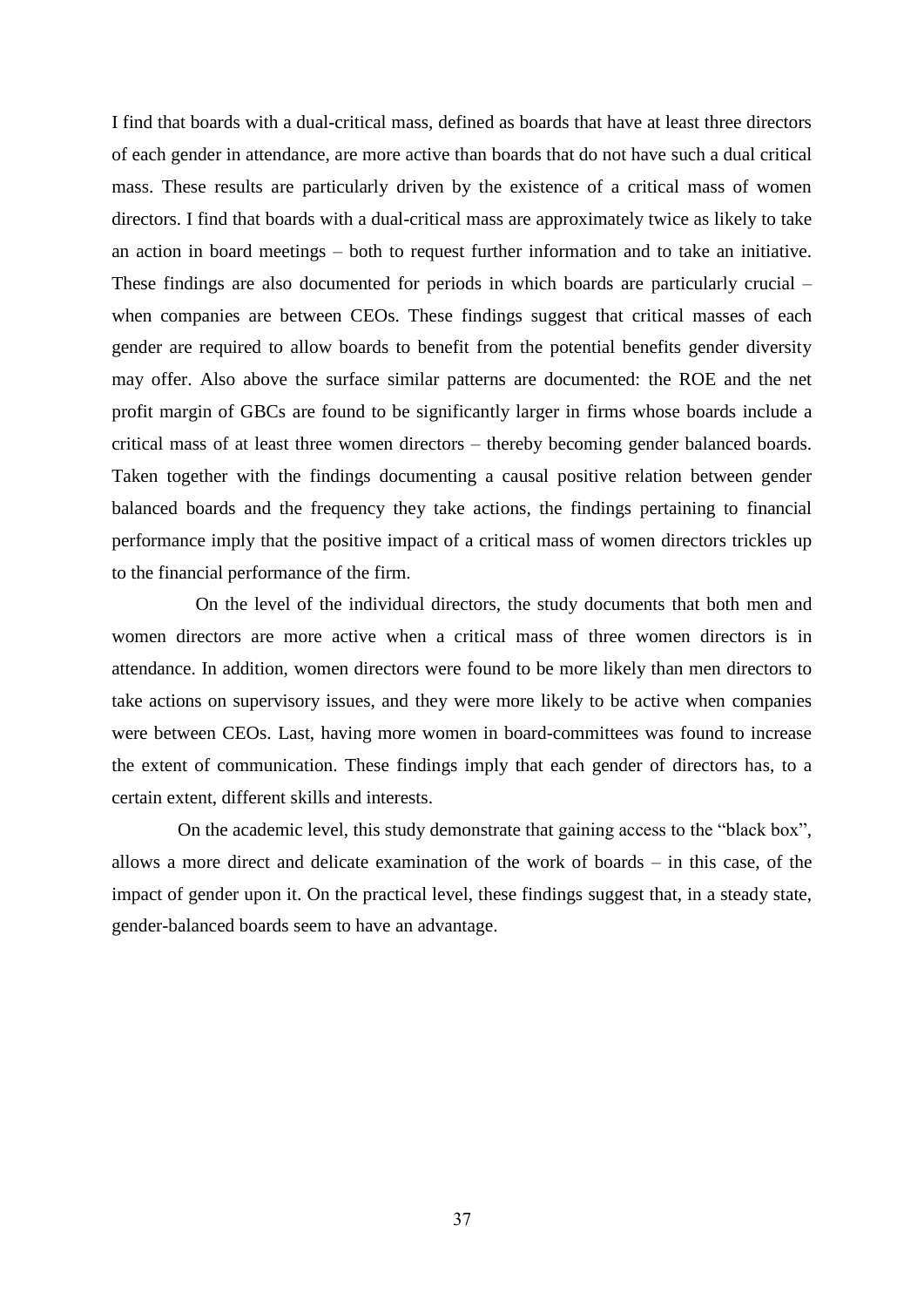I find that boards with a dual-critical mass, defined as boards that have at least three directors of each gender in attendance, are more active than boards that do not have such a dual critical mass. These results are particularly driven by the existence of a critical mass of women directors. I find that boards with a dual-critical mass are approximately twice as likely to take an action in board meetings – both to request further information and to take an initiative. These findings are also documented for periods in which boards are particularly crucial – when companies are between CEOs. These findings suggest that critical masses of each gender are required to allow boards to benefit from the potential benefits gender diversity may offer. Also above the surface similar patterns are documented: the ROE and the net profit margin of GBCs are found to be significantly larger in firms whose boards include a critical mass of at least three women directors – thereby becoming gender balanced boards. Taken together with the findings documenting a causal positive relation between gender balanced boards and the frequency they take actions, the findings pertaining to financial performance imply that the positive impact of a critical mass of women directors trickles up to the financial performance of the firm.

On the level of the individual directors, the study documents that both men and women directors are more active when a critical mass of three women directors is in attendance. In addition, women directors were found to be more likely than men directors to take actions on supervisory issues, and they were more likely to be active when companies were between CEOs. Last, having more women in board-committees was found to increase the extent of communication. These findings imply that each gender of directors has, to a certain extent, different skills and interests.

On the academic level, this study demonstrate that gaining access to the "black box", allows a more direct and delicate examination of the work of boards – in this case, of the impact of gender upon it. On the practical level, these findings suggest that, in a steady state, gender-balanced boards seem to have an advantage.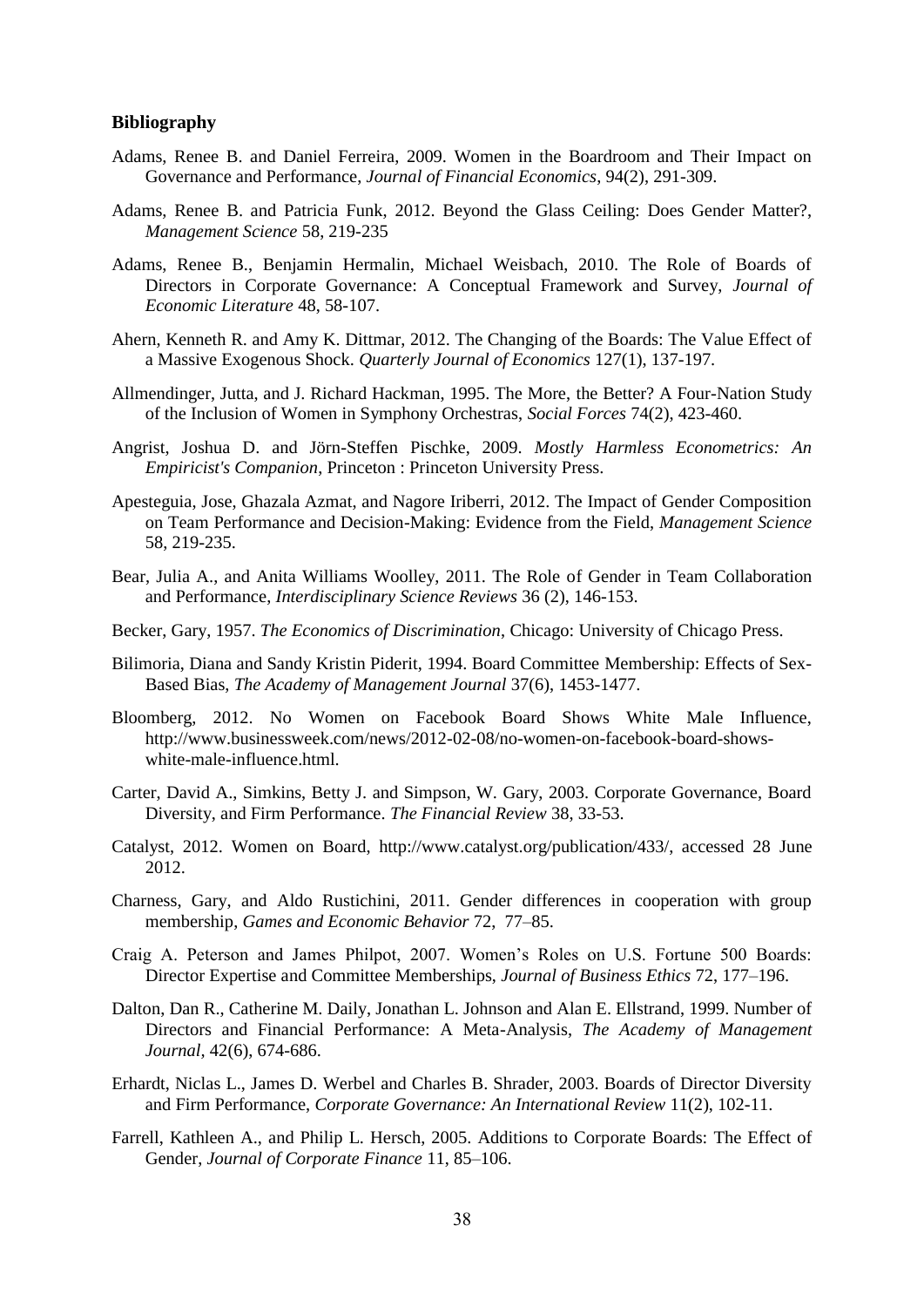### **Bibliography**

- Adams, Renee B. and Daniel Ferreira, 2009. Women in the Boardroom and Their Impact on Governance and Performance, *Journal of Financial Economics*, 94(2), 291-309.
- Adams, Renee B. and Patricia Funk, 2012. Beyond the Glass Ceiling: Does Gender Matter?, *Management Science* 58, 219-235
- Adams, Renee B., Benjamin Hermalin, Michael Weisbach, 2010. The Role of Boards of Directors in Corporate Governance: A Conceptual Framework and Survey, *Journal of Economic Literature* 48, 58-107.
- Ahern, Kenneth R. and Amy K. Dittmar, 2012. The Changing of the Boards: The Value Effect of a Massive Exogenous Shock. *Quarterly Journal of Economics* 127(1), 137-197.
- Allmendinger, Jutta, and J. Richard Hackman, 1995. The More, the Better? A Four-Nation Study of the Inclusion of Women in Symphony Orchestras, *Social Forces* 74(2), 423-460.
- Angrist, Joshua D. and Jörn-Steffen Pischke, 2009. *Mostly Harmless Econometrics: An Empiricist's Companion*, Princeton : Princeton University Press.
- Apesteguia, Jose, Ghazala Azmat, and Nagore Iriberri, 2012. The Impact of Gender Composition on Team Performance and Decision-Making: Evidence from the Field, *Management Science*  58, 219-235.
- Bear, Julia A., and Anita Williams Woolley, 2011. The Role of Gender in Team Collaboration and Performance, *Interdisciplinary Science Reviews* 36 (2), 146-153.
- Becker, Gary, 1957. *The Economics of Discrimination*, Chicago: University of Chicago Press.
- Bilimoria, Diana and Sandy Kristin Piderit, 1994. Board Committee Membership: Effects of Sex-Based Bias, *The Academy of Management Journal* 37(6), 1453-1477.
- Bloomberg, 2012. No Women on Facebook Board Shows White Male Influence, http://www.businessweek.com/news/2012-02-08/no-women-on-facebook-board-showswhite-male-influence.html.
- Carter, David A., Simkins, Betty J. and Simpson, W. Gary, 2003. Corporate Governance, Board Diversity, and Firm Performance. *The Financial Review* 38, 33-53.
- Catalyst, 2012. Women on Board, http://www.catalyst.org/publication/433/, accessed 28 June 2012.
- Charness, Gary, and Aldo Rustichini, 2011. Gender differences in cooperation with group membership, *Games and Economic Behavior* 72, 77–85.
- Craig A. Peterson and James Philpot, 2007. Women's Roles on U.S. Fortune 500 Boards: Director Expertise and Committee Memberships, *Journal of Business Ethics* 72, 177–196.
- Dalton, Dan R., Catherine M. Daily, Jonathan L. Johnson and Alan E. Ellstrand, 1999. Number of Directors and Financial Performance: A Meta-Analysis, *The Academy of Management Journal,* 42(6), 674-686.
- Erhardt, Niclas L., James D. Werbel and Charles B. Shrader, 2003. Boards of Director Diversity and Firm Performance, *Corporate Governance: An International Review* 11(2), 102-11.
- Farrell, Kathleen A., and Philip L. Hersch, 2005. Additions to Corporate Boards: The Effect of Gender, *Journal of Corporate Finance* 11, 85–106.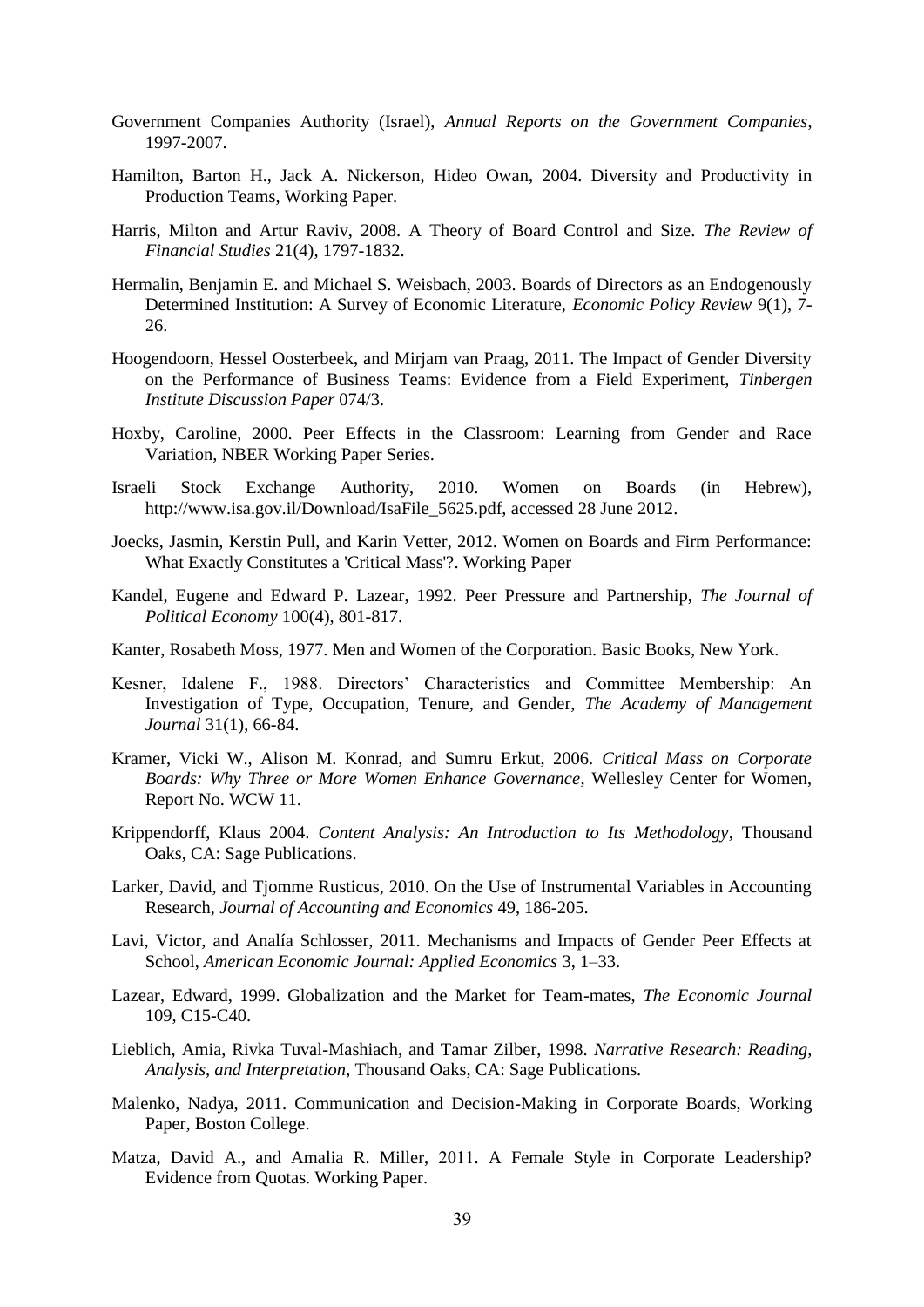- Government Companies Authority (Israel), *Annual Reports on the Government Companies*, 1997-2007.
- Hamilton, Barton H., Jack A. Nickerson, Hideo Owan, 2004. Diversity and Productivity in Production Teams, Working Paper.
- Harris, Milton and Artur Raviv, 2008. A Theory of Board Control and Size. *The Review of Financial Studies* 21(4), 1797-1832.
- Hermalin, Benjamin E. and Michael S. Weisbach, 2003. Boards of Directors as an Endogenously Determined Institution: A Survey of Economic Literature, *Economic Policy Review* 9(1), 7- 26.
- Hoogendoorn, Hessel Oosterbeek, and Mirjam van Praag, 2011. The Impact of Gender Diversity on the Performance of Business Teams: Evidence from a Field Experiment, *Tinbergen Institute Discussion Paper* 074/3.
- Hoxby, Caroline, 2000. Peer Effects in the Classroom: Learning from Gender and Race Variation, NBER Working Paper Series.
- Israeli Stock Exchange Authority, 2010. Women on Boards (in Hebrew), http://www.isa.gov.il/Download/IsaFile\_5625.pdf, accessed 28 June 2012.
- Joecks, Jasmin, Kerstin Pull, and Karin Vetter, 2012. Women on Boards and Firm Performance: What Exactly Constitutes a 'Critical Mass'?. Working Paper
- Kandel, Eugene and Edward P. Lazear, 1992. Peer Pressure and Partnership, *The Journal of Political Economy* 100(4), 801-817.
- Kanter, Rosabeth Moss, 1977. Men and Women of the Corporation. Basic Books, New York.
- Kesner, Idalene F., 1988. Directors' Characteristics and Committee Membership: An Investigation of Type, Occupation, Tenure, and Gender, *The Academy of Management Journal* 31(1), 66-84.
- Kramer, Vicki W., Alison M. Konrad, and Sumru Erkut, 2006. *Critical Mass on Corporate Boards: Why Three or More Women Enhance Governance*, Wellesley Center for Women, Report No. WCW 11.
- Krippendorff, Klaus 2004. *Content Analysis: An Introduction to Its Methodology*, Thousand Oaks, CA: Sage Publications.
- Larker, David, and Tjomme Rusticus, 2010. On the Use of Instrumental Variables in Accounting Research, *Journal of Accounting and Economics* 49, 186-205.
- Lavi, Victor, and Analía Schlosser, 2011. Mechanisms and Impacts of Gender Peer Effects at School, *American Economic Journal: Applied Economics* 3, 1–33.
- Lazear, Edward, 1999. Globalization and the Market for Team-mates, *The Economic Journal* 109, C15-C40.
- Lieblich, Amia, Rivka Tuval-Mashiach, and Tamar Zilber, 1998. *Narrative Research: Reading, Analysis, and Interpretation*, Thousand Oaks, CA: Sage Publications.
- Malenko, Nadya, 2011. Communication and Decision-Making in Corporate Boards, Working Paper, Boston College.
- Matza, David A., and Amalia R. Miller, 2011. A Female Style in Corporate Leadership? Evidence from Quotas. Working Paper.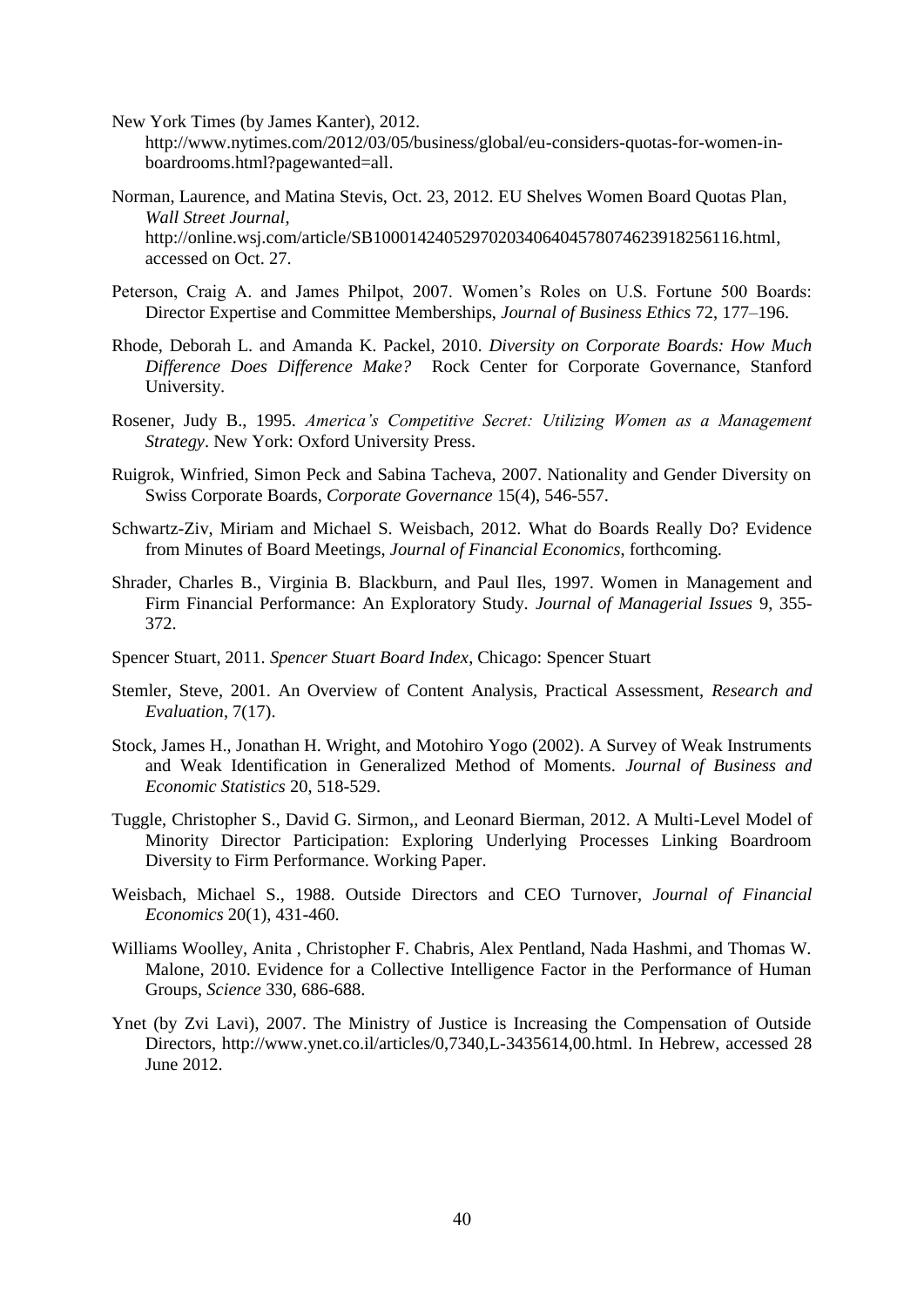New York Times (by James Kanter), 2012. [http://www.nytimes.com/2012/03/05/business/global/eu-considers-quotas-for-women-in](http://www.nytimes.com/2012/03/05/business/global/eu-considers-quotas-for-women-in-boardrooms.html?pagewanted=all)[boardrooms.html?pagewanted=all.](http://www.nytimes.com/2012/03/05/business/global/eu-considers-quotas-for-women-in-boardrooms.html?pagewanted=all)

- Norman, Laurence, and Matina Stevis, Oct. 23, 2012. EU Shelves Women Board Quotas Plan, *Wall Street Journal*, http://online.wsj.com/article/SB10001424052970203406404578074623918256116.html, accessed on Oct. 27.
- Peterson, Craig A. and James Philpot, 2007. Women's Roles on U.S. Fortune 500 Boards: Director Expertise and Committee Memberships, *Journal of Business Ethics* 72, 177–196.
- Rhode, Deborah L. and Amanda K. Packel, 2010. *Diversity on Corporate Boards: How Much Difference Does Difference Make?* Rock Center for Corporate Governance, Stanford University.
- Rosener, Judy B., 1995. *America's Competitive Secret: Utilizing Women as a Management Strategy*. New York: Oxford University Press.
- Ruigrok, Winfried, Simon Peck and Sabina Tacheva, 2007. Nationality and Gender Diversity on Swiss Corporate Boards, *Corporate Governance* 15(4), 546-557.
- Schwartz-Ziv, Miriam and Michael S. Weisbach, 2012. What do Boards Really Do? Evidence from Minutes of Board Meetings, *Journal of Financial Economics*, forthcoming.
- Shrader, Charles B., Virginia B. Blackburn, and Paul Iles, 1997. Women in Management and Firm Financial Performance: An Exploratory Study. *Journal of Managerial Issues* 9, 355- 372.
- Spencer Stuart, 2011. *Spencer Stuart Board Index*, Chicago: Spencer Stuart
- Stemler, Steve, 2001. An Overview of Content Analysis, Practical Assessment, *Research and Evaluation*, 7(17).
- Stock, James H., Jonathan H. Wright, and Motohiro Yogo (2002). A Survey of Weak Instruments and Weak Identification in Generalized Method of Moments. *Journal of Business and Economic Statistics* 20, 518-529.
- Tuggle, Christopher S., David G. Sirmon,, and Leonard Bierman, 2012. A Multi-Level Model of Minority Director Participation: Exploring Underlying Processes Linking Boardroom Diversity to Firm Performance. Working Paper.
- Weisbach, Michael S., 1988. Outside Directors and CEO Turnover, *Journal of Financial Economics* 20(1), 431-460.
- Williams Woolley, Anita , Christopher F. Chabris, Alex Pentland, Nada Hashmi, and Thomas W. Malone, 2010. Evidence for a Collective Intelligence Factor in the Performance of Human Groups, *Science* 330, 686-688.
- Ynet (by Zvi Lavi), 2007. The Ministry of Justice is Increasing the Compensation of Outside Directors, http://www.ynet.co.il/articles/0,7340,L-3435614,00.html. In Hebrew, accessed 28 June 2012.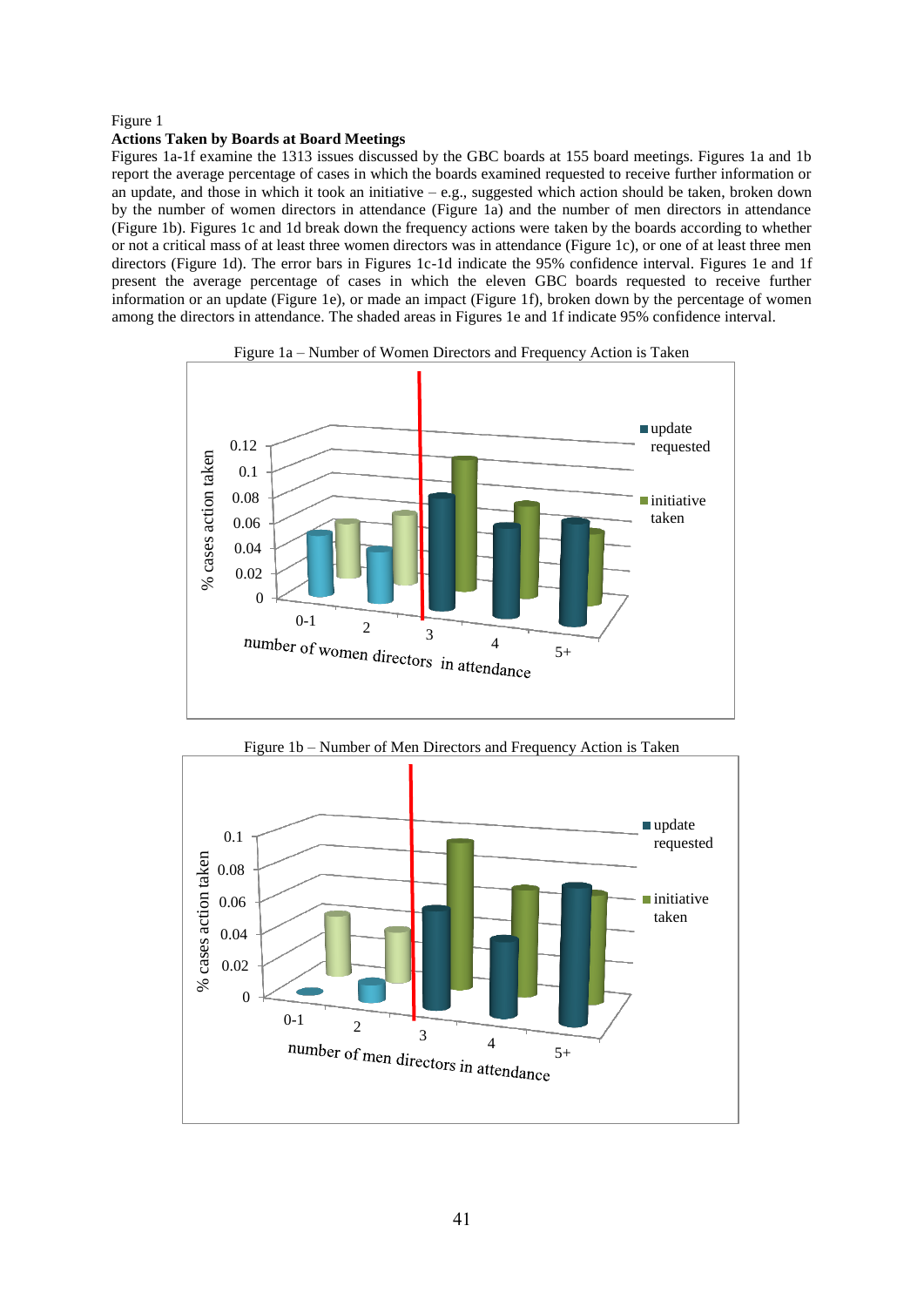#### Figure 1

#### **Actions Taken by Boards at Board Meetings**

Figures 1a-1f examine the 1313 issues discussed by the GBC boards at 155 board meetings. Figures 1a and 1b report the average percentage of cases in which the boards examined requested to receive further information or an update, and those in which it took an initiative – e.g., suggested which action should be taken, broken down by the number of women directors in attendance (Figure 1a) and the number of men directors in attendance (Figure 1b). Figures 1c and 1d break down the frequency actions were taken by the boards according to whether or not a critical mass of at least three women directors was in attendance (Figure 1c), or one of at least three men directors (Figure 1d). The error bars in Figures 1c-1d indicate the 95% confidence interval. Figures 1e and 1f present the average percentage of cases in which the eleven GBC boards requested to receive further information or an update (Figure 1e), or made an impact (Figure 1f), broken down by the percentage of women among the directors in attendance. The shaded areas in Figures 1e and 1f indicate 95% confidence interval.





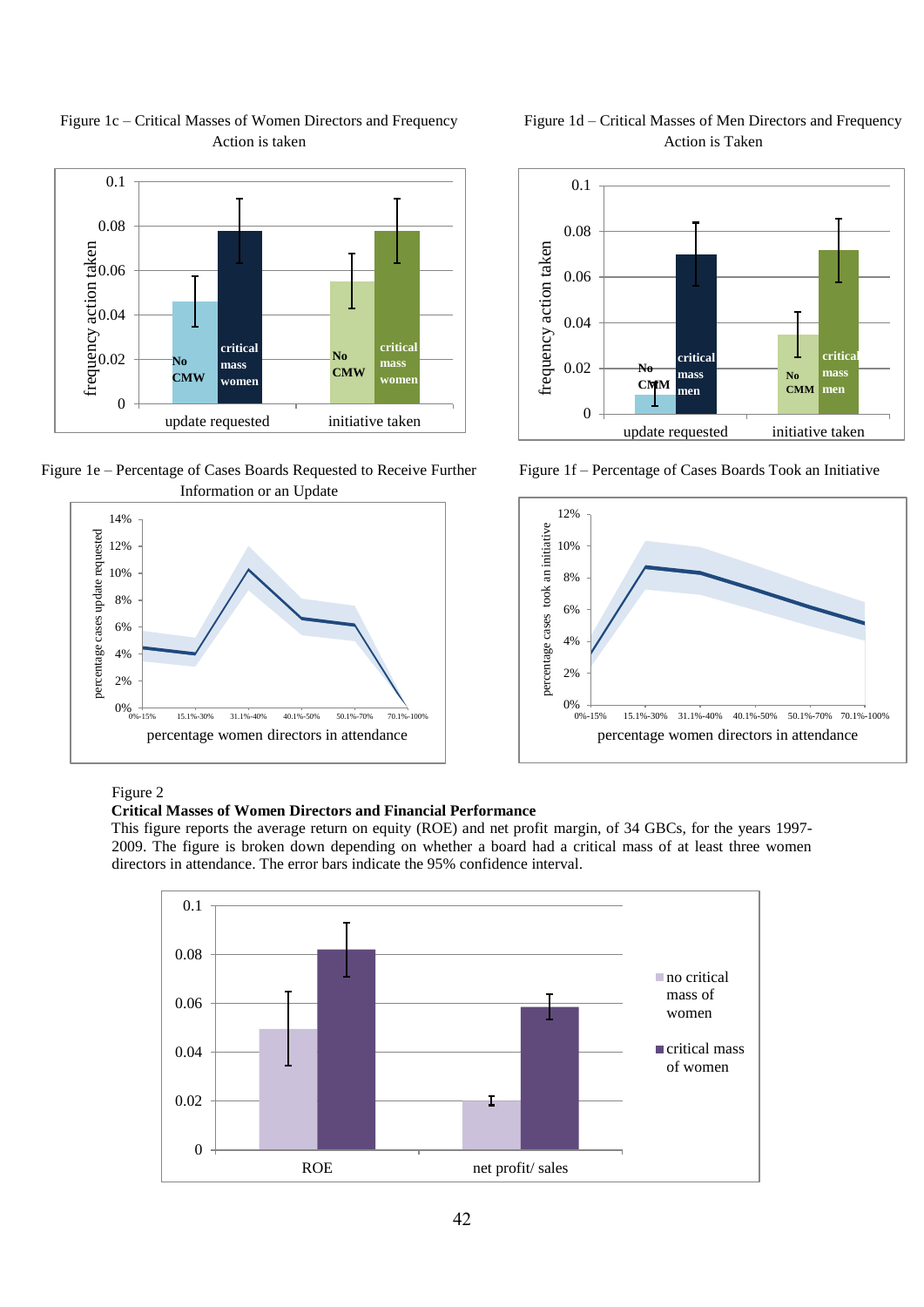

# Figure 1c – Critical Masses of Women Directors and Frequency Action is taken

Figure 1e – Percentage of Cases Boards Requested to Receive Further Information or an Update





Figure 1d – Critical Masses of Men Directors and Frequency Action is Taken

Figure 1f – Percentage of Cases Boards Took an Initiative



Figure 2

# **Critical Masses of Women Directors and Financial Performance**

This figure reports the average return on equity (ROE) and net profit margin, of 34 GBCs, for the years 1997- 2009. The figure is broken down depending on whether a board had a critical mass of at least three women directors in attendance. The error bars indicate the 95% confidence interval.

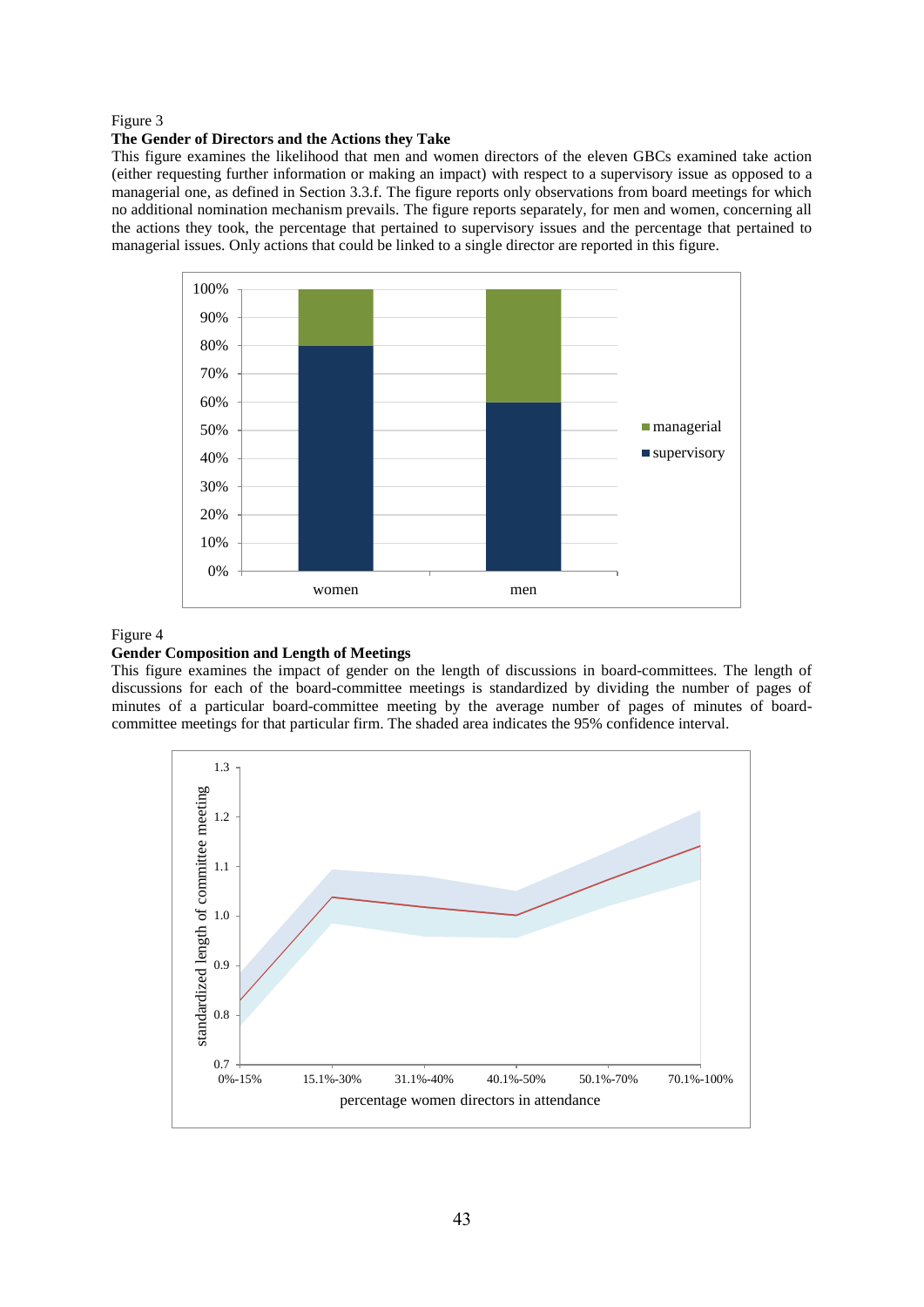### Figure 3

#### **The Gender of Directors and the Actions they Take**

This figure examines the likelihood that men and women directors of the eleven GBCs examined take action (either requesting further information or making an impact) with respect to a supervisory issue as opposed to a managerial one, as defined in Section 3.3.f. The figure reports only observations from board meetings for which no additional nomination mechanism prevails. The figure reports separately, for men and women, concerning all the actions they took, the percentage that pertained to supervisory issues and the percentage that pertained to managerial issues. Only actions that could be linked to a single director are reported in this figure.



#### Figure 4

### **Gender Composition and Length of Meetings**

This figure examines the impact of gender on the length of discussions in board-committees. The length of discussions for each of the board-committee meetings is standardized by dividing the number of pages of minutes of a particular board-committee meeting by the average number of pages of minutes of boardcommittee meetings for that particular firm. The shaded area indicates the 95% confidence interval.

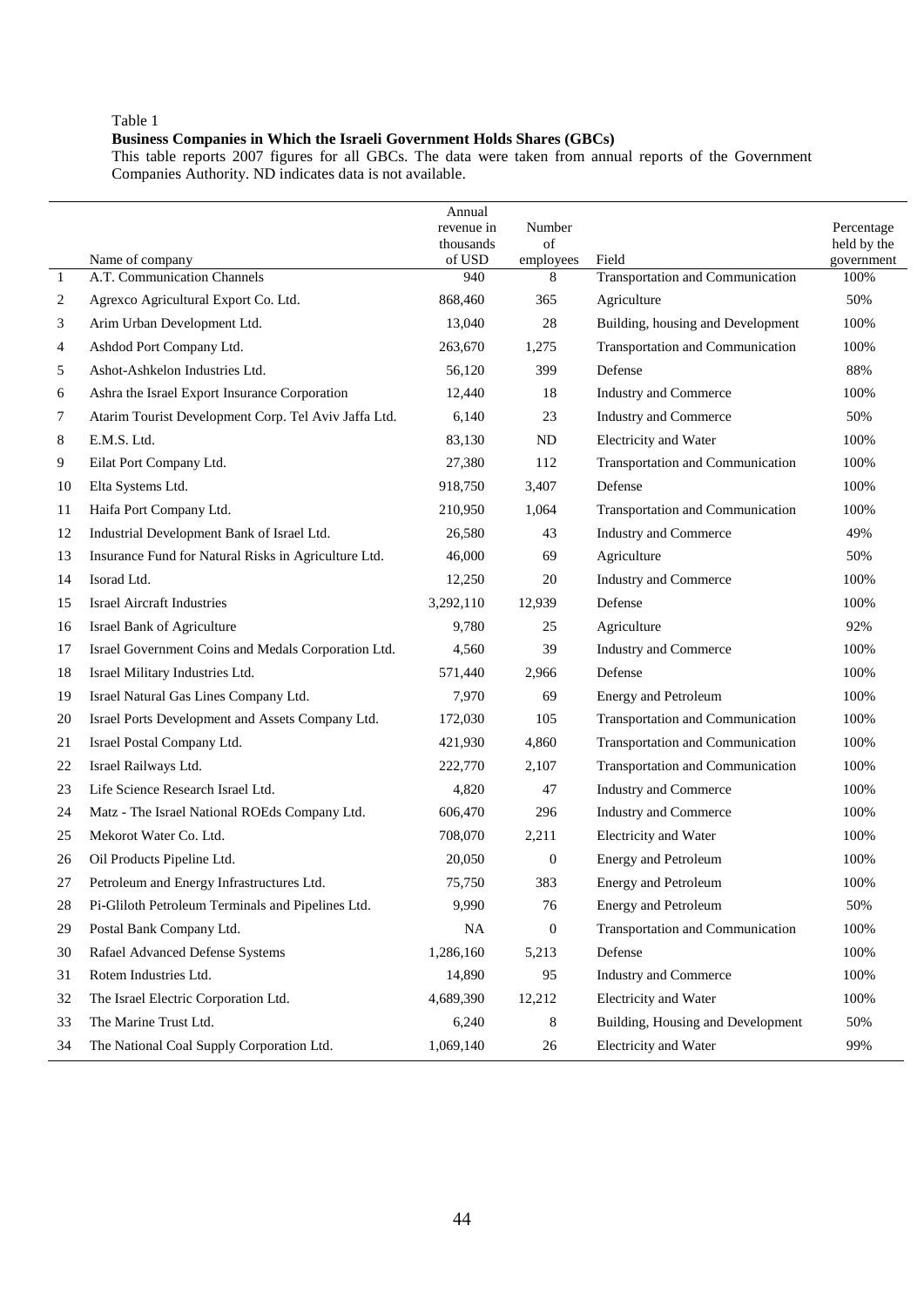#### **Business Companies in Which the Israeli Government Holds Shares (GBCs)**

This table reports 2007 figures for all GBCs. The data were taken from annual reports of the Government Companies Authority. ND indicates data is not available.

|    |                                                      | Annual<br>revenue in<br>thousands | Number<br>of     |                                   | Percentage<br>held by the |
|----|------------------------------------------------------|-----------------------------------|------------------|-----------------------------------|---------------------------|
|    | Name of company                                      | of USD                            | employees        | Field                             | government                |
| 1  | A.T. Communication Channels                          | 940                               | 8                | Transportation and Communication  | 100%                      |
| 2  | Agrexco Agricultural Export Co. Ltd.                 | 868,460                           | 365              | Agriculture                       | 50%                       |
| 3  | Arim Urban Development Ltd.                          | 13,040                            | 28               | Building, housing and Development | 100%                      |
| 4  | Ashdod Port Company Ltd.                             | 263,670                           | 1,275            | Transportation and Communication  | 100%                      |
| 5  | Ashot-Ashkelon Industries Ltd.                       | 56,120                            | 399              | Defense                           | 88%                       |
| 6  | Ashra the Israel Export Insurance Corporation        | 12,440                            | 18               | Industry and Commerce             | 100%                      |
| 7  | Atarim Tourist Development Corp. Tel Aviv Jaffa Ltd. | 6,140                             | 23               | Industry and Commerce             | 50%                       |
| 8  | E.M.S. Ltd.                                          | 83,130                            | ND               | Electricity and Water             | 100%                      |
| 9  | Eilat Port Company Ltd.                              | 27,380                            | 112              | Transportation and Communication  | 100%                      |
| 10 | Elta Systems Ltd.                                    | 918,750                           | 3,407            | Defense                           | 100%                      |
| 11 | Haifa Port Company Ltd.                              | 210,950                           | 1,064            | Transportation and Communication  | 100%                      |
| 12 | Industrial Development Bank of Israel Ltd.           | 26,580                            | 43               | <b>Industry and Commerce</b>      | 49%                       |
| 13 | Insurance Fund for Natural Risks in Agriculture Ltd. | 46,000                            | 69               | Agriculture                       | 50%                       |
| 14 | Isorad Ltd.                                          | 12,250                            | 20               | Industry and Commerce             | 100%                      |
| 15 | <b>Israel Aircraft Industries</b>                    | 3,292,110                         | 12,939           | Defense                           | 100%                      |
| 16 | Israel Bank of Agriculture                           | 9,780                             | 25               | Agriculture                       | 92%                       |
| 17 | Israel Government Coins and Medals Corporation Ltd.  | 4,560                             | 39               | Industry and Commerce             | 100%                      |
| 18 | Israel Military Industries Ltd.                      | 571,440                           | 2,966            | Defense                           | 100%                      |
| 19 | Israel Natural Gas Lines Company Ltd.                | 7,970                             | 69               | Energy and Petroleum              | 100%                      |
| 20 | Israel Ports Development and Assets Company Ltd.     | 172,030                           | 105              | Transportation and Communication  | 100%                      |
| 21 | Israel Postal Company Ltd.                           | 421,930                           | 4,860            | Transportation and Communication  | 100%                      |
| 22 | Israel Railways Ltd.                                 | 222,770                           | 2,107            | Transportation and Communication  | 100%                      |
| 23 | Life Science Research Israel Ltd.                    | 4,820                             | 47               | Industry and Commerce             | 100%                      |
| 24 | Matz - The Israel National ROEds Company Ltd.        | 606,470                           | 296              | Industry and Commerce             | 100%                      |
| 25 | Mekorot Water Co. Ltd.                               | 708,070                           | 2,211            | Electricity and Water             | 100%                      |
| 26 | Oil Products Pipeline Ltd.                           | 20,050                            | $\mathbf{0}$     | Energy and Petroleum              | 100%                      |
| 27 | Petroleum and Energy Infrastructures Ltd.            | 75,750                            | 383              | <b>Energy and Petroleum</b>       | 100%                      |
| 28 | Pi-Gliloth Petroleum Terminals and Pipelines Ltd.    | 9,990                             | 76               | <b>Energy and Petroleum</b>       | 50%                       |
| 29 | Postal Bank Company Ltd.                             | <b>NA</b>                         | $\boldsymbol{0}$ | Transportation and Communication  | 100%                      |
| 30 | Rafael Advanced Defense Systems                      | 1,286,160                         | 5,213            | Defense                           | 100%                      |
| 31 | Rotem Industries Ltd.                                | 14,890                            | 95               | Industry and Commerce             | 100%                      |
| 32 | The Israel Electric Corporation Ltd.                 | 4,689,390                         | 12,212           | Electricity and Water             | 100%                      |
| 33 | The Marine Trust Ltd.                                | 6,240                             | 8                | Building, Housing and Development | 50%                       |
| 34 | The National Coal Supply Corporation Ltd.            | 1,069,140                         | 26               | Electricity and Water             | 99%                       |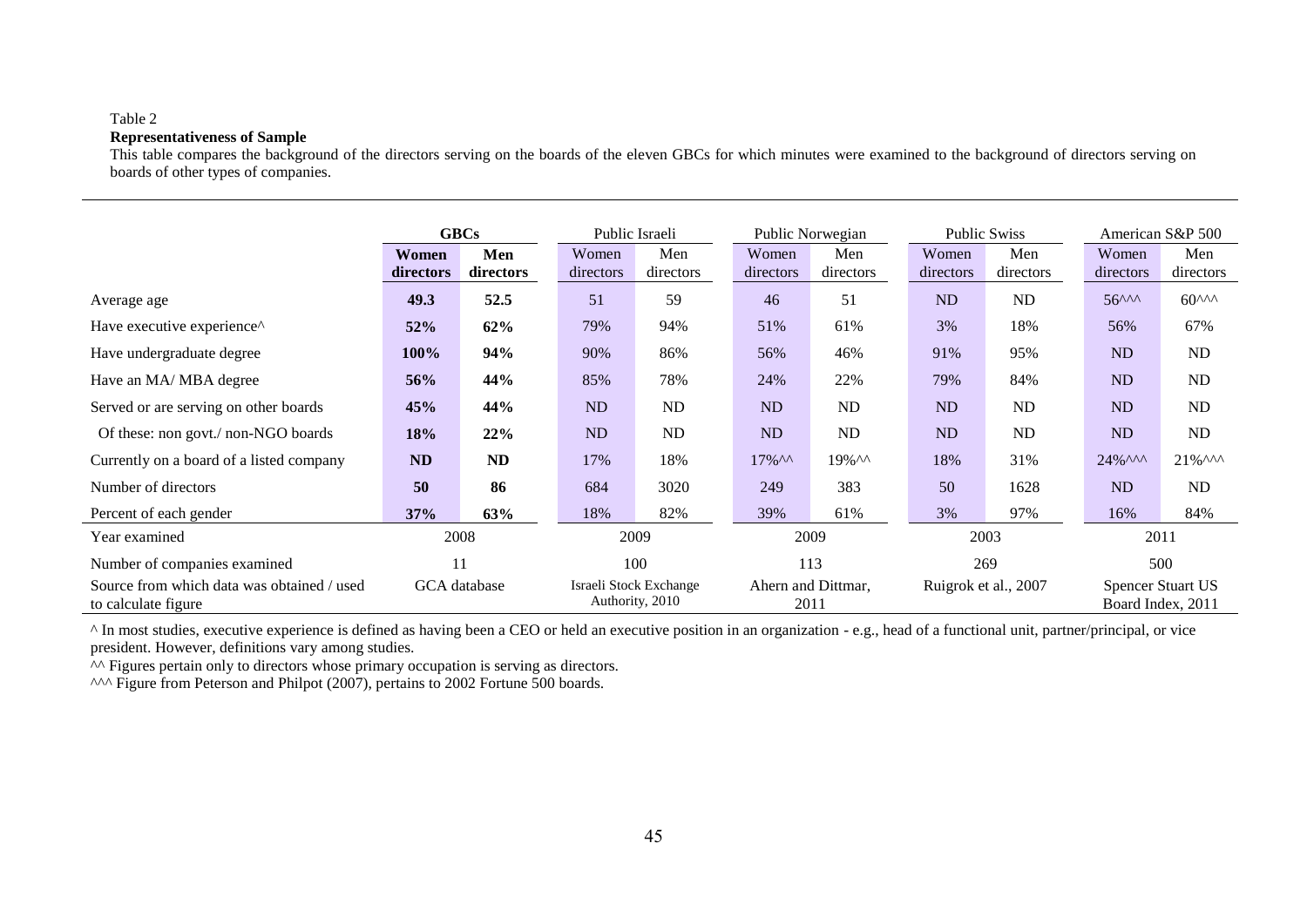### **Representativeness of Sample**

This table compares the background of the directors serving on the boards of the eleven GBCs for which minutes were examined to the background of directors serving on boards of other types of companies.

|                                                                   | <b>GBCs</b>        |                  | Public Israeli<br>Public Norwegian |                                           | <b>Public Swiss</b>        |                  | American S&P 500   |                      |                             |                                               |
|-------------------------------------------------------------------|--------------------|------------------|------------------------------------|-------------------------------------------|----------------------------|------------------|--------------------|----------------------|-----------------------------|-----------------------------------------------|
|                                                                   | Women<br>directors | Men<br>directors | Women<br>directors                 | Men<br>directors                          | Women<br>directors         | Men<br>directors | Women<br>directors | Men<br>directors     | Women<br>directors          | Men<br>directors                              |
| Average age                                                       | 49.3               | 52.5             | 51                                 | 59                                        | 46                         | 51               | ND                 | ND                   | $56^{\wedge\wedge\wedge}$   | $60^{\text{AA}}$                              |
| Have executive experience^                                        | 52%                | 62%              | 79%                                | 94%                                       | 51%                        | 61%              | 3%                 | 18%                  | 56%                         | 67%                                           |
| Have undergraduate degree                                         | 100%               | 94%              | 90%                                | 86%                                       | 56%                        | 46%              | 91%                | 95%                  | ND                          | ND                                            |
| Have an MA/MBA degree                                             | 56%                | 44%              | 85%                                | 78%                                       | 24%                        | 22%              | 79%                | 84%                  | ND                          | ND                                            |
| Served or are serving on other boards                             | 45%                | 44%              | <b>ND</b>                          | ND                                        | <b>ND</b>                  | <b>ND</b>        | ND                 | ND                   | ND                          | ND                                            |
| Of these: non govt./ non-NGO boards                               | 18%                | 22%              | <b>ND</b>                          | <b>ND</b>                                 | <b>ND</b>                  | <b>ND</b>        | ND                 | ND                   | N <sub>D</sub>              | <b>ND</b>                                     |
| Currently on a board of a listed company                          | <b>ND</b>          | ND               | 17%                                | 18%                                       | $17\%$ ^^                  | $19\%$ $\wedge$  | 18%                | 31%                  | $24\%$ $\wedge\wedge\wedge$ | $21\%$ ^^^                                    |
| Number of directors                                               | 50                 | 86               | 684                                | 3020                                      | 249                        | 383              | 50                 | 1628                 | ND                          | ND                                            |
| Percent of each gender                                            | 37%                | 63%              | 18%                                | 82%                                       | 39%                        | 61%              | 3%                 | 97%                  | 16%                         | 84%                                           |
| Year examined                                                     | 2008               |                  |                                    | 2009                                      |                            | 2009             | 2003               |                      | 2011                        |                                               |
| Number of companies examined                                      | 11                 |                  |                                    | 100                                       |                            | 113              |                    | 269                  |                             | 500                                           |
| Source from which data was obtained / used<br>to calculate figure |                    | GCA database     |                                    | Israeli Stock Exchange<br>Authority, 2010 | Ahern and Dittmar,<br>2011 |                  |                    | Ruigrok et al., 2007 |                             | <b>Spencer Stuart US</b><br>Board Index, 2011 |

^ In most studies, executive experience is defined as having been a CEO or held an executive position in an organization - e.g., head of a functional unit, partner/principal, or vice president. However, definitions vary among studies.

 $\sim$  Figures pertain only to directors whose primary occupation is serving as directors.

ANA Figure from Peterson and Philpot (2007), pertains to 2002 Fortune 500 boards.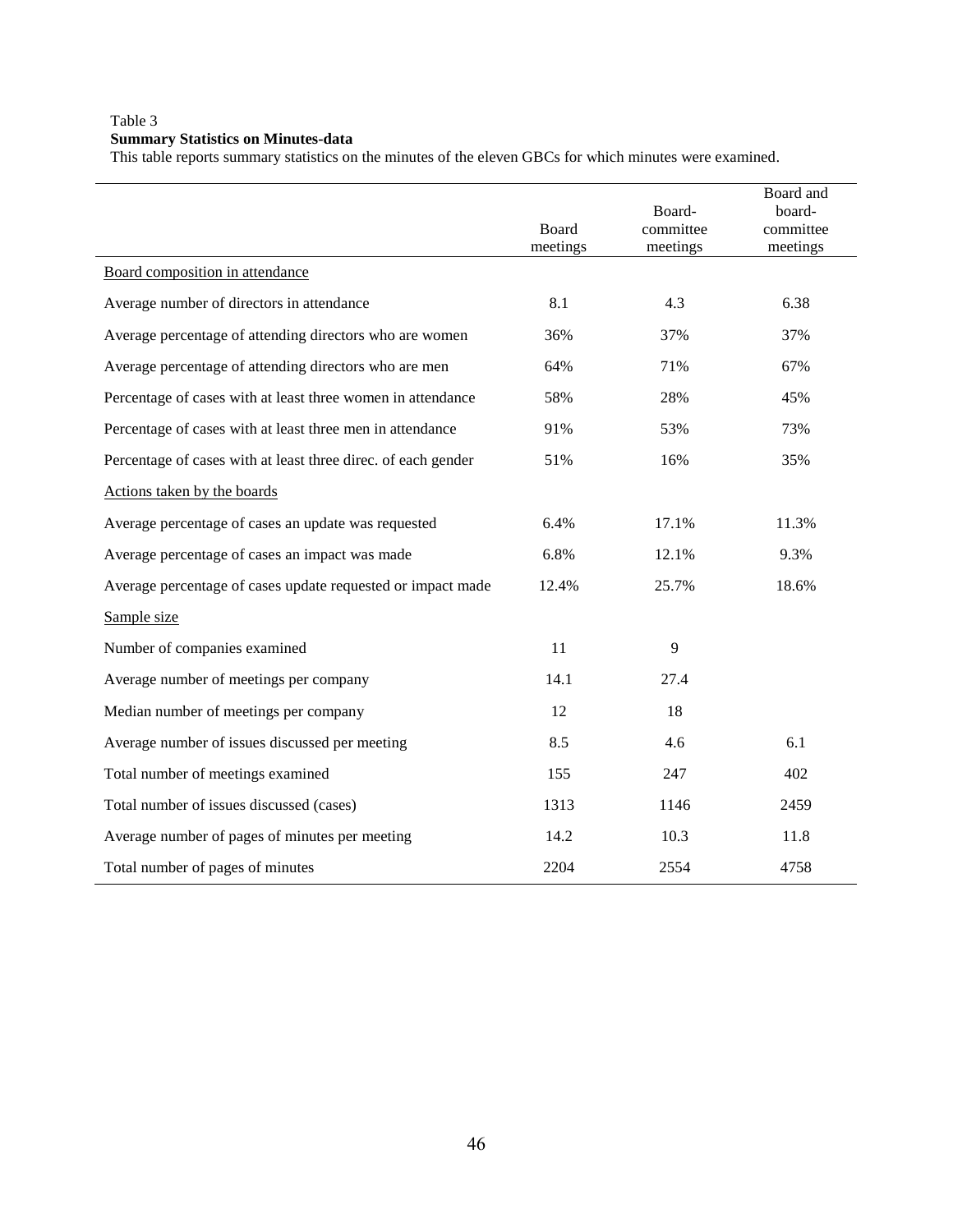# Table 3 **Summary Statistics on Minutes-data**

This table reports summary statistics on the minutes of the eleven GBCs for which minutes were examined.

|                                                               | Board<br>meetings | Board-<br>committee<br>meetings | Board and<br>board-<br>committee<br>meetings |
|---------------------------------------------------------------|-------------------|---------------------------------|----------------------------------------------|
| Board composition in attendance                               |                   |                                 |                                              |
| Average number of directors in attendance                     | 8.1               | 4.3                             | 6.38                                         |
| Average percentage of attending directors who are women       | 36%               | 37%                             | 37%                                          |
| Average percentage of attending directors who are men         | 64%               | 71%                             | 67%                                          |
| Percentage of cases with at least three women in attendance   | 58%               | 28%                             | 45%                                          |
| Percentage of cases with at least three men in attendance     | 91%               | 53%                             | 73%                                          |
| Percentage of cases with at least three direc. of each gender | 51%               | 16%                             | 35%                                          |
| Actions taken by the boards                                   |                   |                                 |                                              |
| Average percentage of cases an update was requested           | 6.4%              | 17.1%                           | 11.3%                                        |
| Average percentage of cases an impact was made                | 6.8%              | 12.1%                           | 9.3%                                         |
| Average percentage of cases update requested or impact made   | 12.4%             | 25.7%                           | 18.6%                                        |
| Sample size                                                   |                   |                                 |                                              |
| Number of companies examined                                  | 11                | 9                               |                                              |
| Average number of meetings per company                        | 14.1              | 27.4                            |                                              |
| Median number of meetings per company                         | 12                | 18                              |                                              |
| Average number of issues discussed per meeting                | 8.5               | 4.6                             | 6.1                                          |
| Total number of meetings examined                             | 155               | 247                             | 402                                          |
| Total number of issues discussed (cases)                      | 1313              | 1146                            | 2459                                         |
| Average number of pages of minutes per meeting                | 14.2              | 10.3                            | 11.8                                         |
| Total number of pages of minutes                              | 2204              | 2554                            | 4758                                         |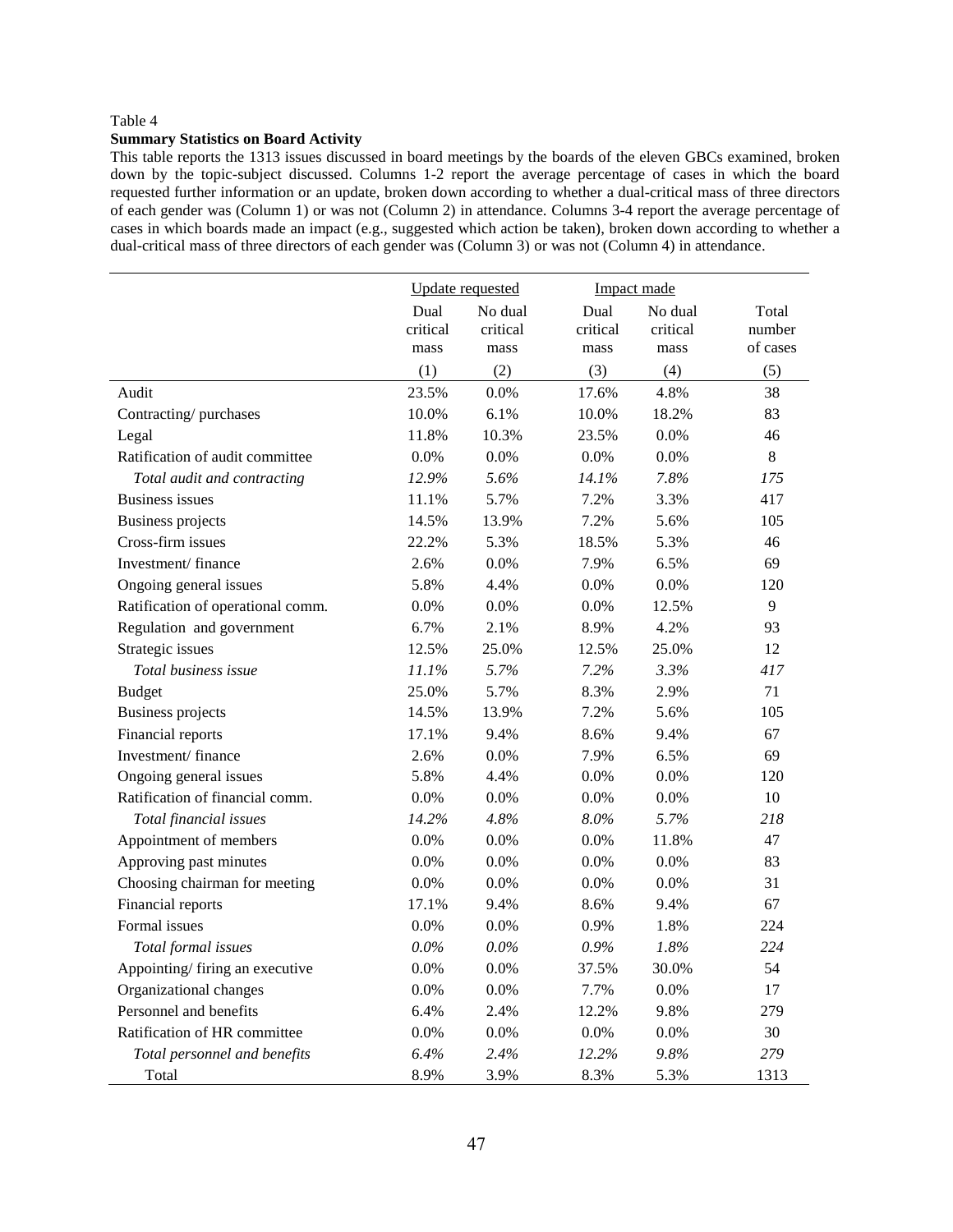### **Summary Statistics on Board Activity**

This table reports the 1313 issues discussed in board meetings by the boards of the eleven GBCs examined, broken down by the topic-subject discussed. Columns 1-2 report the average percentage of cases in which the board requested further information or an update, broken down according to whether a dual-critical mass of three directors of each gender was (Column 1) or was not (Column 2) in attendance. Columns 3-4 report the average percentage of cases in which boards made an impact (e.g., suggested which action be taken), broken down according to whether a dual-critical mass of three directors of each gender was (Column 3) or was not (Column 4) in attendance.

|                                   | <b>Update</b> requested  |                             | Impact made              |                             |                             |
|-----------------------------------|--------------------------|-----------------------------|--------------------------|-----------------------------|-----------------------------|
|                                   | Dual<br>critical<br>mass | No dual<br>critical<br>mass | Dual<br>critical<br>mass | No dual<br>critical<br>mass | Total<br>number<br>of cases |
|                                   | (1)                      | (2)                         | (3)                      | (4)                         | (5)                         |
| Audit                             | 23.5%                    | 0.0%                        | 17.6%                    | 4.8%                        | 38                          |
| Contracting/purchases             | 10.0%                    | 6.1%                        | 10.0%                    | 18.2%                       | 83                          |
| Legal                             | 11.8%                    | 10.3%                       | 23.5%                    | $0.0\%$                     | 46                          |
| Ratification of audit committee   | $0.0\%$                  | 0.0%                        | 0.0%                     | 0.0%                        | $8\,$                       |
| Total audit and contracting       | 12.9%                    | 5.6%                        | 14.1%                    | 7.8%                        | 175                         |
| <b>Business issues</b>            | 11.1%                    | 5.7%                        | 7.2%                     | 3.3%                        | 417                         |
| <b>Business projects</b>          | 14.5%                    | 13.9%                       | 7.2%                     | 5.6%                        | 105                         |
| Cross-firm issues                 | 22.2%                    | 5.3%                        | 18.5%                    | 5.3%                        | 46                          |
| Investment/finance                | 2.6%                     | 0.0%                        | 7.9%                     | 6.5%                        | 69                          |
| Ongoing general issues            | 5.8%                     | 4.4%                        | 0.0%                     | 0.0%                        | 120                         |
| Ratification of operational comm. | 0.0%                     | 0.0%                        | 0.0%                     | 12.5%                       | 9                           |
| Regulation and government         | 6.7%                     | 2.1%                        | 8.9%                     | 4.2%                        | 93                          |
| Strategic issues                  | 12.5%                    | 25.0%                       | 12.5%                    | 25.0%                       | 12                          |
| Total business issue              | 11.1%                    | 5.7%                        | 7.2%                     | 3.3%                        | 417                         |
| <b>Budget</b>                     | 25.0%                    | 5.7%                        | 8.3%                     | 2.9%                        | 71                          |
| <b>Business projects</b>          | 14.5%                    | 13.9%                       | 7.2%                     | 5.6%                        | 105                         |
| Financial reports                 | 17.1%                    | 9.4%                        | 8.6%                     | 9.4%                        | 67                          |
| Investment/finance                | 2.6%                     | 0.0%                        | 7.9%                     | 6.5%                        | 69                          |
| Ongoing general issues            | 5.8%                     | 4.4%                        | 0.0%                     | 0.0%                        | 120                         |
| Ratification of financial comm.   | 0.0%                     | 0.0%                        | 0.0%                     | 0.0%                        | 10                          |
| Total financial issues            | 14.2%                    | 4.8%                        | 8.0%                     | 5.7%                        | 218                         |
| Appointment of members            | 0.0%                     | 0.0%                        | 0.0%                     | 11.8%                       | 47                          |
| Approving past minutes            | 0.0%                     | 0.0%                        | 0.0%                     | $0.0\%$                     | 83                          |
| Choosing chairman for meeting     | 0.0%                     | 0.0%                        | 0.0%                     | 0.0%                        | 31                          |
| Financial reports                 | 17.1%                    | 9.4%                        | 8.6%                     | 9.4%                        | 67                          |
| Formal issues                     | 0.0%                     | 0.0%                        | 0.9%                     | 1.8%                        | 224                         |
| Total formal issues               | 0.0%                     | $0.0\%$                     | 0.9%                     | 1.8%                        | 224                         |
| Appointing/ firing an executive   | 0.0%                     | 0.0%                        | 37.5%                    | 30.0%                       | 54                          |
| Organizational changes            | 0.0%                     | 0.0%                        | 7.7%                     | 0.0%                        | 17                          |
| Personnel and benefits            | 6.4%                     | 2.4%                        | 12.2%                    | 9.8%                        | 279                         |
| Ratification of HR committee      | 0.0%                     | 0.0%                        | 0.0%                     | $0.0\%$                     | 30                          |
| Total personnel and benefits      | 6.4%                     | 2.4%                        | 12.2%                    | 9.8%                        | 279                         |
| Total                             | 8.9%                     | 3.9%                        | 8.3%                     | 5.3%                        | 1313                        |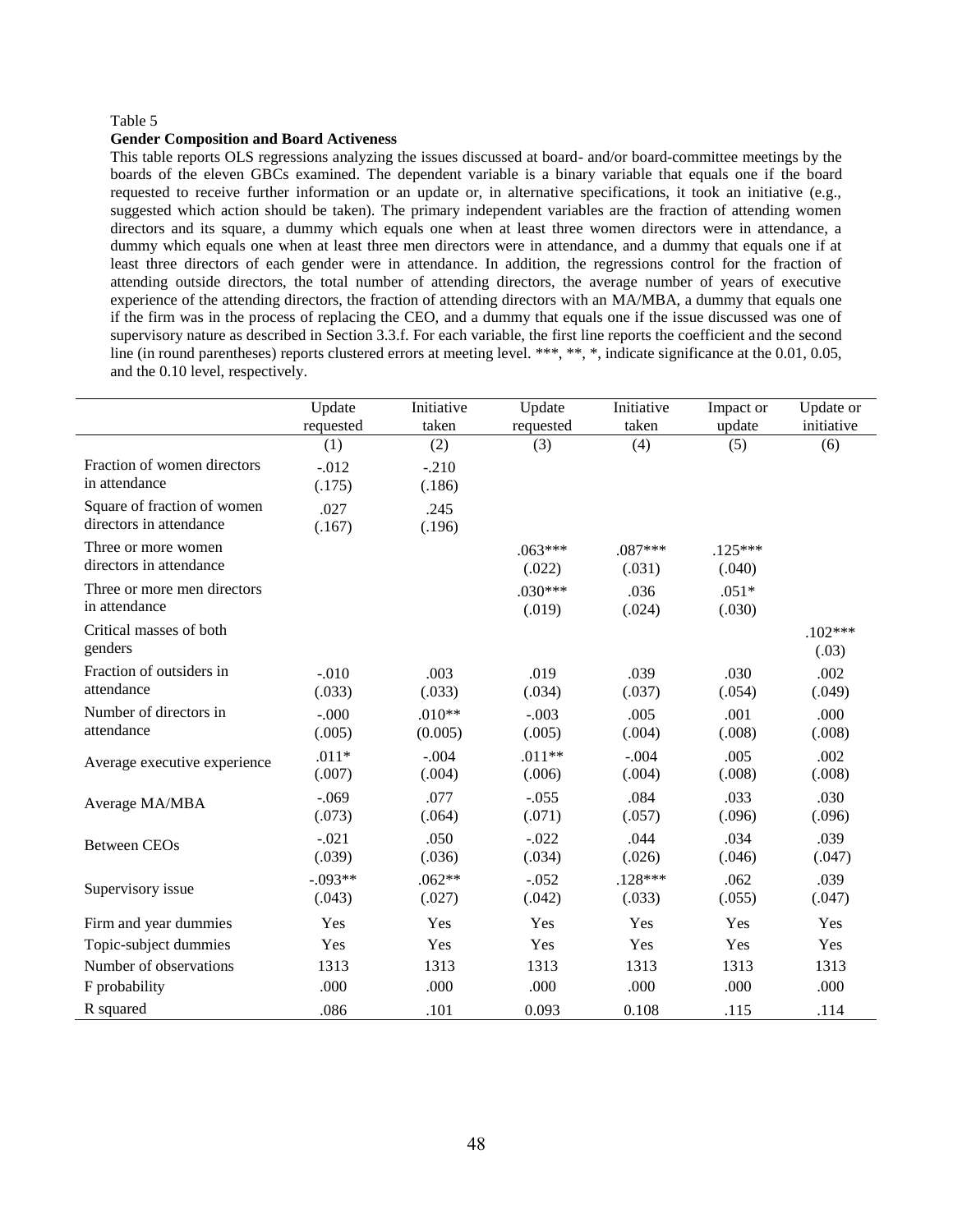#### **Gender Composition and Board Activeness**

This table reports OLS regressions analyzing the issues discussed at board- and/or board-committee meetings by the boards of the eleven GBCs examined. The dependent variable is a binary variable that equals one if the board requested to receive further information or an update or, in alternative specifications, it took an initiative (e.g., suggested which action should be taken). The primary independent variables are the fraction of attending women directors and its square, a dummy which equals one when at least three women directors were in attendance, a dummy which equals one when at least three men directors were in attendance, and a dummy that equals one if at least three directors of each gender were in attendance. In addition, the regressions control for the fraction of attending outside directors, the total number of attending directors, the average number of years of executive experience of the attending directors, the fraction of attending directors with an MA/MBA, a dummy that equals one if the firm was in the process of replacing the CEO, and a dummy that equals one if the issue discussed was one of supervisory nature as described in Section 3.3.f. For each variable, the first line reports the coefficient and the second line (in round parentheses) reports clustered errors at meeting level. \*\*\*, \*\*, \*, indicate significance at the 0.01, 0.05, and the 0.10 level, respectively.

|                              | Update    | Initiative | Update    | Initiative | Impact or | Update or  |
|------------------------------|-----------|------------|-----------|------------|-----------|------------|
|                              | requested | taken      | requested | taken      | update    | initiative |
|                              | (1)       | (2)        | (3)       | (4)        | (5)       | (6)        |
| Fraction of women directors  | $-.012$   | $-.210$    |           |            |           |            |
| in attendance                | (.175)    | (.186)     |           |            |           |            |
| Square of fraction of women  | .027      | .245       |           |            |           |            |
| directors in attendance      | (.167)    | (.196)     |           |            |           |            |
| Three or more women          |           |            | $.063***$ | $.087***$  | $.125***$ |            |
| directors in attendance      |           |            | (.022)    | (.031)     | (.040)    |            |
| Three or more men directors  |           |            | $.030***$ | .036       | $.051*$   |            |
| in attendance                |           |            | (.019)    | (.024)     | (.030)    |            |
| Critical masses of both      |           |            |           |            |           | $.102***$  |
| genders                      |           |            |           |            |           | (.03)      |
| Fraction of outsiders in     | $-.010$   | .003       | .019      | .039       | .030      | .002       |
| attendance                   | (.033)    | (.033)     | (.034)    | (.037)     | (.054)    | (.049)     |
| Number of directors in       | $-.000$   | $.010**$   | $-.003$   | .005       | .001      | .000       |
| attendance                   | (.005)    | (0.005)    | (.005)    | (.004)     | (.008)    | (.008)     |
|                              | $.011*$   | $-.004$    | $.011**$  | $-.004$    | .005      | .002       |
| Average executive experience | (.007)    | (.004)     | (.006)    | (.004)     | (.008)    | (.008)     |
|                              | $-.069$   | .077       | $-.055$   | .084       | .033      | .030       |
| Average MA/MBA               | (.073)    | (.064)     | (.071)    | (.057)     | (.096)    | (.096)     |
| <b>Between CEOs</b>          | $-.021$   | .050       | $-.022$   | .044       | .034      | .039       |
|                              | (.039)    | (.036)     | (.034)    | (.026)     | (.046)    | (.047)     |
|                              | $-.093**$ | $.062**$   | $-.052$   | $.128***$  | .062      | .039       |
| Supervisory issue            | (.043)    | (.027)     | (.042)    | (.033)     | (.055)    | (.047)     |
| Firm and year dummies        | Yes       | Yes        | Yes       | Yes        | Yes       | Yes        |
| Topic-subject dummies        | Yes       | Yes        | Yes       | Yes        | Yes       | Yes        |
| Number of observations       | 1313      | 1313       | 1313      | 1313       | 1313      | 1313       |
| F probability                | .000      | .000       | .000      | .000       | .000      | .000       |
| R squared                    | .086      | .101       | 0.093     | 0.108      | .115      | .114       |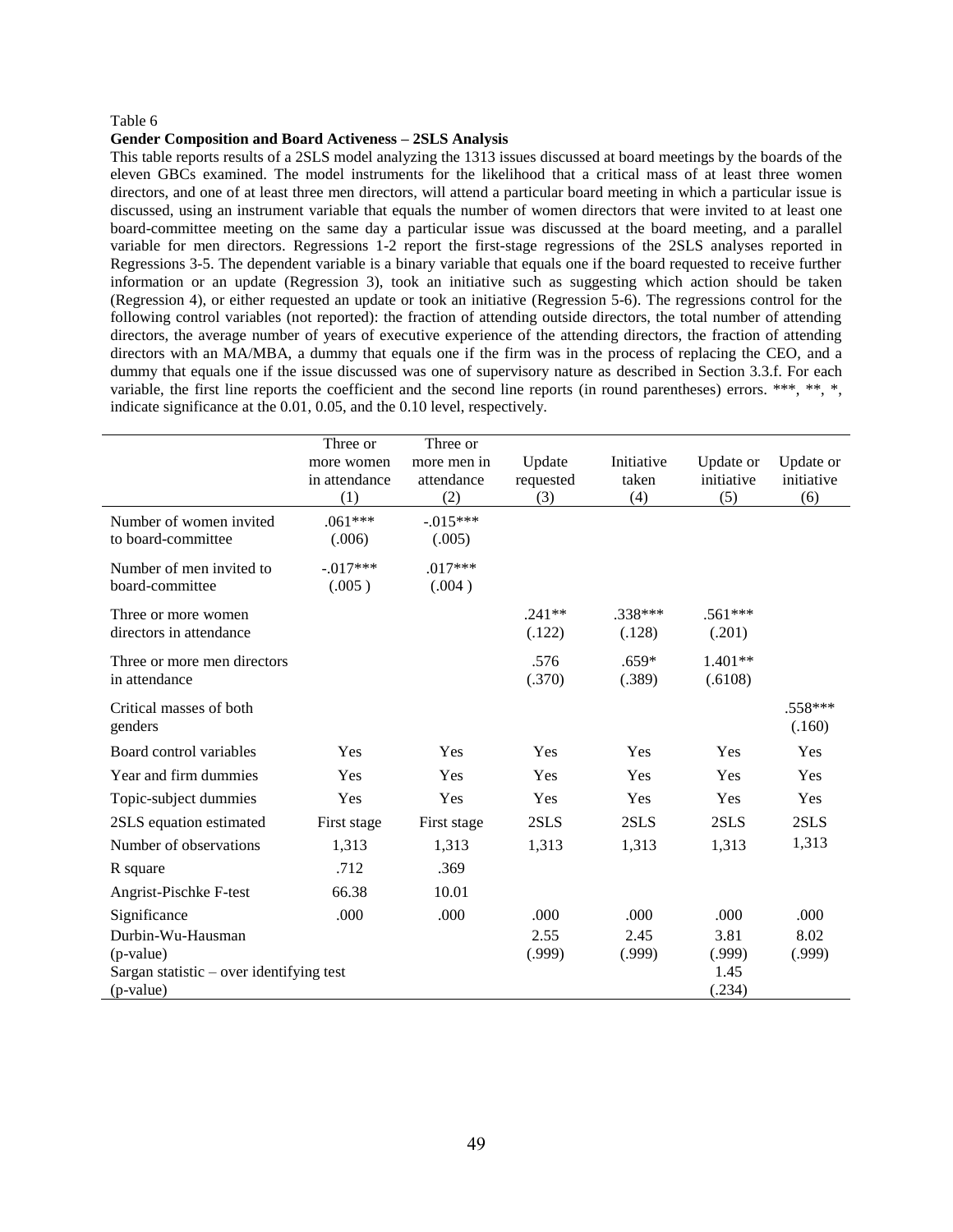#### **Gender Composition and Board Activeness – 2SLS Analysis**

This table reports results of a 2SLS model analyzing the 1313 issues discussed at board meetings by the boards of the eleven GBCs examined. The model instruments for the likelihood that a critical mass of at least three women directors, and one of at least three men directors, will attend a particular board meeting in which a particular issue is discussed, using an instrument variable that equals the number of women directors that were invited to at least one board-committee meeting on the same day a particular issue was discussed at the board meeting, and a parallel variable for men directors. Regressions 1-2 report the first-stage regressions of the 2SLS analyses reported in Regressions 3-5. The dependent variable is a binary variable that equals one if the board requested to receive further information or an update (Regression 3), took an initiative such as suggesting which action should be taken (Regression 4), or either requested an update or took an initiative (Regression 5-6). The regressions control for the following control variables (not reported): the fraction of attending outside directors, the total number of attending directors, the average number of years of executive experience of the attending directors, the fraction of attending directors with an MA/MBA, a dummy that equals one if the firm was in the process of replacing the CEO, and a dummy that equals one if the issue discussed was one of supervisory nature as described in Section 3.3.f. For each variable, the first line reports the coefficient and the second line reports (in round parentheses) errors. \*\*\*, \*\*, \*, indicate significance at the 0.01, 0.05, and the 0.10 level, respectively.

|                                            | Three or      | Three or    |            |            |            |            |
|--------------------------------------------|---------------|-------------|------------|------------|------------|------------|
|                                            | more women    | more men in | Update     | Initiative | Update or  | Update or  |
|                                            | in attendance | attendance  | requested  | taken      | initiative | initiative |
|                                            | (1)           | (2)         | (3)        | (4)        | (5)        | (6)        |
| Number of women invited                    | $.061***$     | $-.015***$  |            |            |            |            |
| to board-committee                         | (.006)        | (.005)      |            |            |            |            |
| Number of men invited to                   | $-.017***$    | $.017***$   |            |            |            |            |
| board-committee                            | (.005)        | (.004)      |            |            |            |            |
| Three or more women                        |               |             | $.241**$   | .338***    | $.561***$  |            |
| directors in attendance                    |               |             | (.122)     | (.128)     | (.201)     |            |
| Three or more men directors                |               |             | .576       | $.659*$    | $1.401**$  |            |
| in attendance                              |               |             | (.370)     | (.389)     | (.6108)    |            |
| Critical masses of both                    |               |             |            |            |            | $.558***$  |
| genders                                    |               |             |            |            |            | (.160)     |
| Board control variables                    | Yes           | Yes         | <b>Yes</b> | Yes        | Yes        | Yes        |
| Year and firm dummies                      | Yes           | Yes         | <b>Yes</b> | Yes        | Yes        | Yes        |
| Topic-subject dummies                      | Yes           | Yes         | Yes        | Yes        | Yes        | Yes        |
| 2SLS equation estimated                    | First stage   | First stage | 2SLS       | 2SLS       | 2SLS       | 2SLS       |
| Number of observations                     | 1,313         | 1,313       | 1,313      | 1,313      | 1,313      | 1,313      |
| R square                                   | .712          | .369        |            |            |            |            |
| Angrist-Pischke F-test                     | 66.38         | 10.01       |            |            |            |            |
| Significance                               | .000          | .000        | .000       | .000       | .000       | .000       |
| Durbin-Wu-Hausman                          |               |             | 2.55       | 2.45       | 3.81       | 8.02       |
| (p-value)                                  |               |             | (.999)     | (.999)     | (.999)     | (.999)     |
| Sargan statistic $-$ over identifying test |               |             |            |            | 1.45       |            |
| (p-value)                                  |               |             |            |            | (.234)     |            |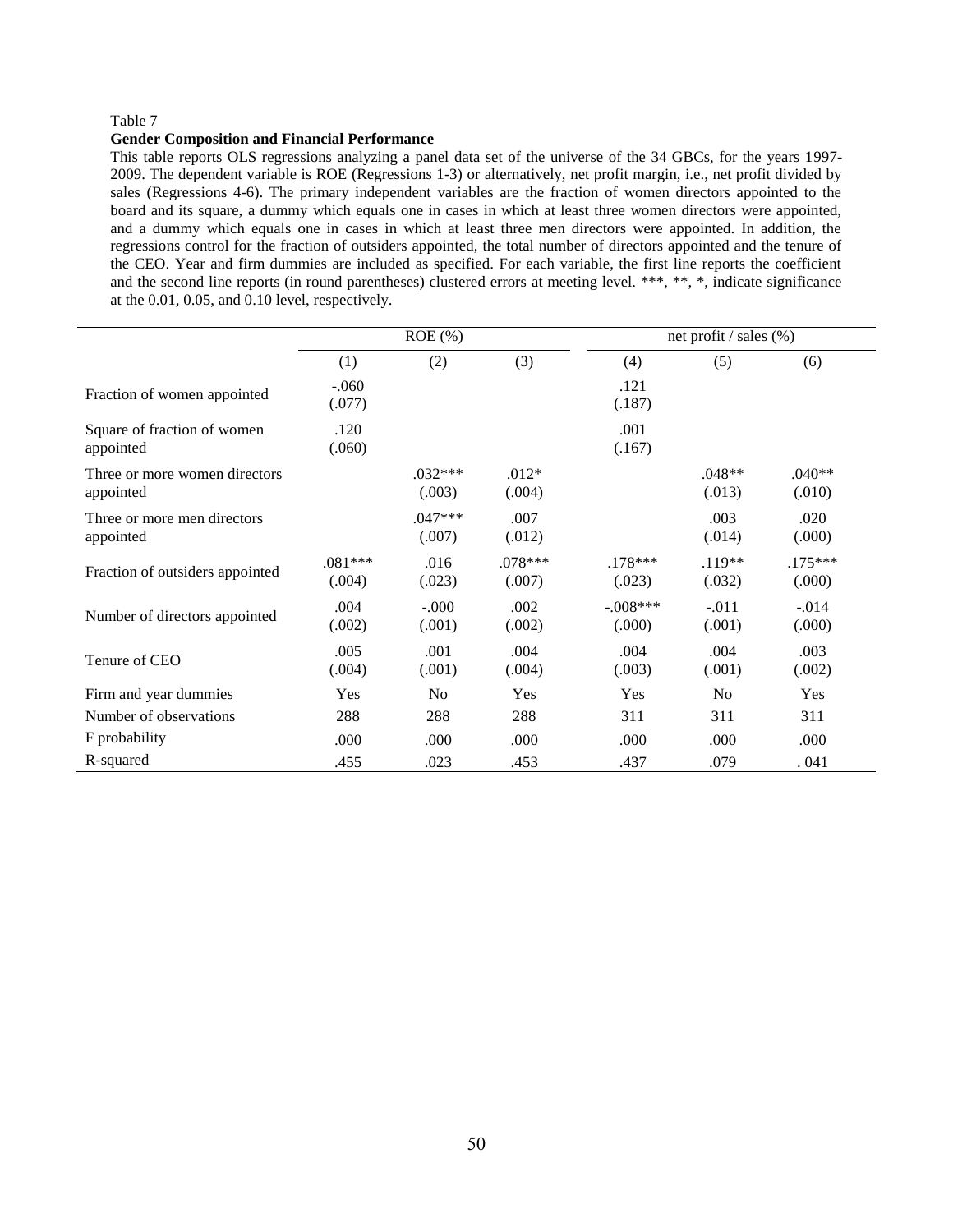### **Gender Composition and Financial Performance**

This table reports OLS regressions analyzing a panel data set of the universe of the 34 GBCs, for the years 1997- 2009. The dependent variable is ROE (Regressions 1-3) or alternatively, net profit margin, i.e., net profit divided by sales (Regressions 4-6). The primary independent variables are the fraction of women directors appointed to the board and its square, a dummy which equals one in cases in which at least three women directors were appointed, and a dummy which equals one in cases in which at least three men directors were appointed. In addition, the regressions control for the fraction of outsiders appointed, the total number of directors appointed and the tenure of the CEO. Year and firm dummies are included as specified. For each variable, the first line reports the coefficient and the second line reports (in round parentheses) clustered errors at meeting level. \*\*\*, \*\*, \*, indicate significance at the 0.01, 0.05, and 0.10 level, respectively.

|                                            | $ROE$ (%)           |                     |                     |                      | net profit / sales (%) |                     |  |
|--------------------------------------------|---------------------|---------------------|---------------------|----------------------|------------------------|---------------------|--|
|                                            | (1)                 | (2)                 | (3)                 | (4)                  | (5)                    | (6)                 |  |
| Fraction of women appointed                | $-.060$<br>(.077)   |                     |                     | .121<br>(.187)       |                        |                     |  |
| Square of fraction of women<br>appointed   | .120<br>(.060)      |                     |                     | .001<br>(.167)       |                        |                     |  |
| Three or more women directors<br>appointed |                     | $.032***$<br>(.003) | $.012*$<br>(.004)   |                      | $.048**$<br>(.013)     | $.040**$<br>(.010)  |  |
| Three or more men directors<br>appointed   |                     | $.047***$<br>(.007) | .007<br>(.012)      |                      | .003<br>(.014)         | .020<br>(.000)      |  |
| Fraction of outsiders appointed            | $.081***$<br>(.004) | .016<br>(.023)      | $.078***$<br>(.007) | $.178***$<br>(.023)  | $.119**$<br>(.032)     | $.175***$<br>(.000) |  |
| Number of directors appointed              | .004<br>(.002)      | $-.000$<br>(.001)   | .002<br>(.002)      | $-.008***$<br>(.000) | $-.011$<br>(.001)      | $-.014$<br>(.000)   |  |
| Tenure of CEO                              | .005<br>(.004)      | .001<br>(.001)      | .004<br>(.004)      | .004<br>(.003)       | .004<br>(.001)         | .003<br>(.002)      |  |
| Firm and year dummies                      | Yes                 | N <sub>0</sub>      | Yes                 | Yes                  | N <sub>0</sub>         | Yes                 |  |
| Number of observations                     | 288                 | 288                 | 288                 | 311                  | 311                    | 311                 |  |
| F probability                              | .000                | .000                | .000                | .000                 | .000                   | .000                |  |
| R-squared                                  | .455                | .023                | .453                | .437                 | .079                   | .041                |  |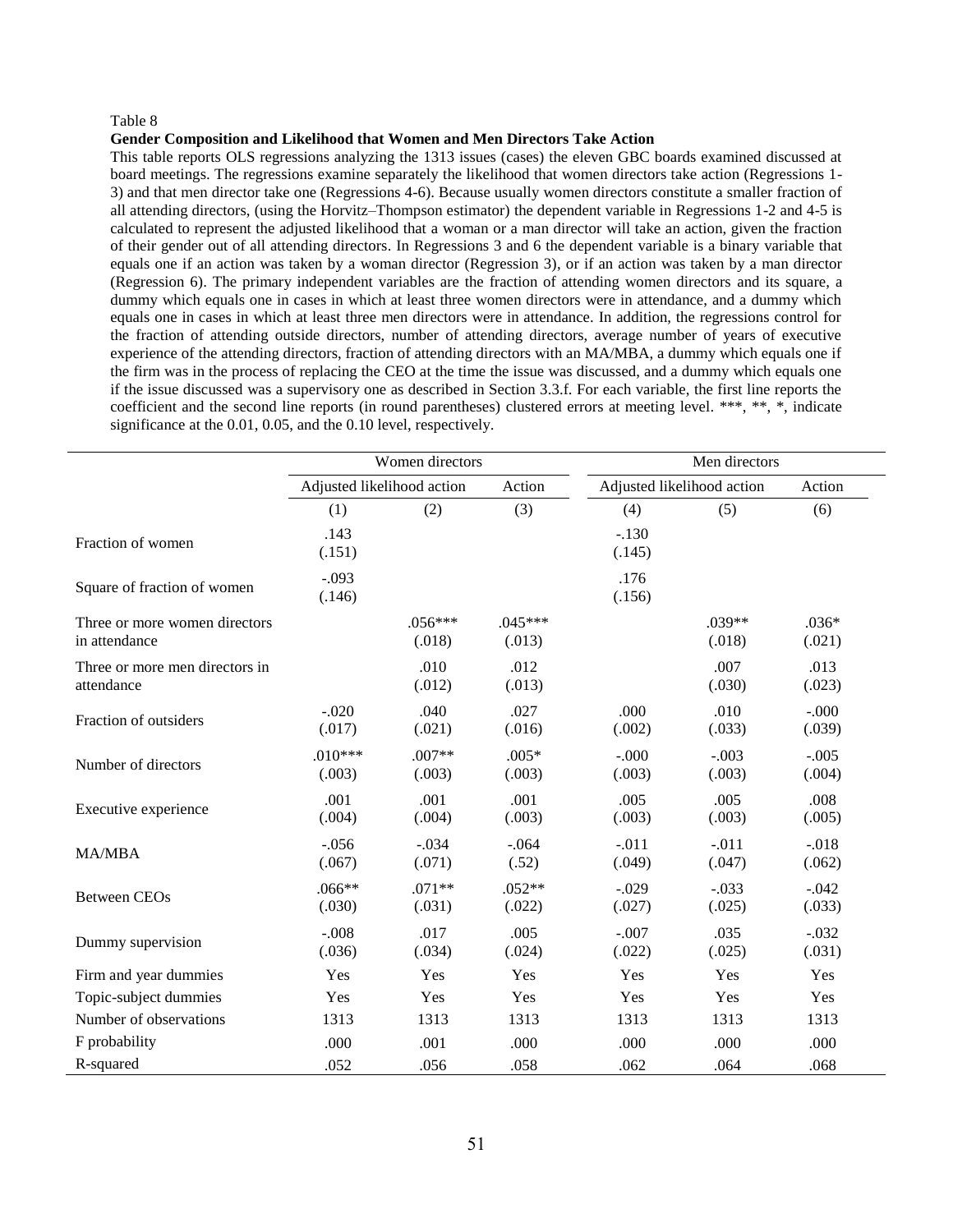#### **Gender Composition and Likelihood that Women and Men Directors Take Action**

This table reports OLS regressions analyzing the 1313 issues (cases) the eleven GBC boards examined discussed at board meetings. The regressions examine separately the likelihood that women directors take action (Regressions 1- 3) and that men director take one (Regressions 4-6). Because usually women directors constitute a smaller fraction of all attending directors, (using the Horvitz–Thompson estimator) the dependent variable in Regressions 1-2 and 4-5 is calculated to represent the adjusted likelihood that a woman or a man director will take an action, given the fraction of their gender out of all attending directors. In Regressions 3 and 6 the dependent variable is a binary variable that equals one if an action was taken by a woman director (Regression 3), or if an action was taken by a man director (Regression 6). The primary independent variables are the fraction of attending women directors and its square, a dummy which equals one in cases in which at least three women directors were in attendance, and a dummy which equals one in cases in which at least three men directors were in attendance. In addition, the regressions control for the fraction of attending outside directors, number of attending directors, average number of years of executive experience of the attending directors, fraction of attending directors with an MA/MBA, a dummy which equals one if the firm was in the process of replacing the CEO at the time the issue was discussed, and a dummy which equals one if the issue discussed was a supervisory one as described in Section 3.3.f. For each variable, the first line reports the coefficient and the second line reports (in round parentheses) clustered errors at meeting level. \*\*\*, \*\*, \*, indicate significance at the 0.01, 0.05, and the 0.10 level, respectively.

|                                                | Women directors                      |                     |                     | Men directors              |                   |                   |  |
|------------------------------------------------|--------------------------------------|---------------------|---------------------|----------------------------|-------------------|-------------------|--|
|                                                | Adjusted likelihood action<br>Action |                     |                     | Adjusted likelihood action | Action            |                   |  |
|                                                | (1)                                  | (2)                 | (3)                 | (4)                        | (5)               | (6)               |  |
| Fraction of women                              | .143<br>(.151)                       |                     |                     | $-.130$<br>(.145)          |                   |                   |  |
| Square of fraction of women                    | $-.093$<br>(.146)                    |                     |                     | .176<br>(.156)             |                   |                   |  |
| Three or more women directors<br>in attendance |                                      | $.056***$<br>(.018) | $.045***$<br>(.013) |                            | .039**<br>(.018)  | $.036*$<br>(.021) |  |
| Three or more men directors in<br>attendance   |                                      | .010<br>(.012)      | .012<br>(.013)      |                            | .007<br>(.030)    | .013<br>(.023)    |  |
| Fraction of outsiders                          | $-.020$<br>(.017)                    | .040<br>(.021)      | .027<br>(.016)      | .000<br>(.002)             | .010<br>(.033)    | $-.000$<br>(.039) |  |
| Number of directors                            | $.010***$<br>(.003)                  | $.007**$<br>(.003)  | $.005*$<br>(.003)   | $-.000$<br>(.003)          | $-.003$<br>(.003) | $-.005$<br>(.004) |  |
| Executive experience                           | .001<br>(.004)                       | .001<br>(.004)      | .001<br>(.003)      | .005<br>(.003)             | .005<br>(.003)    | .008<br>(.005)    |  |
| <b>MA/MBA</b>                                  | $-.056$<br>(.067)                    | $-.034$<br>(.071)   | $-.064$<br>(.52)    | $-.011$<br>(.049)          | $-.011$<br>(.047) | $-.018$<br>(.062) |  |
| <b>Between CEOs</b>                            | $.066**$<br>(.030)                   | $.071**$<br>(.031)  | $.052**$<br>(.022)  | $-.029$<br>(.027)          | $-.033$<br>(.025) | $-.042$<br>(.033) |  |
| Dummy supervision                              | $-.008$<br>(.036)                    | .017<br>(.034)      | .005<br>(.024)      | $-.007$<br>(.022)          | .035<br>(.025)    | $-.032$<br>(.031) |  |
| Firm and year dummies                          | Yes                                  | Yes                 | Yes                 | Yes                        | Yes               | Yes               |  |
| Topic-subject dummies                          | Yes                                  | Yes                 | Yes                 | Yes                        | Yes               | Yes               |  |
| Number of observations                         | 1313                                 | 1313                | 1313                | 1313                       | 1313              | 1313              |  |
| F probability                                  | .000                                 | .001                | .000                | .000                       | .000              | .000              |  |
| R-squared                                      | .052                                 | .056                | .058                | .062                       | .064              | .068              |  |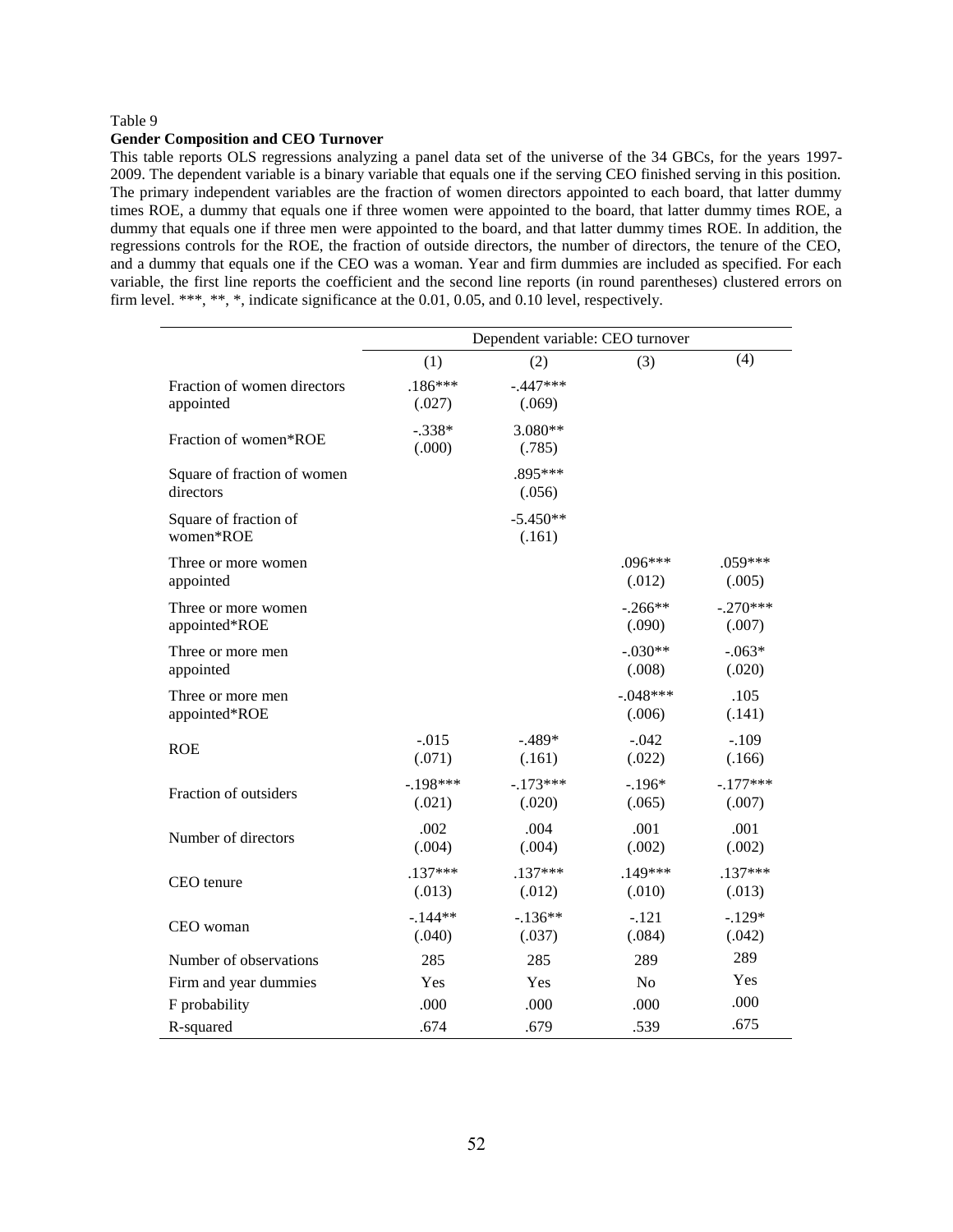#### **Gender Composition and CEO Turnover**

This table reports OLS regressions analyzing a panel data set of the universe of the 34 GBCs, for the years 1997- 2009. The dependent variable is a binary variable that equals one if the serving CEO finished serving in this position. The primary independent variables are the fraction of women directors appointed to each board, that latter dummy times ROE, a dummy that equals one if three women were appointed to the board, that latter dummy times ROE, a dummy that equals one if three men were appointed to the board, and that latter dummy times ROE. In addition, the regressions controls for the ROE, the fraction of outside directors, the number of directors, the tenure of the CEO, and a dummy that equals one if the CEO was a woman. Year and firm dummies are included as specified. For each variable, the first line reports the coefficient and the second line reports (in round parentheses) clustered errors on firm level. \*\*\*, \*\*, \*, indicate significance at the 0.01, 0.05, and 0.10 level, respectively.

|                             | Dependent variable: CEO turnover |            |            |            |  |  |
|-----------------------------|----------------------------------|------------|------------|------------|--|--|
|                             | (1)                              | (2)        | (3)        | (4)        |  |  |
| Fraction of women directors | $.186***$                        | $-.447***$ |            |            |  |  |
| appointed                   | (.027)                           | (.069)     |            |            |  |  |
| Fraction of women*ROE       | $-.338*$                         | 3.080**    |            |            |  |  |
|                             | (.000)                           | (.785)     |            |            |  |  |
| Square of fraction of women |                                  | .895***    |            |            |  |  |
| directors                   |                                  | (.056)     |            |            |  |  |
| Square of fraction of       |                                  | $-5.450**$ |            |            |  |  |
| women*ROE                   |                                  | (.161)     |            |            |  |  |
| Three or more women         |                                  |            | .096***    | $.059***$  |  |  |
| appointed                   |                                  |            | (.012)     | (.005)     |  |  |
| Three or more women         |                                  |            | $-.266**$  | $-.270***$ |  |  |
| appointed*ROE               |                                  |            | (.090)     | (.007)     |  |  |
| Three or more men           |                                  |            | $-.030**$  | $-.063*$   |  |  |
| appointed                   |                                  |            | (.008)     | (.020)     |  |  |
| Three or more men           |                                  |            | $-.048***$ | .105       |  |  |
| appointed*ROE               |                                  |            | (.006)     | (.141)     |  |  |
| <b>ROE</b>                  | $-0.015$                         | $-.489*$   | $-.042$    | $-.109$    |  |  |
|                             | (.071)                           | (.161)     | (.022)     | (.166)     |  |  |
| Fraction of outsiders       | $-.198***$                       | $-.173***$ | $-.196*$   | $-.177***$ |  |  |
|                             | (.021)                           | (.020)     | (.065)     | (.007)     |  |  |
| Number of directors         | .002                             | .004       | .001       | .001       |  |  |
|                             | (.004)                           | (.004)     | (.002)     | (.002)     |  |  |
| CEO tenure                  | $.137***$                        | $.137***$  | $.149***$  | $.137***$  |  |  |
|                             | (.013)                           | (.012)     | (.010)     | (.013)     |  |  |
| CEO woman                   | $-144**$                         | $-.136**$  | $-.121$    | $-.129*$   |  |  |
|                             | (.040)                           | (.037)     | (.084)     | (.042)     |  |  |
| Number of observations      | 285                              | 285        | 289        | 289        |  |  |
| Firm and year dummies       | Yes                              | Yes        | No         | Yes        |  |  |
| F probability               | .000                             | .000       | .000       | .000       |  |  |
| R-squared                   | .674                             | .679       | .539       | .675       |  |  |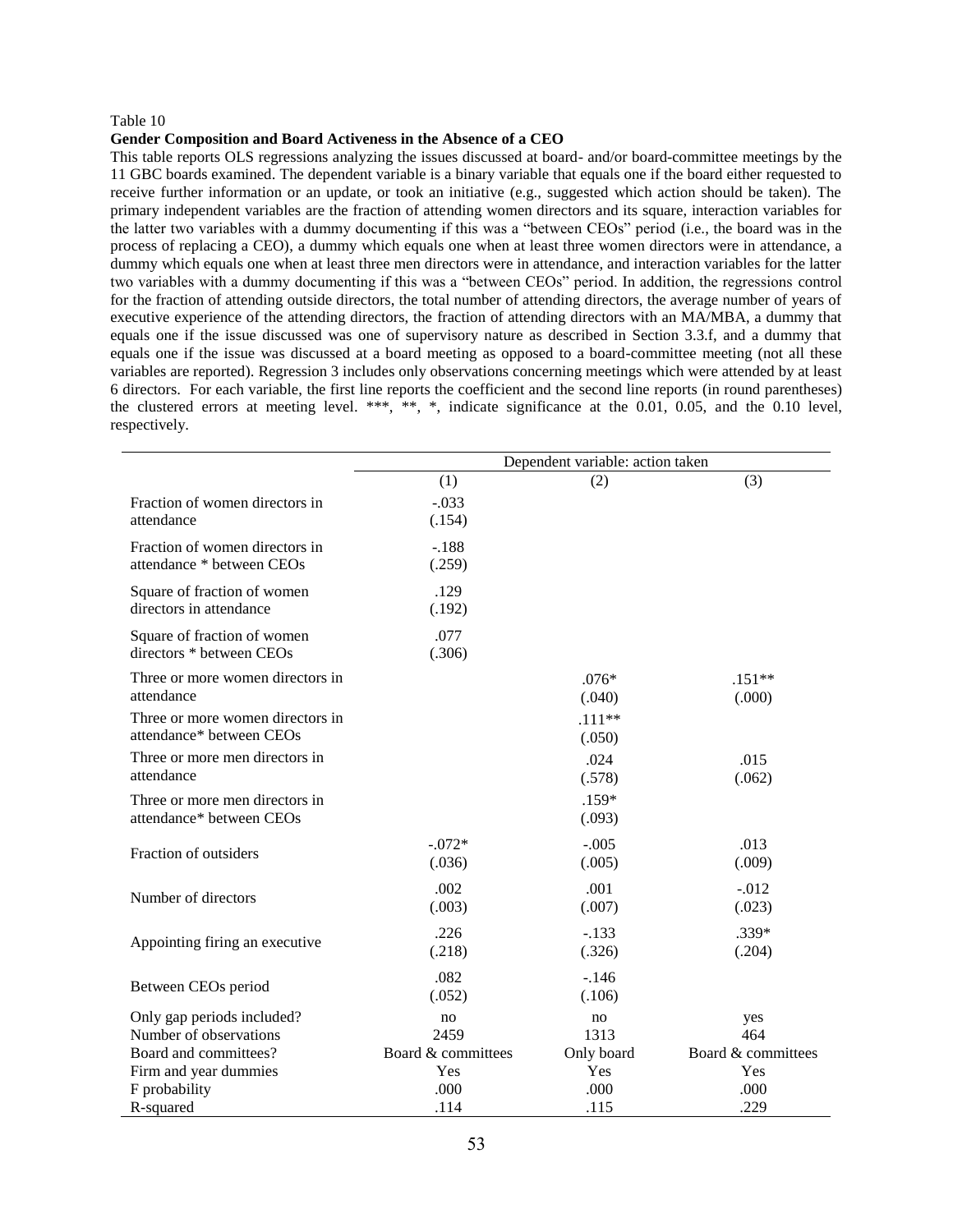#### **Gender Composition and Board Activeness in the Absence of a CEO**

This table reports OLS regressions analyzing the issues discussed at board- and/or board-committee meetings by the 11 GBC boards examined. The dependent variable is a binary variable that equals one if the board either requested to receive further information or an update, or took an initiative (e.g., suggested which action should be taken). The primary independent variables are the fraction of attending women directors and its square, interaction variables for the latter two variables with a dummy documenting if this was a "between CEOs" period (i.e., the board was in the process of replacing a CEO), a dummy which equals one when at least three women directors were in attendance, a dummy which equals one when at least three men directors were in attendance, and interaction variables for the latter two variables with a dummy documenting if this was a "between CEOs" period. In addition, the regressions control for the fraction of attending outside directors, the total number of attending directors, the average number of years of executive experience of the attending directors, the fraction of attending directors with an MA/MBA, a dummy that equals one if the issue discussed was one of supervisory nature as described in Section 3.3.f, and a dummy that equals one if the issue was discussed at a board meeting as opposed to a board-committee meeting (not all these variables are reported). Regression 3 includes only observations concerning meetings which were attended by at least 6 directors. For each variable, the first line reports the coefficient and the second line reports (in round parentheses) the clustered errors at meeting level. \*\*\*, \*\*, \*, indicate significance at the  $0.01$ ,  $0.05$ , and the  $0.10$  level, respectively.

|                                                                               | Dependent variable: action taken |                          |                                  |  |  |  |
|-------------------------------------------------------------------------------|----------------------------------|--------------------------|----------------------------------|--|--|--|
|                                                                               | (1)                              | (2)                      | (3)                              |  |  |  |
| Fraction of women directors in<br>attendance                                  | $-.033$<br>(.154)                |                          |                                  |  |  |  |
| Fraction of women directors in<br>attendance * between CEOs                   | $-.188$<br>(.259)                |                          |                                  |  |  |  |
| Square of fraction of women<br>directors in attendance                        | .129<br>(.192)                   |                          |                                  |  |  |  |
| Square of fraction of women<br>directors * between CEOs                       | .077<br>(.306)                   |                          |                                  |  |  |  |
| Three or more women directors in<br>attendance                                |                                  | $.076*$<br>(.040)        | $.151**$<br>(.000)               |  |  |  |
| Three or more women directors in<br>attendance* between CEOs                  |                                  | $.111**$<br>(.050)       |                                  |  |  |  |
| Three or more men directors in<br>attendance                                  |                                  | .024<br>(.578)           | .015<br>(.062)                   |  |  |  |
| Three or more men directors in<br>attendance* between CEOs                    |                                  | $.159*$<br>(.093)        |                                  |  |  |  |
| Fraction of outsiders                                                         | $-.072*$<br>(.036)               | $-.005$<br>(.005)        | .013<br>(.009)                   |  |  |  |
| Number of directors                                                           | .002<br>(.003)                   | .001<br>(.007)           | $-0.012$<br>(.023)               |  |  |  |
| Appointing firing an executive                                                | .226<br>(.218)                   | $-.133$<br>(.326)        | $.339*$<br>(.204)                |  |  |  |
| Between CEOs period                                                           | .082<br>(.052)                   | $-.146$<br>(.106)        |                                  |  |  |  |
| Only gap periods included?<br>Number of observations<br>Board and committees? | no<br>2459<br>Board & committees | no<br>1313<br>Only board | yes<br>464<br>Board & committees |  |  |  |
| Firm and year dummies<br>F probability<br>R-squared                           | Yes<br>.000<br>.114              | Yes<br>.000<br>.115      | Yes<br>.000<br>.229              |  |  |  |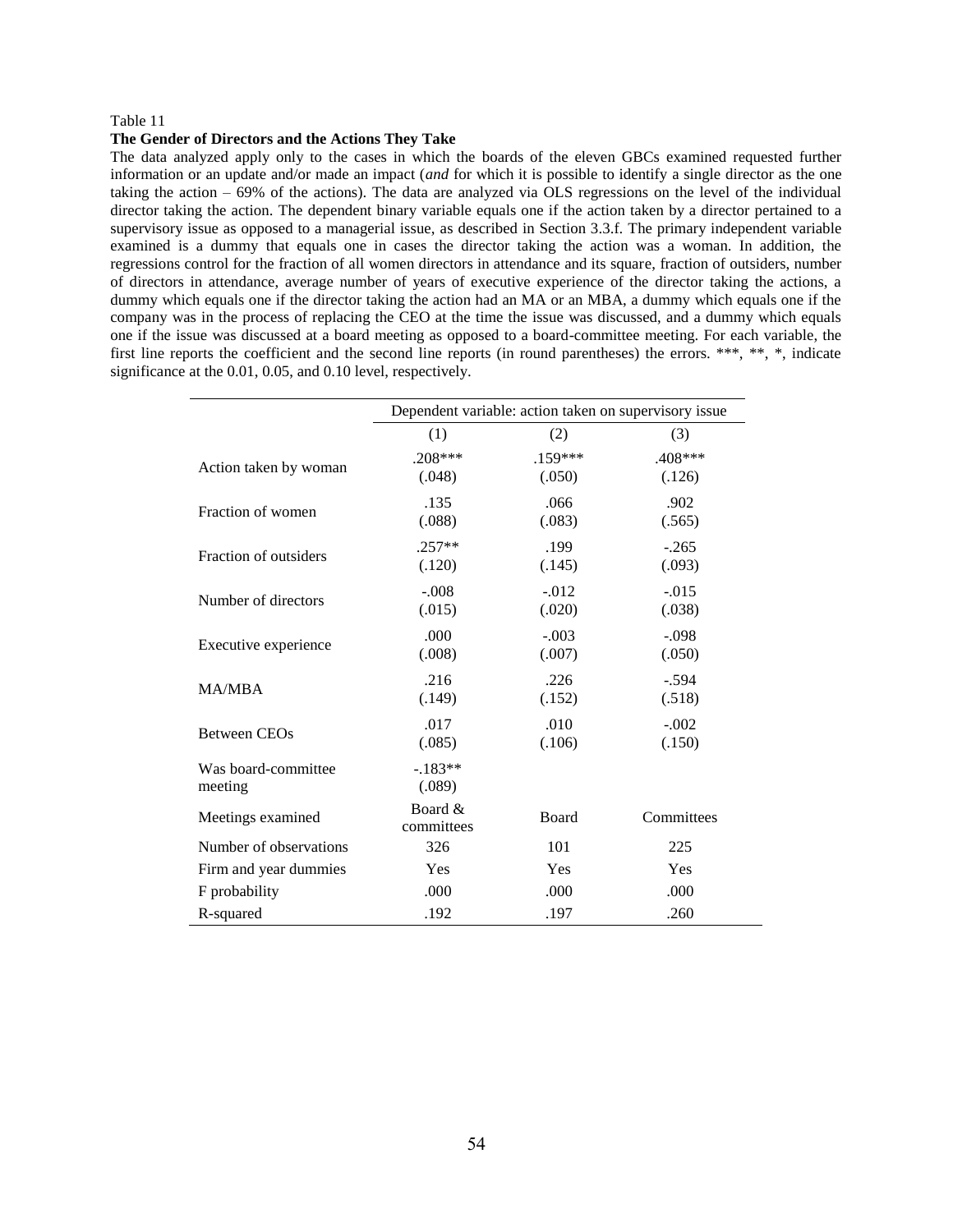#### **The Gender of Directors and the Actions They Take**

The data analyzed apply only to the cases in which the boards of the eleven GBCs examined requested further information or an update and/or made an impact (*and* for which it is possible to identify a single director as the one taking the action – 69% of the actions). The data are analyzed via OLS regressions on the level of the individual director taking the action. The dependent binary variable equals one if the action taken by a director pertained to a supervisory issue as opposed to a managerial issue, as described in Section 3.3.f. The primary independent variable examined is a dummy that equals one in cases the director taking the action was a woman. In addition, the regressions control for the fraction of all women directors in attendance and its square, fraction of outsiders, number of directors in attendance, average number of years of executive experience of the director taking the actions, a dummy which equals one if the director taking the action had an MA or an MBA, a dummy which equals one if the company was in the process of replacing the CEO at the time the issue was discussed, and a dummy which equals one if the issue was discussed at a board meeting as opposed to a board-committee meeting. For each variable, the first line reports the coefficient and the second line reports (in round parentheses) the errors. \*\*\*, \*\*, \*, indicate significance at the 0.01, 0.05, and 0.10 level, respectively.

|                                | Dependent variable: action taken on supervisory issue |                     |                    |  |
|--------------------------------|-------------------------------------------------------|---------------------|--------------------|--|
|                                | (1)                                                   | (2)                 | (3)                |  |
| Action taken by woman          | $.208***$<br>(.048)                                   | $.159***$<br>(.050) | .408***<br>(.126)  |  |
| Fraction of women              | .135<br>(.088)                                        | .066<br>(.083)      | .902<br>(.565)     |  |
| Fraction of outsiders          | $.257**$<br>(.120)                                    | .199<br>(.145)      | $-.265$<br>(.093)  |  |
| Number of directors            | $-.008$<br>(.015)                                     | $-.012$<br>(.020)   | $-0.015$<br>(.038) |  |
| Executive experience           | .000<br>(.008)                                        | $-.003$<br>(.007)   | $-.098$<br>(.050)  |  |
| <b>MA/MBA</b>                  | .216<br>(.149)                                        | .226<br>(.152)      | $-.594$<br>(.518)  |  |
| Between CEO <sub>s</sub>       | .017<br>(.085)                                        | .010<br>(.106)      | $-.002$<br>(.150)  |  |
| Was board-committee<br>meeting | $-183**$<br>(.089)                                    |                     |                    |  |
| Meetings examined              | Board &<br>committees                                 | Board               | Committees         |  |
| Number of observations         | 326                                                   | 101                 | 225                |  |
| Firm and year dummies          | Yes                                                   | Yes                 | Yes                |  |
| F probability                  | .000                                                  | .000                | .000               |  |
| R-squared                      | .192                                                  | .197                | .260               |  |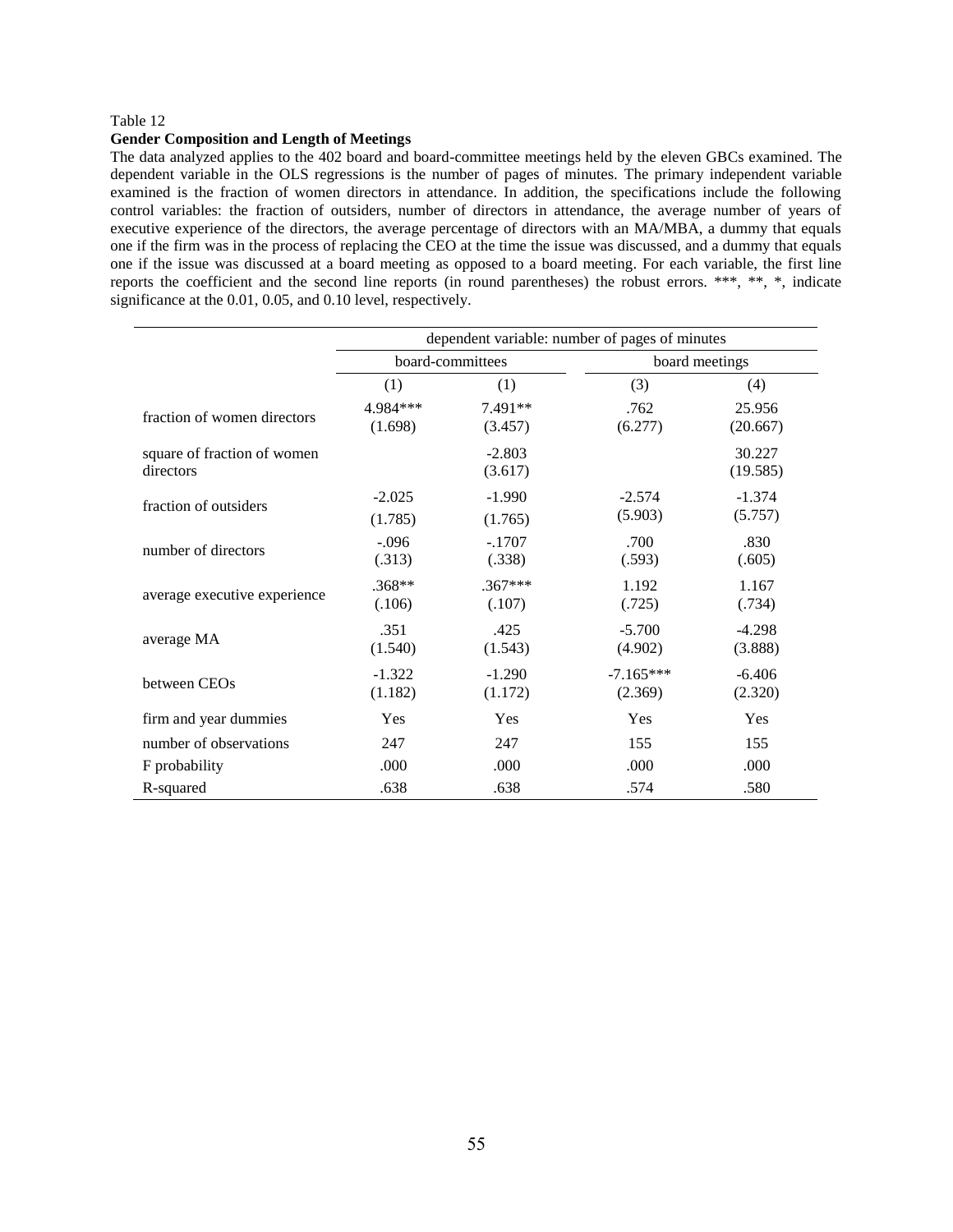#### **Gender Composition and Length of Meetings**

The data analyzed applies to the 402 board and board-committee meetings held by the eleven GBCs examined. The dependent variable in the OLS regressions is the number of pages of minutes. The primary independent variable examined is the fraction of women directors in attendance. In addition, the specifications include the following control variables: the fraction of outsiders, number of directors in attendance, the average number of years of executive experience of the directors, the average percentage of directors with an MA/MBA, a dummy that equals one if the firm was in the process of replacing the CEO at the time the issue was discussed, and a dummy that equals one if the issue was discussed at a board meeting as opposed to a board meeting. For each variable, the first line reports the coefficient and the second line reports (in round parentheses) the robust errors. \*\*\*, \*\*, \*, indicate significance at the 0.01, 0.05, and 0.10 level, respectively.

|                                          | dependent variable: number of pages of minutes |                      |                        |                     |  |  |
|------------------------------------------|------------------------------------------------|----------------------|------------------------|---------------------|--|--|
|                                          |                                                | board-committees     | board meetings         |                     |  |  |
|                                          | (1)<br>(1)                                     |                      | (3)                    | (4)                 |  |  |
| fraction of women directors              | 4.984***<br>(1.698)                            | $7.491**$<br>(3.457) | .762<br>(6.277)        | 25.956<br>(20.667)  |  |  |
| square of fraction of women<br>directors |                                                | $-2.803$<br>(3.617)  |                        | 30.227<br>(19.585)  |  |  |
| fraction of outsiders                    | $-2.025$<br>(1.785)                            | $-1.990$<br>(1.765)  | $-2.574$<br>(5.903)    | $-1.374$<br>(5.757) |  |  |
| number of directors                      | $-.096$<br>(.313)                              | $-.1707$<br>(.338)   | .700<br>(.593)         | .830<br>(.605)      |  |  |
| average executive experience             | $.368**$<br>(.106)                             | $.367***$<br>(.107)  | 1.192<br>(.725)        | 1.167<br>(.734)     |  |  |
| average MA                               | .351<br>(1.540)                                | .425<br>(1.543)      | $-5.700$<br>(4.902)    | $-4.298$<br>(3.888) |  |  |
| between CEOs                             | $-1.322$<br>(1.182)                            | $-1.290$<br>(1.172)  | $-7.165***$<br>(2.369) | $-6.406$<br>(2.320) |  |  |
| firm and year dummies                    | Yes                                            | Yes                  | Yes                    | Yes                 |  |  |
| number of observations                   | 247                                            | 247                  | 155                    | 155                 |  |  |
| F probability                            | .000                                           | .000                 | .000                   | .000                |  |  |
| R-squared                                | .638                                           | .638                 | .574                   | .580                |  |  |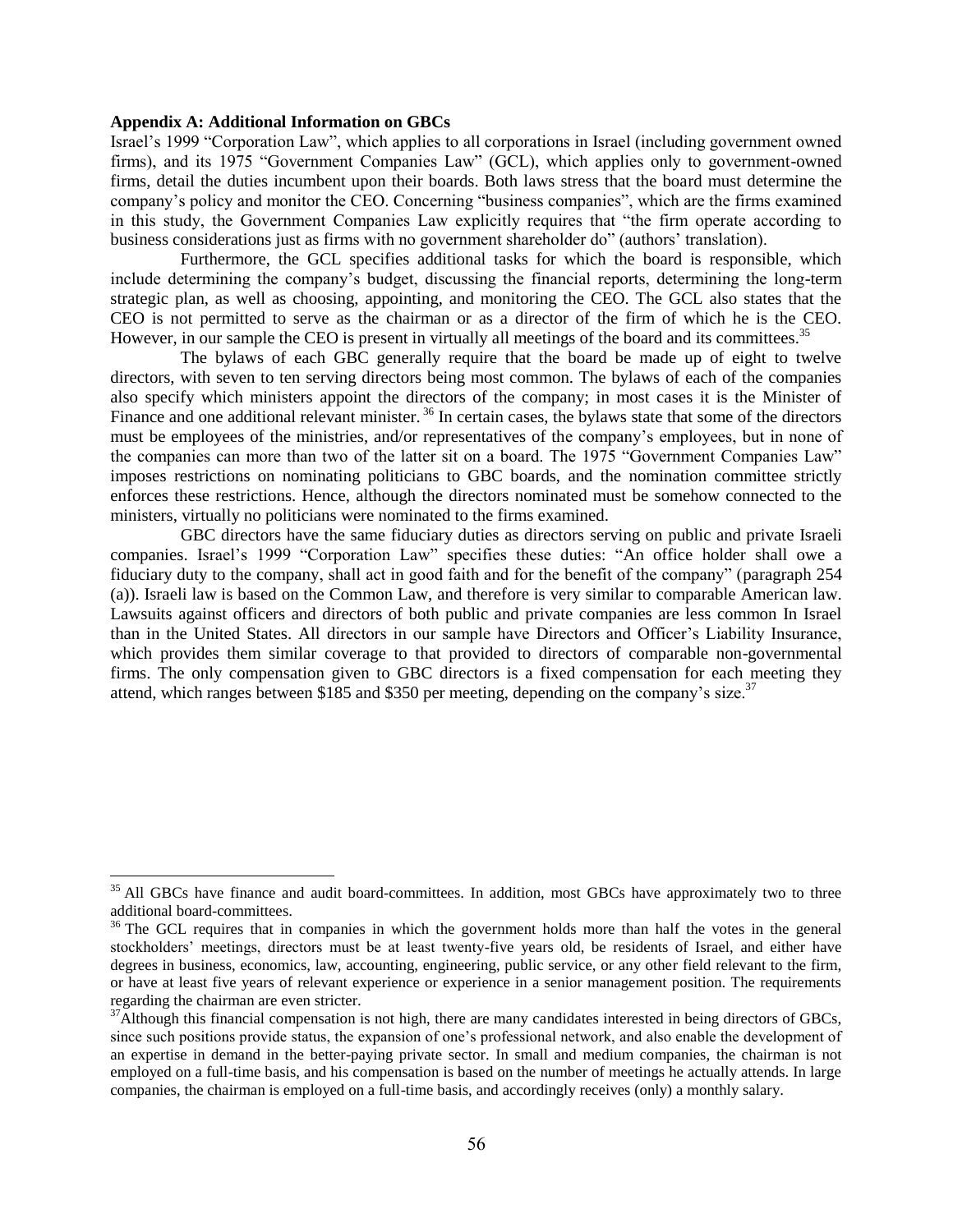### **Appendix A: Additional Information on GBCs**

l

Israel's 1999 "Corporation Law", which applies to all corporations in Israel (including government owned firms), and its 1975 "Government Companies Law" (GCL), which applies only to government-owned firms, detail the duties incumbent upon their boards. Both laws stress that the board must determine the company's policy and monitor the CEO. Concerning "business companies", which are the firms examined in this study, the Government Companies Law explicitly requires that "the firm operate according to business considerations just as firms with no government shareholder do" (authors' translation).

Furthermore, the GCL specifies additional tasks for which the board is responsible, which include determining the company's budget, discussing the financial reports, determining the long-term strategic plan, as well as choosing, appointing, and monitoring the CEO. The GCL also states that the CEO is not permitted to serve as the chairman or as a director of the firm of which he is the CEO. However, in our sample the CEO is present in virtually all meetings of the board and its committees.<sup>35</sup>

The bylaws of each GBC generally require that the board be made up of eight to twelve directors, with seven to ten serving directors being most common. The bylaws of each of the companies also specify which ministers appoint the directors of the company; in most cases it is the Minister of Finance and one additional relevant minister.<sup>36</sup> In certain cases, the bylaws state that some of the directors must be employees of the ministries, and/or representatives of the company's employees, but in none of the companies can more than two of the latter sit on a board. The 1975 "Government Companies Law" imposes restrictions on nominating politicians to GBC boards, and the nomination committee strictly enforces these restrictions. Hence, although the directors nominated must be somehow connected to the ministers, virtually no politicians were nominated to the firms examined.

GBC directors have the same fiduciary duties as directors serving on public and private Israeli companies. Israel's 1999 "Corporation Law" specifies these duties: "An office holder shall owe a fiduciary duty to the company, shall act in good faith and for the benefit of the company" (paragraph 254 (a)). Israeli law is based on the Common Law, and therefore is very similar to comparable American law. Lawsuits against officers and directors of both public and private companies are less common In Israel than in the United States. All directors in our sample have Directors and Officer's Liability Insurance, which provides them similar coverage to that provided to directors of comparable non-governmental firms. The only compensation given to GBC directors is a fixed compensation for each meeting they attend, which ranges between \$185 and \$350 per meeting, depending on the company's size.<sup>37</sup>

<sup>&</sup>lt;sup>35</sup> All GBCs have finance and audit board-committees. In addition, most GBCs have approximately two to three additional board-committees.

 $36$  The GCL requires that in companies in which the government holds more than half the votes in the general stockholders' meetings, directors must be at least twenty-five years old, be residents of Israel, and either have degrees in business, economics, law, accounting, engineering, public service, or any other field relevant to the firm, or have at least five years of relevant experience or experience in a senior management position. The requirements regarding the chairman are even stricter.

 $37$ Although this financial compensation is not high, there are many candidates interested in being directors of GBCs, since such positions provide status, the expansion of one's professional network, and also enable the development of an expertise in demand in the better-paying private sector. In small and medium companies, the chairman is not employed on a full-time basis, and his compensation is based on the number of meetings he actually attends. In large companies, the chairman is employed on a full-time basis, and accordingly receives (only) a monthly salary.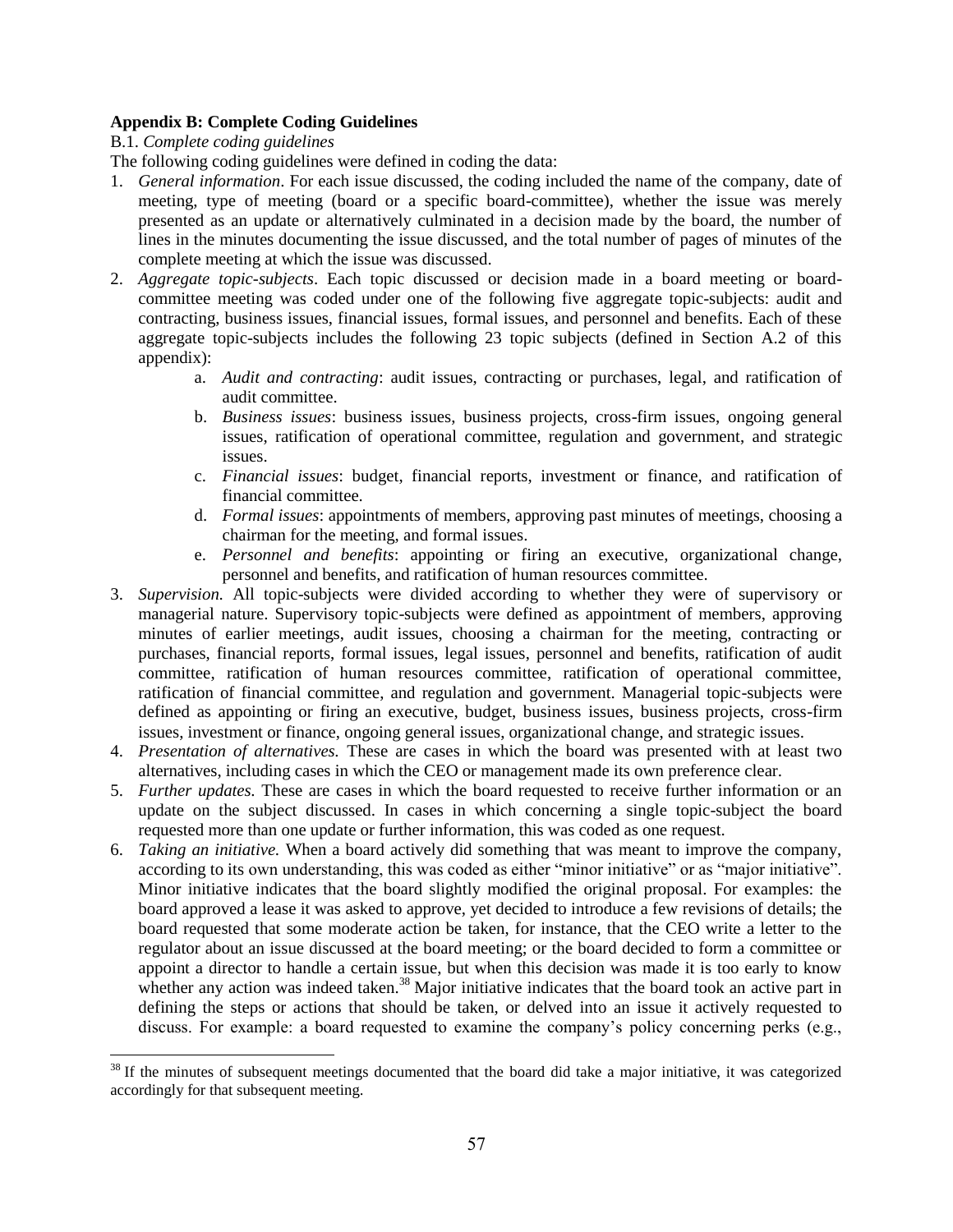# **Appendix B: Complete Coding Guidelines**

B.1. *Complete coding guidelines* 

The following coding guidelines were defined in coding the data:

- 1. *General information*. For each issue discussed, the coding included the name of the company, date of meeting, type of meeting (board or a specific board-committee), whether the issue was merely presented as an update or alternatively culminated in a decision made by the board, the number of lines in the minutes documenting the issue discussed, and the total number of pages of minutes of the complete meeting at which the issue was discussed.
- 2. *Aggregate topic-subjects*. Each topic discussed or decision made in a board meeting or boardcommittee meeting was coded under one of the following five aggregate topic-subjects: audit and contracting, business issues, financial issues, formal issues, and personnel and benefits. Each of these aggregate topic-subjects includes the following 23 topic subjects (defined in Section A.2 of this appendix):
	- a. *Audit and contracting*: audit issues, contracting or purchases, legal, and ratification of audit committee.
	- b. *Business issues*: business issues, business projects, cross-firm issues, ongoing general issues, ratification of operational committee, regulation and government, and strategic issues.
	- c. *Financial issues*: budget, financial reports, investment or finance, and ratification of financial committee.
	- d. *Formal issues*: appointments of members, approving past minutes of meetings, choosing a chairman for the meeting, and formal issues.
	- e. *Personnel and benefits*: appointing or firing an executive, organizational change, personnel and benefits, and ratification of human resources committee.
- 3. *Supervision.* All topic-subjects were divided according to whether they were of supervisory or managerial nature. Supervisory topic-subjects were defined as appointment of members, approving minutes of earlier meetings, audit issues, choosing a chairman for the meeting, contracting or purchases, financial reports, formal issues, legal issues, personnel and benefits, ratification of audit committee, ratification of human resources committee, ratification of operational committee, ratification of financial committee, and regulation and government. Managerial topic-subjects were defined as appointing or firing an executive, budget, business issues, business projects, cross-firm issues, investment or finance, ongoing general issues, organizational change, and strategic issues.
- 4. *Presentation of alternatives.* These are cases in which the board was presented with at least two alternatives, including cases in which the CEO or management made its own preference clear.
- 5. *Further updates.* These are cases in which the board requested to receive further information or an update on the subject discussed. In cases in which concerning a single topic-subject the board requested more than one update or further information, this was coded as one request.
- 6. *Taking an initiative.* When a board actively did something that was meant to improve the company, according to its own understanding, this was coded as either "minor initiative" or as "major initiative". Minor initiative indicates that the board slightly modified the original proposal. For examples: the board approved a lease it was asked to approve, yet decided to introduce a few revisions of details; the board requested that some moderate action be taken, for instance, that the CEO write a letter to the regulator about an issue discussed at the board meeting; or the board decided to form a committee or appoint a director to handle a certain issue, but when this decision was made it is too early to know whether any action was indeed taken.<sup>38</sup> Major initiative indicates that the board took an active part in defining the steps or actions that should be taken, or delved into an issue it actively requested to discuss. For example: a board requested to examine the company's policy concerning perks (e.g.,

l  $38$  If the minutes of subsequent meetings documented that the board did take a major initiative, it was categorized accordingly for that subsequent meeting.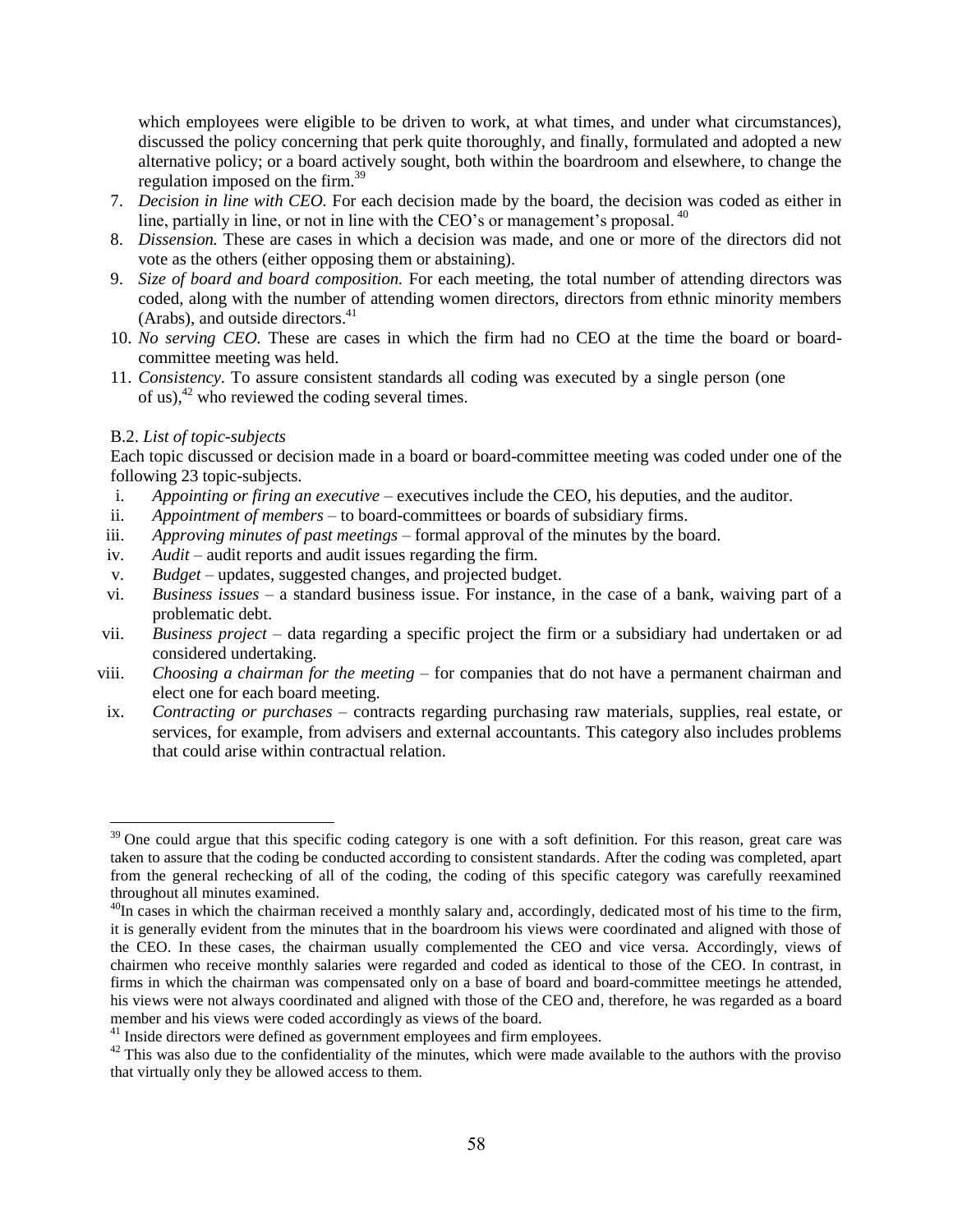which employees were eligible to be driven to work, at what times, and under what circumstances), discussed the policy concerning that perk quite thoroughly, and finally, formulated and adopted a new alternative policy; or a board actively sought, both within the boardroom and elsewhere, to change the regulation imposed on the firm.<sup>39</sup>

- 7. *Decision in line with CEO.* For each decision made by the board, the decision was coded as either in line, partially in line, or not in line with the CEO's or management's proposal.<sup>40</sup>
- 8. *Dissension.* These are cases in which a decision was made, and one or more of the directors did not vote as the others (either opposing them or abstaining).
- 9. *Size of board and board composition.* For each meeting, the total number of attending directors was coded, along with the number of attending women directors, directors from ethnic minority members (Arabs), and outside directors. $41$
- 10. *No serving CEO.* These are cases in which the firm had no CEO at the time the board or boardcommittee meeting was held.
- 11. *Consistency.* To assure consistent standards all coding was executed by a single person (one of us), $^{42}$  who reviewed the coding several times.

### B.2. *List of topic-subjects*

 $\overline{\phantom{a}}$ 

Each topic discussed or decision made in a board or board-committee meeting was coded under one of the following 23 topic-subjects.

- i. *Appointing or firing an executive* executives include the CEO, his deputies, and the auditor.
- ii. *Appointment of members* to board-committees or boards of subsidiary firms.
- iii. *Approving minutes of past meetings* formal approval of the minutes by the board.
- iv. *Audit* audit reports and audit issues regarding the firm.
- v. *Budget* updates, suggested changes, and projected budget.
- vi. *Business issues* a standard business issue. For instance, in the case of a bank, waiving part of a problematic debt.
- vii. *Business project* data regarding a specific project the firm or a subsidiary had undertaken or ad considered undertaking.
- viii. *Choosing a chairman for the meeting* for companies that do not have a permanent chairman and elect one for each board meeting.
- ix. *Contracting or purchases* contracts regarding purchasing raw materials, supplies, real estate, or services, for example, from advisers and external accountants. This category also includes problems that could arise within contractual relation.

 $39$  One could argue that this specific coding category is one with a soft definition. For this reason, great care was taken to assure that the coding be conducted according to consistent standards. After the coding was completed, apart from the general rechecking of all of the coding, the coding of this specific category was carefully reexamined throughout all minutes examined.

 $40$ In cases in which the chairman received a monthly salary and, accordingly, dedicated most of his time to the firm, it is generally evident from the minutes that in the boardroom his views were coordinated and aligned with those of the CEO. In these cases, the chairman usually complemented the CEO and vice versa. Accordingly, views of chairmen who receive monthly salaries were regarded and coded as identical to those of the CEO. In contrast, in firms in which the chairman was compensated only on a base of board and board-committee meetings he attended, his views were not always coordinated and aligned with those of the CEO and, therefore, he was regarded as a board member and his views were coded accordingly as views of the board.

<sup>&</sup>lt;sup>41</sup> Inside directors were defined as government employees and firm employees.

<sup>&</sup>lt;sup>42</sup> This was also due to the confidentiality of the minutes, which were made available to the authors with the proviso that virtually only they be allowed access to them.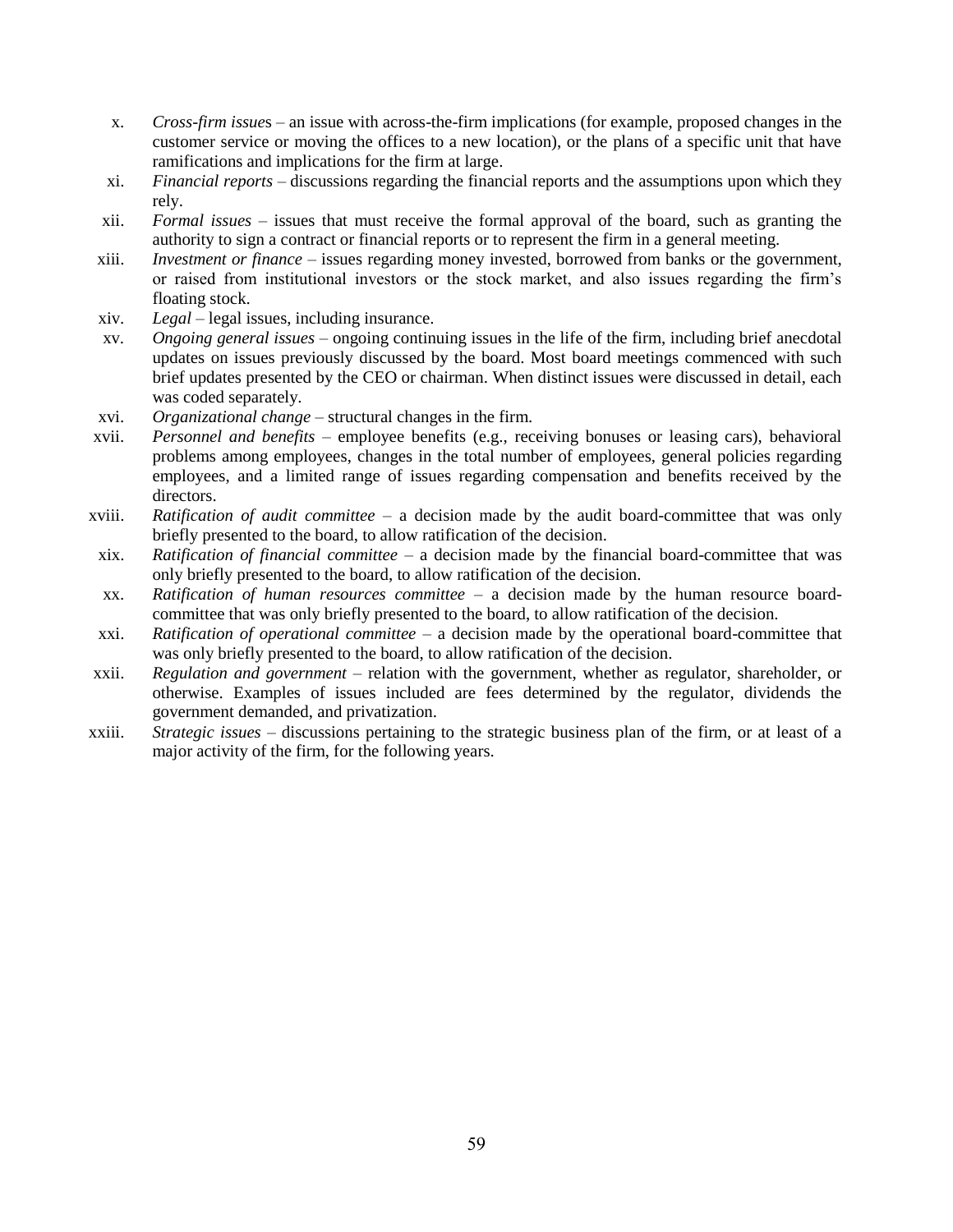- x. *Cross-firm issue*s an issue with across-the-firm implications (for example, proposed changes in the customer service or moving the offices to a new location), or the plans of a specific unit that have ramifications and implications for the firm at large.
- xi. *Financial reports* discussions regarding the financial reports and the assumptions upon which they rely.
- xii. *Formal issues* issues that must receive the formal approval of the board, such as granting the authority to sign a contract or financial reports or to represent the firm in a general meeting.
- xiii. *Investment or finance* issues regarding money invested, borrowed from banks or the government, or raised from institutional investors or the stock market, and also issues regarding the firm's floating stock.
- xiv. *Legal* legal issues, including insurance.
- xv. *Ongoing general issues* ongoing continuing issues in the life of the firm, including brief anecdotal updates on issues previously discussed by the board. Most board meetings commenced with such brief updates presented by the CEO or chairman. When distinct issues were discussed in detail, each was coded separately.
- xvi. *Organizational change* structural changes in the firm.
- xvii. *Personnel and benefits* employee benefits (e.g., receiving bonuses or leasing cars), behavioral problems among employees, changes in the total number of employees, general policies regarding employees, and a limited range of issues regarding compensation and benefits received by the directors.
- xviii. *Ratification of audit committee* a decision made by the audit board-committee that was only briefly presented to the board, to allow ratification of the decision.
- xix. *Ratification of financial committee* a decision made by the financial board-committee that was only briefly presented to the board, to allow ratification of the decision.
- xx. *Ratification of human resources committee* a decision made by the human resource boardcommittee that was only briefly presented to the board, to allow ratification of the decision.
- xxi. *Ratification of operational committee* a decision made by the operational board-committee that was only briefly presented to the board, to allow ratification of the decision.
- xxii. *Regulation and government –* relation with the government, whether as regulator, shareholder, or otherwise. Examples of issues included are fees determined by the regulator, dividends the government demanded, and privatization.
- xxiii. *Strategic issues* discussions pertaining to the strategic business plan of the firm, or at least of a major activity of the firm, for the following years.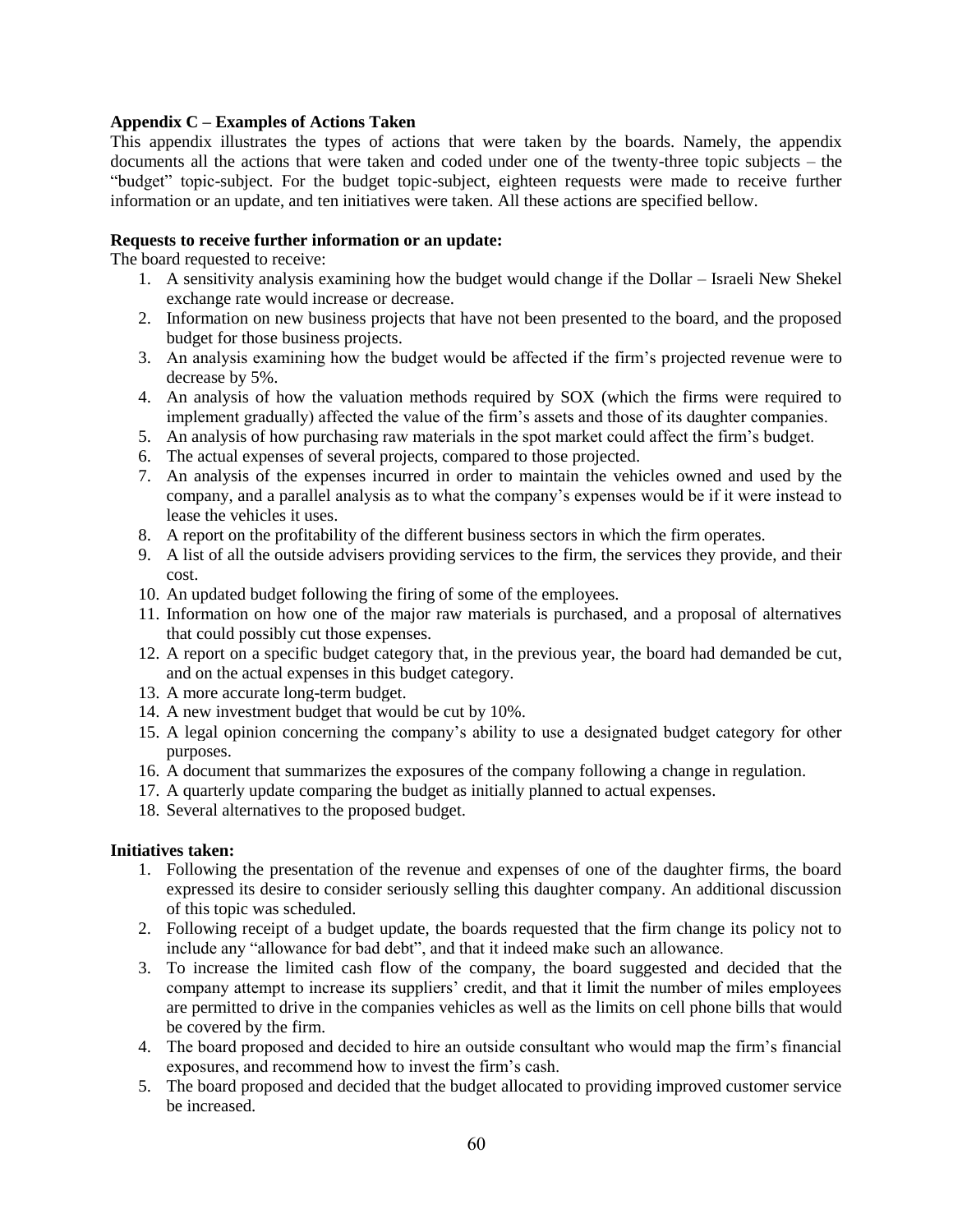## **Appendix C – Examples of Actions Taken**

This appendix illustrates the types of actions that were taken by the boards. Namely, the appendix documents all the actions that were taken and coded under one of the twenty-three topic subjects – the "budget" topic-subject. For the budget topic-subject, eighteen requests were made to receive further information or an update, and ten initiatives were taken. All these actions are specified bellow.

## **Requests to receive further information or an update:**

The board requested to receive:

- 1. A sensitivity analysis examining how the budget would change if the Dollar Israeli New Shekel exchange rate would increase or decrease.
- 2. Information on new business projects that have not been presented to the board, and the proposed budget for those business projects.
- 3. An analysis examining how the budget would be affected if the firm's projected revenue were to decrease by 5%.
- 4. An analysis of how the valuation methods required by SOX (which the firms were required to implement gradually) affected the value of the firm's assets and those of its daughter companies.
- 5. An analysis of how purchasing raw materials in the spot market could affect the firm's budget.
- 6. The actual expenses of several projects, compared to those projected.
- 7. An analysis of the expenses incurred in order to maintain the vehicles owned and used by the company, and a parallel analysis as to what the company's expenses would be if it were instead to lease the vehicles it uses.
- 8. A report on the profitability of the different business sectors in which the firm operates.
- 9. A list of all the outside advisers providing services to the firm, the services they provide, and their cost.
- 10. An updated budget following the firing of some of the employees.
- 11. Information on how one of the major raw materials is purchased, and a proposal of alternatives that could possibly cut those expenses.
- 12. A report on a specific budget category that, in the previous year, the board had demanded be cut, and on the actual expenses in this budget category.
- 13. A more accurate long-term budget.
- 14. A new investment budget that would be cut by 10%.
- 15. A legal opinion concerning the company's ability to use a designated budget category for other purposes.
- 16. A document that summarizes the exposures of the company following a change in regulation.
- 17. A quarterly update comparing the budget as initially planned to actual expenses.
- 18. Several alternatives to the proposed budget.

### **Initiatives taken:**

- 1. Following the presentation of the revenue and expenses of one of the daughter firms, the board expressed its desire to consider seriously selling this daughter company. An additional discussion of this topic was scheduled.
- 2. Following receipt of a budget update, the boards requested that the firm change its policy not to include any "allowance for bad debt", and that it indeed make such an allowance.
- 3. To increase the limited cash flow of the company, the board suggested and decided that the company attempt to increase its suppliers' credit, and that it limit the number of miles employees are permitted to drive in the companies vehicles as well as the limits on cell phone bills that would be covered by the firm.
- 4. The board proposed and decided to hire an outside consultant who would map the firm's financial exposures, and recommend how to invest the firm's cash.
- 5. The board proposed and decided that the budget allocated to providing improved customer service be increased.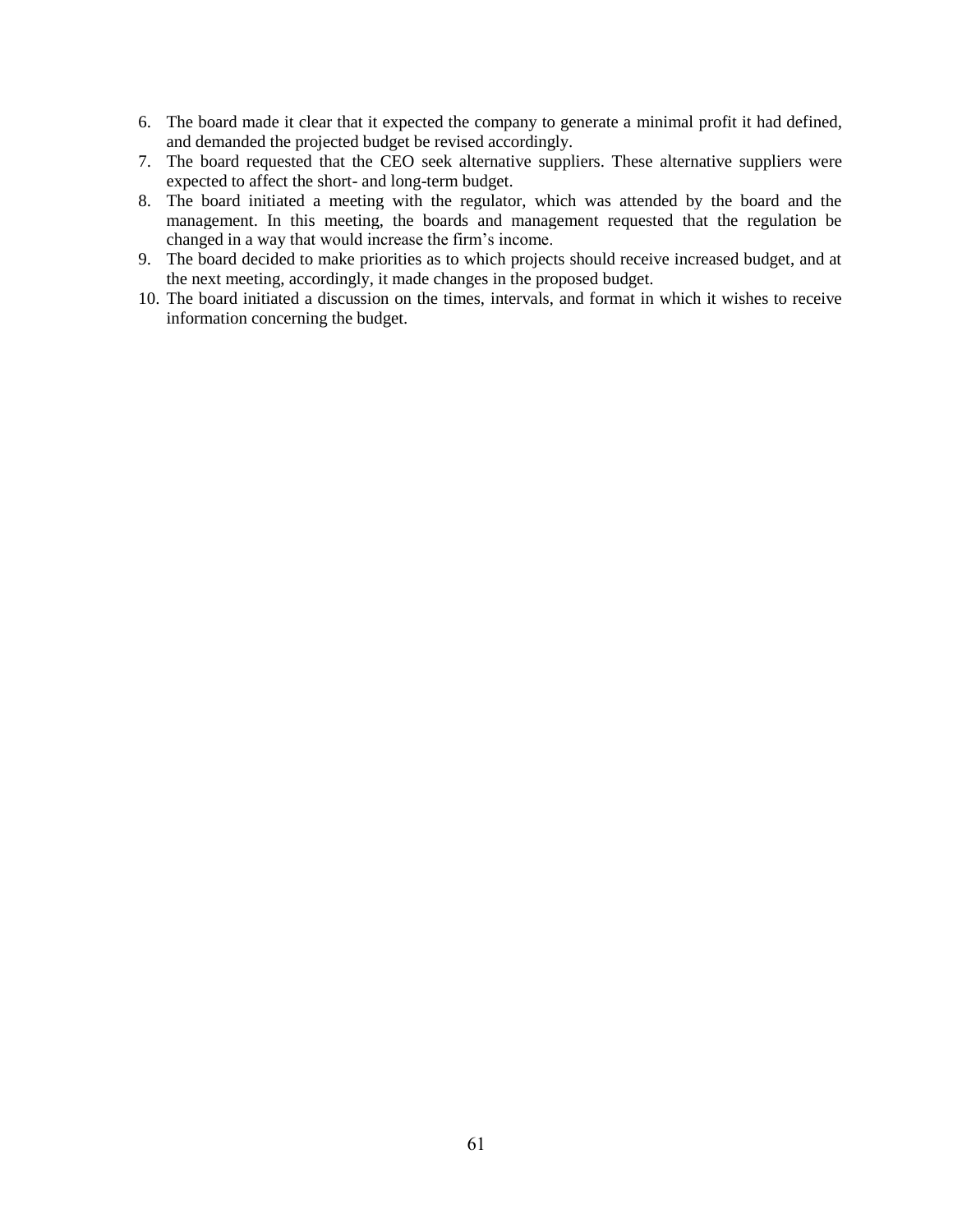- 6. The board made it clear that it expected the company to generate a minimal profit it had defined, and demanded the projected budget be revised accordingly.
- 7. The board requested that the CEO seek alternative suppliers. These alternative suppliers were expected to affect the short- and long-term budget.
- 8. The board initiated a meeting with the regulator, which was attended by the board and the management. In this meeting, the boards and management requested that the regulation be changed in a way that would increase the firm's income.
- 9. The board decided to make priorities as to which projects should receive increased budget, and at the next meeting, accordingly, it made changes in the proposed budget.
- 10. The board initiated a discussion on the times, intervals, and format in which it wishes to receive information concerning the budget.